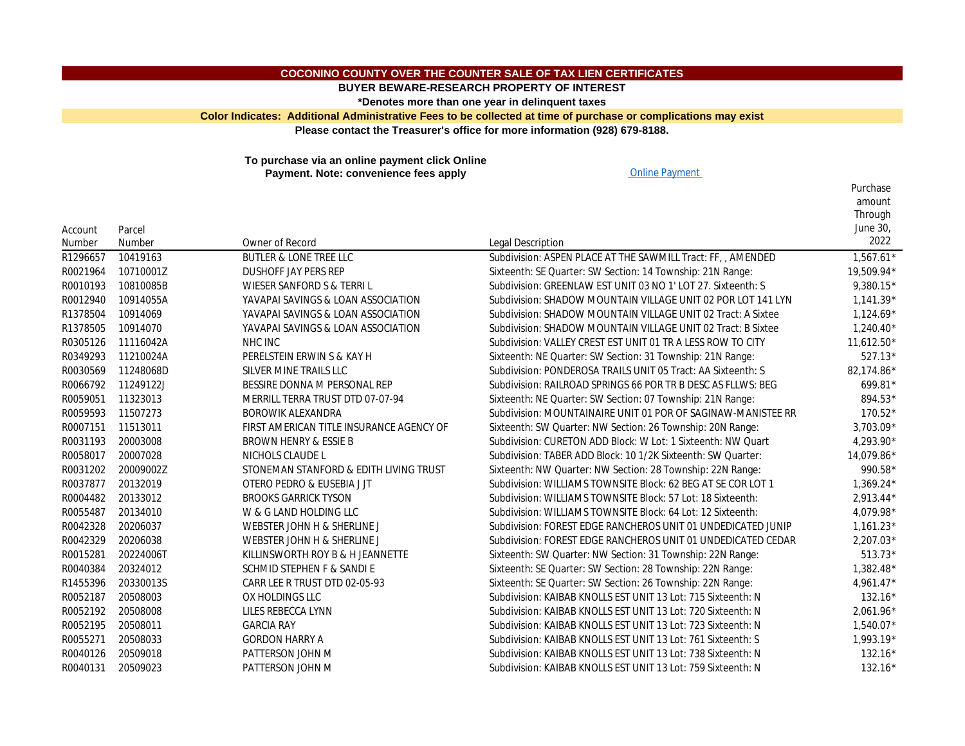## **COCONINO COUNTY OVER THE COUNTER SALE OF TAX LIEN CERTIFICATES**

**BUYER BEWARE-RESEARCH PROPERTY OF INTEREST**

**\*Denotes more than one year in delinquent taxes**

**Color Indicates: Additional Administrative Fees to be collected at time of purchase or complications may e Please contact the Treasurer's office for more information (928) 679-8188.**

**To purchase via an online payment click Online Payment. Note: convenience fees apply** Department of the Payment

| Account  | Parcel    |                                          |                                                           |
|----------|-----------|------------------------------------------|-----------------------------------------------------------|
| Number   | Number    | Owner of Record                          | <b>Legal Description</b>                                  |
| R1296657 | 10419163  | <b>BUTLER &amp; LONE TREE LLC</b>        | Subdivision: ASPEN PLACE AT THE SAWMILL Tract: FF, , AM   |
| R0021964 | 10710001Z | <b>DUSHOFF JAY PERS REP</b>              | Sixteenth: SE Quarter: SW Section: 14 Township: 21N Range |
| R0010193 | 10810085B | WIESER SANFORD S & TERRI L               | Subdivision: GREENLAW EST UNIT 03 NO 1'LOT 27. Sixteen    |
| R0012940 | 10914055A | YAVAPAI SAVINGS & LOAN ASSOCIATION       | Subdivision: SHADOW MOUNTAIN VILLAGE UNIT 02 POR LO       |
| R1378504 | 10914069  | YAVAPAI SAVINGS & LOAN ASSOCIATION       | Subdivision: SHADOW MOUNTAIN VILLAGE UNIT 02 Tract:       |
| R1378505 | 10914070  | YAVAPAI SAVINGS & LOAN ASSOCIATION       | Subdivision: SHADOW MOUNTAIN VILLAGE UNIT 02 Tract:       |
| R0305126 | 11116042A | NHC INC                                  | Subdivision: VALLEY CREST EST UNIT 01 TR A LESS ROW TO    |
| R0349293 | 11210024A | PERELSTEIN ERWIN S & KAY H               | Sixteenth: NE Quarter: SW Section: 31 Township: 21N Rang  |
| R0030569 | 11248068D | SILVER MINE TRAILS LLC                   | Subdivision: PONDEROSA TRAILS UNIT 05 Tract: AA Sixteen   |
| R0066792 | 11249122J | BESSIRE DONNA M PERSONAL REP             | Subdivision: RAILROAD SPRINGS 66 POR TR B DESC AS FLLW    |
| R0059051 | 11323013  | MERRILL TERRA TRUST DTD 07-07-94         | Sixteenth: NE Quarter: SW Section: 07 Township: 21N Rang  |
| R0059593 | 11507273  | <b>BOROWIK ALEXANDRA</b>                 | Subdivision: MOUNTAINAIRE UNIT 01 POR OF SAGINAW-M        |
| R0007151 | 11513011  | FIRST AMERICAN TITLE INSURANCE AGENCY OF | Sixteenth: SW Quarter: NW Section: 26 Township: 20N Ran   |
| R0031193 | 20003008  | BROWN HENRY & ESSIE B                    | Subdivision: CURETON ADD Block: W Lot: 1 Sixteenth: NW 0  |
| R0058017 | 20007028  | NICHOLS CLAUDE L                         | Subdivision: TABER ADD Block: 10 1/2K Sixteenth: SW Quar  |
| R0031202 | 20009002Z | STONEMAN STANFORD & EDITH LIVING TRUST   | Sixteenth: NW Quarter: NW Section: 28 Township: 22N Rar   |
| R0037877 | 20132019  | OTERO PEDRO & EUSEBIA J JT               | Subdivision: WILLIAMS TOWNSITE Block: 62 BEG AT SE COR    |
| R0004482 | 20133012  | <b>BROOKS GARRICK TYSON</b>              | Subdivision: WILLIAMS TOWNSITE Block: 57 Lot: 18 Sixteen  |
| R0055487 | 20134010  | W & G LAND HOLDING LLC                   | Subdivision: WILLIAMS TOWNSITE Block: 64 Lot: 12 Sixteen  |
| R0042328 | 20206037  | WEBSTER JOHN H & SHERLINE J              | Subdivision: FOREST EDGE RANCHEROS UNIT 01 UNDEDICA       |
| R0042329 | 20206038  | WEBSTER JOHN H & SHERLINE J              | Subdivision: FOREST EDGE RANCHEROS UNIT 01 UNDEDICA       |
| R0015281 | 20224006T | KILLINSWORTH ROY B & H JEANNETTE         | Sixteenth: SW Quarter: NW Section: 31 Township: 22N Ran   |
| R0040384 | 20324012  | SCHMID STEPHEN F & SANDI E               | Sixteenth: SE Quarter: SW Section: 28 Township: 22N Range |
| R1455396 | 20330013S | CARR LEE R TRUST DTD 02-05-93            | Sixteenth: SE Quarter: SW Section: 26 Township: 22N Rang  |
| R0052187 | 20508003  | OX HOLDINGS LLC                          | Subdivision: KAIBAB KNOLLS EST UNIT 13 Lot: 715 Sixteenth |
| R0052192 | 20508008  | LILES REBECCA LYNN                       | Subdivision: KAIBAB KNOLLS EST UNIT 13 Lot: 720 Sixteenth |
| R0052195 | 20508011  | <b>GARCIA RAY</b>                        | Subdivision: KAIBAB KNOLLS EST UNIT 13 Lot: 723 Sixteenth |
| R0055271 | 20508033  | <b>GORDON HARRY A</b>                    | Subdivision: KAIBAB KNOLLS EST UNIT 13 Lot: 761 Sixteenth |
| R0040126 | 20509018  | PATTERSON JOHN M                         | Subdivision: KAIBAB KNOLLS EST UNIT 13 Lot: 738 Sixteenth |
| R0040131 | 20509023  | PATTERSON JOHN M                         | Subdivision: KAIBAB KNOLLS EST UNIT 13 Lot: 759 Sixteenth |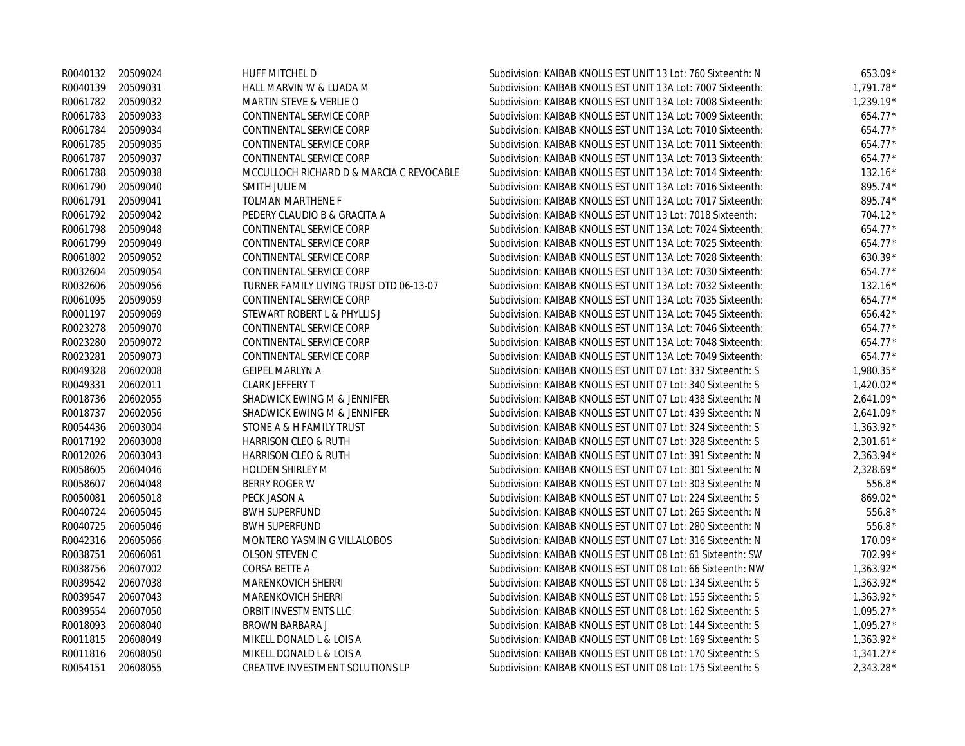|          | R0040132 20509024 | HUFF MITCHEL D                           | Subdivision: KAIBAB KNOLLS EST UNIT 13 Lot: 760 Sixteenth: N | 653.09*     |
|----------|-------------------|------------------------------------------|--------------------------------------------------------------|-------------|
|          | R0040139 20509031 | HALL MARVIN W & LUADA M                  | Subdivision: KAIBAB KNOLLS EST UNIT 13A Lot: 7007 Sixteenth: | $1.791.78*$ |
|          | R0061782 20509032 | <b>MARTIN STEVE &amp; VERLIE O</b>       | Subdivision: KAIBAB KNOLLS EST UNIT 13A Lot: 7008 Sixteenth: | $1.239.19*$ |
| R0061783 | 20509033          | CONTINENTAL SERVICE CORP                 | Subdivision: KAIBAB KNOLLS EST UNIT 13A Lot: 7009 Sixteenth: | $654.77*$   |
| R0061784 | 20509034          | CONTINENTAL SERVICE CORP                 | Subdivision: KAIBAB KNOLLS EST UNIT 13A Lot: 7010 Sixteenth: | $654.77*$   |
| R0061785 | 20509035          | CONTINENTAL SERVICE CORP                 | Subdivision: KAIBAB KNOLLS EST UNIT 13A Lot: 7011 Sixteenth: | $654.77*$   |
| R0061787 | 20509037          | CONTINENTAL SERVICE CORP                 | Subdivision: KAIBAB KNOLLS EST UNIT 13A Lot: 7013 Sixteenth: | $654.77*$   |
| R0061788 | 20509038          | MCCULLOCH RICHARD D & MARCIA C REVOCABLE | Subdivision: KAIBAB KNOLLS EST UNIT 13A Lot: 7014 Sixteenth: | $132.16*$   |
|          | R0061790 20509040 | SMITH JULIE M                            | Subdivision: KAIBAB KNOLLS EST UNIT 13A Lot: 7016 Sixteenth: | 895.74*     |
| R0061791 | 20509041          | <b>TOLMAN MARTHENE F</b>                 | Subdivision: KAIBAB KNOLLS EST UNIT 13A Lot: 7017 Sixteenth: | 895.74*     |
| R0061792 | 20509042          | PEDERY CLAUDIO B & GRACITA A             | Subdivision: KAIBAB KNOLLS EST UNIT 13 Lot: 7018 Sixteenth:  | $704.12*$   |
| R0061798 | 20509048          | CONTINENTAL SERVICE CORP                 | Subdivision: KAIBAB KNOLLS EST UNIT 13A Lot: 7024 Sixteenth: | 654.77*     |
| R0061799 | 20509049          | CONTINENTAL SERVICE CORP                 | Subdivision: KAIBAB KNOLLS EST UNIT 13A Lot: 7025 Sixteenth: | 654.77*     |
|          | R0061802 20509052 | CONTINENTAL SERVICE CORP                 | Subdivision: KAIBAB KNOLLS EST UNIT 13A Lot: 7028 Sixteenth: | $630.39*$   |
| R0032604 | 20509054          | CONTINENTAL SERVICE CORP                 | Subdivision: KAIBAB KNOLLS EST UNIT 13A Lot: 7030 Sixteenth: | 654.77*     |
| R0032606 | 20509056          | TURNER FAMILY LIVING TRUST DTD 06-13-07  | Subdivision: KAIBAB KNOLLS EST UNIT 13A Lot: 7032 Sixteenth: | $132.16*$   |
|          | R0061095 20509059 | CONTINENTAL SERVICE CORP                 | Subdivision: KAIBAB KNOLLS EST UNIT 13A Lot: 7035 Sixteenth: | 654.77*     |
|          | R0001197 20509069 | STEWART ROBERT L & PHYLLIS J             | Subdivision: KAIBAB KNOLLS EST UNIT 13A Lot: 7045 Sixteenth: | $656.42*$   |
| R0023278 | 20509070          | CONTINENTAL SERVICE CORP                 | Subdivision: KAIBAB KNOLLS EST UNIT 13A Lot: 7046 Sixteenth: | $654.77*$   |
| R0023280 | 20509072          | CONTINENTAL SERVICE CORP                 | Subdivision: KAIBAB KNOLLS EST UNIT 13A Lot: 7048 Sixteenth: | $654.77*$   |
| R0023281 | 20509073          | CONTINENTAL SERVICE CORP                 | Subdivision: KAIBAB KNOLLS EST UNIT 13A Lot: 7049 Sixteenth: | $654.77*$   |
| R0049328 | 20602008          | <b>GEIPEL MARLYN A</b>                   | Subdivision: KAIBAB KNOLLS EST UNIT 07 Lot: 337 Sixteenth: S | $1.980.35*$ |
| R0049331 | 20602011          | CLARK JEFFERY T                          | Subdivision: KAIBAB KNOLLS EST UNIT 07 Lot: 340 Sixteenth: S | $1,420.02*$ |
| R0018736 | 20602055          | SHADWICK EWING M & JENNIFER              | Subdivision: KAIBAB KNOLLS EST UNIT 07 Lot: 438 Sixteenth: N | $2,641.09*$ |
|          | R0018737 20602056 | SHADWICK EWING M & JENNIFER              | Subdivision: KAIBAB KNOLLS EST UNIT 07 Lot: 439 Sixteenth: N | $2,641.09*$ |
| R0054436 | 20603004          | STONE A & H FAMILY TRUST                 | Subdivision: KAIBAB KNOLLS EST UNIT 07 Lot: 324 Sixteenth: S | $1,363.92*$ |
|          | R0017192 20603008 | HARRISON CLEO & RUTH                     | Subdivision: KAIBAB KNOLLS EST UNIT 07 Lot: 328 Sixteenth: S | $2,301.61*$ |
| R0012026 | 20603043          | HARRISON CLEO & RUTH                     | Subdivision: KAIBAB KNOLLS EST UNIT 07 Lot: 391 Sixteenth: N | 2,363.94*   |
| R0058605 | 20604046          | <b>HOLDEN SHIRLEY M</b>                  | Subdivision: KAIBAB KNOLLS EST UNIT 07 Lot: 301 Sixteenth: N | 2,328.69*   |
|          | R0058607 20604048 | <b>BERRY ROGER W</b>                     | Subdivision: KAIBAB KNOLLS EST UNIT 07 Lot: 303 Sixteenth: N | $556.8*$    |
| R0050081 | 20605018          | PECK JASON A                             | Subdivision: KAIBAB KNOLLS EST UNIT 07 Lot: 224 Sixteenth: S | 869.02*     |
| R0040724 | 20605045          | <b>BWH SUPERFUND</b>                     | Subdivision: KAIBAB KNOLLS EST UNIT 07 Lot: 265 Sixteenth: N | $556.8*$    |
| R0040725 | 20605046          | <b>BWH SUPERFUND</b>                     | Subdivision: KAIBAB KNOLLS EST UNIT 07 Lot: 280 Sixteenth: N | $556.8*$    |
| R0042316 | 20605066          | MONTERO YASMIN G VILLALOBOS              | Subdivision: KAIBAB KNOLLS EST UNIT 07 Lot: 316 Sixteenth: N | $170.09*$   |
| R0038751 | 20606061          | OLSON STEVEN C                           | Subdivision: KAIBAB KNOLLS EST UNIT 08 Lot: 61 Sixteenth: SW | $702.99*$   |
| R0038756 | 20607002          | CORSA BETTE A                            | Subdivision: KAIBAB KNOLLS EST UNIT 08 Lot: 66 Sixteenth: NW | 1,363.92*   |
| R0039542 | 20607038          | MARENKOVICH SHERRI                       | Subdivision: KAIBAB KNOLLS EST UNIT 08 Lot: 134 Sixteenth: S | $1,363.92*$ |
| R0039547 | 20607043          | MARENKOVICH SHERRI                       | Subdivision: KAIBAB KNOLLS EST UNIT 08 Lot: 155 Sixteenth: S | 1,363.92*   |
| R0039554 | 20607050          | ORBIT INVESTMENTS LLC                    | Subdivision: KAIBAB KNOLLS EST UNIT 08 Lot: 162 Sixteenth: S | $1,095.27*$ |
| R0018093 | 20608040          | BROWN BARBARA J                          | Subdivision: KAIBAB KNOLLS EST UNIT 08 Lot: 144 Sixteenth: S | $1,095.27*$ |
| R0011815 | 20608049          | MIKELL DONALD L & LOIS A                 | Subdivision: KAIBAB KNOLLS EST UNIT 08 Lot: 169 Sixteenth: S | $1,363.92*$ |
| R0011816 | 20608050          | MIKELL DONALD L & LOIS A                 | Subdivision: KAIBAB KNOLLS EST UNIT 08 Lot: 170 Sixteenth: S | $1,341.27*$ |
| R0054151 | 20608055          | CREATIVE INVESTMENT SOLUTIONS LP         | Subdivision: KAIBAB KNOLLS EST UNIT 08 Lot: 175 Sixteenth: S | 2,343.28*   |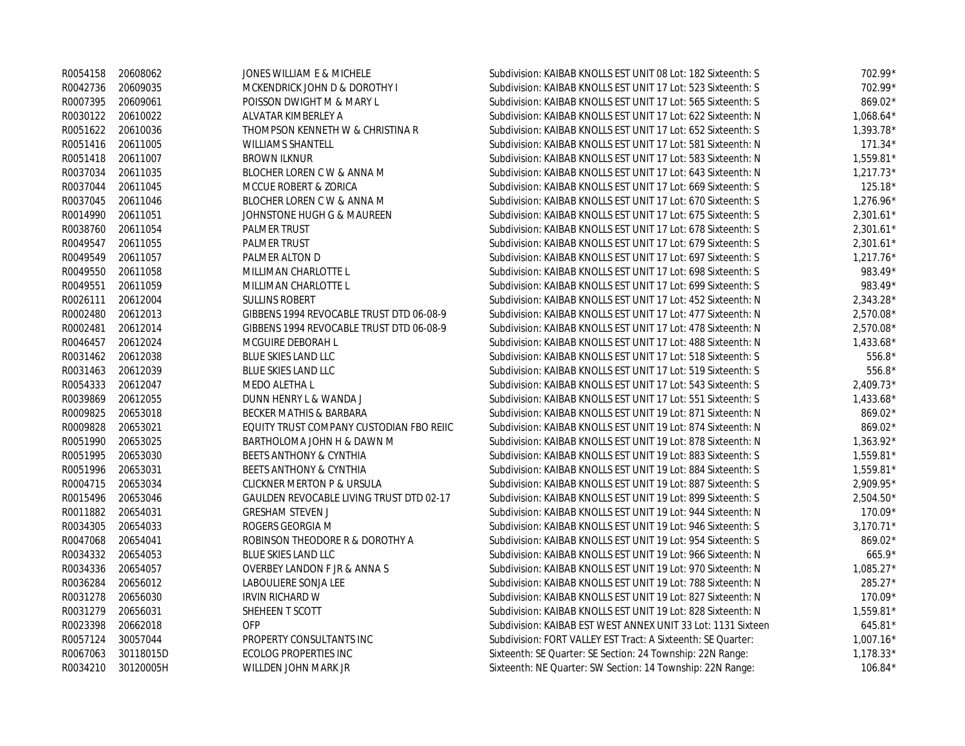|                   | R0054158 20608062 | JONES WILLIAM E & MICHELE                | Subdivision: KAIBAB KNOLLS EST UNIT 08 Lot: 182 Sixteenth: S | 702.99*     |
|-------------------|-------------------|------------------------------------------|--------------------------------------------------------------|-------------|
|                   | R0042736 20609035 | MCKENDRICK JOHN D & DOROTHY I            | Subdivision: KAIBAB KNOLLS EST UNIT 17 Lot: 523 Sixteenth: S | 702.99*     |
| R0007395          | 20609061          | POISSON DWIGHT M & MARY L                | Subdivision: KAIBAB KNOLLS EST UNIT 17 Lot: 565 Sixteenth: S | 869.02*     |
|                   | R0030122 20610022 | ALVATAR KIMBERLEY A                      | Subdivision: KAIBAB KNOLLS EST UNIT 17 Lot: 622 Sixteenth: N | $1.068.64*$ |
| R0051622          | 20610036          | THOMPSON KENNETH W & CHRISTINA R         | Subdivision: KAIBAB KNOLLS EST UNIT 17 Lot: 652 Sixteenth: S | $1.393.78*$ |
| R0051416          | 20611005          | <b>WILLIAMS SHANTELL</b>                 | Subdivision: KAIBAB KNOLLS EST UNIT 17 Lot: 581 Sixteenth: N | $171.34*$   |
| R0051418          | 20611007          | <b>BROWN ILKNUR</b>                      | Subdivision: KAIBAB KNOLLS EST UNIT 17 Lot: 583 Sixteenth: N | $1,559.81*$ |
| R0037034          | 20611035          | BLOCHER LOREN C W & ANNA M               | Subdivision: KAIBAB KNOLLS EST UNIT 17 Lot: 643 Sixteenth: N | $1.217.73*$ |
|                   | R0037044 20611045 | MCCUE ROBERT & ZORICA                    | Subdivision: KAIBAB KNOLLS EST UNIT 17 Lot: 669 Sixteenth: S | 125.18*     |
| R0037045          | 20611046          | BLOCHER LOREN C W & ANNA M               | Subdivision: KAIBAB KNOLLS EST UNIT 17 Lot: 670 Sixteenth: S | $1,276.96*$ |
| R0014990          | 20611051          | JOHNSTONE HUGH G & MAUREEN               | Subdivision: KAIBAB KNOLLS EST UNIT 17 Lot: 675 Sixteenth: S | $2,301.61*$ |
| R0038760          | 20611054          | PALMER TRUST                             | Subdivision: KAIBAB KNOLLS EST UNIT 17 Lot: 678 Sixteenth: S | $2,301.61*$ |
| R0049547          | 20611055          | <b>PALMER TRUST</b>                      | Subdivision: KAIBAB KNOLLS EST UNIT 17 Lot: 679 Sixteenth: S | $2,301.61*$ |
| R0049549          | 20611057          | PALMER ALTON D                           | Subdivision: KAIBAB KNOLLS EST UNIT 17 Lot: 697 Sixteenth: S | $1,217.76*$ |
| R0049550          | 20611058          | MILLIMAN CHARLOTTE L                     | Subdivision: KAIBAB KNOLLS EST UNIT 17 Lot: 698 Sixteenth: S | 983.49*     |
| R0049551          | 20611059          | MILLIMAN CHARLOTTE L                     | Subdivision: KAIBAB KNOLLS EST UNIT 17 Lot: 699 Sixteenth: S | 983.49*     |
| R0026111 20612004 |                   | <b>SULLINS ROBERT</b>                    | Subdivision: KAIBAB KNOLLS EST UNIT 17 Lot: 452 Sixteenth: N | 2,343.28*   |
| R0002480          | 20612013          | GIBBENS 1994 REVOCABLE TRUST DTD 06-08-9 | Subdivision: KAIBAB KNOLLS EST UNIT 17 Lot: 477 Sixteenth: N | 2.570.08*   |
| R0002481          | 20612014          | GIBBENS 1994 REVOCABLE TRUST DTD 06-08-9 | Subdivision: KAIBAB KNOLLS EST UNIT 17 Lot: 478 Sixteenth: N | 2,570.08*   |
| R0046457          | 20612024          | MCGUIRE DEBORAH L                        | Subdivision: KAIBAB KNOLLS EST UNIT 17 Lot: 488 Sixteenth: N | $1,433.68*$ |
| R0031462 20612038 |                   | BLUE SKIES LAND LLC                      | Subdivision: KAIBAB KNOLLS EST UNIT 17 Lot: 518 Sixteenth: S | 556.8*      |
| R0031463          | 20612039          | <b>BLUE SKIES LAND LLC</b>               | Subdivision: KAIBAB KNOLLS EST UNIT 17 Lot: 519 Sixteenth: S | 556.8*      |
| R0054333          | 20612047          | MEDO ALETHA L                            | Subdivision: KAIBAB KNOLLS EST UNIT 17 Lot: 543 Sixteenth: S | $2,409.73*$ |
| R0039869          | 20612055          | DUNN HENRY L & WANDA J                   | Subdivision: KAIBAB KNOLLS EST UNIT 17 Lot: 551 Sixteenth: S | $1,433.68*$ |
| R0009825          | 20653018          | BECKER MATHIS & BARBARA                  | Subdivision: KAIBAB KNOLLS EST UNIT 19 Lot: 871 Sixteenth: N | 869.02*     |
| R0009828          | 20653021          | EQUITY TRUST COMPANY CUSTODIAN FBO REIIC | Subdivision: KAIBAB KNOLLS EST UNIT 19 Lot: 874 Sixteenth: N | 869.02*     |
| R0051990          | 20653025          | BARTHOLOMA JOHN H & DAWN M               | Subdivision: KAIBAB KNOLLS EST UNIT 19 Lot: 878 Sixteenth: N | $1,363.92*$ |
| R0051995          | 20653030          | <b>BEETS ANTHONY &amp; CYNTHIA</b>       | Subdivision: KAIBAB KNOLLS EST UNIT 19 Lot: 883 Sixteenth: S | 1,559.81*   |
| R0051996 20653031 |                   | <b>BEETS ANTHONY &amp; CYNTHIA</b>       | Subdivision: KAIBAB KNOLLS EST UNIT 19 Lot: 884 Sixteenth: S | 1,559.81*   |
| R0004715          | 20653034          | <b>CLICKNER MERTON P &amp; URSULA</b>    | Subdivision: KAIBAB KNOLLS EST UNIT 19 Lot: 887 Sixteenth: S | 2,909.95*   |
| R0015496          | 20653046          | GAULDEN REVOCABLE LIVING TRUST DTD 02-17 | Subdivision: KAIBAB KNOLLS EST UNIT 19 Lot: 899 Sixteenth: S | $2,504.50*$ |
| R0011882          | 20654031          | <b>GRESHAM STEVEN J</b>                  | Subdivision: KAIBAB KNOLLS EST UNIT 19 Lot: 944 Sixteenth: N | 170.09*     |
| R0034305          | 20654033          | ROGERS GEORGIA M                         | Subdivision: KAIBAB KNOLLS EST UNIT 19 Lot: 946 Sixteenth: S | $3,170.71*$ |
| R0047068          | 20654041          | ROBINSON THEODORE R & DOROTHY A          | Subdivision: KAIBAB KNOLLS EST UNIT 19 Lot: 954 Sixteenth: S | 869.02*     |
| R0034332          | 20654053          | <b>BLUE SKIES LAND LLC</b>               | Subdivision: KAIBAB KNOLLS EST UNIT 19 Lot: 966 Sixteenth: N | $665.9*$    |
| R0034336          | 20654057          | <b>OVERBEY LANDON F JR &amp; ANNA S</b>  | Subdivision: KAIBAB KNOLLS EST UNIT 19 Lot: 970 Sixteenth: N | $1,085.27*$ |
| R0036284          | 20656012          | LABOULIERE SONJA LEE                     | Subdivision: KAIBAB KNOLLS EST UNIT 19 Lot: 788 Sixteenth: N | 285.27*     |
| R0031278          | 20656030          | <b>IRVIN RICHARD W</b>                   | Subdivision: KAIBAB KNOLLS EST UNIT 19 Lot: 827 Sixteenth: N | 170.09*     |
| R0031279          | 20656031          | SHEHEEN T SCOTT                          | Subdivision: KAIBAB KNOLLS EST UNIT 19 Lot: 828 Sixteenth: N | 1,559.81*   |
| R0023398          | 20662018          | <b>OFP</b>                               | Subdivision: KAIBAB EST WEST ANNEX UNIT 33 Lot: 1131 Sixteen | 645.81*     |
| R0057124          | 30057044          | PROPERTY CONSULTANTS INC                 | Subdivision: FORT VALLEY EST Tract: A Sixteenth: SE Quarter: | $1,007.16*$ |
| R0067063          | 30118015D         | <b>ECOLOG PROPERTIES INC</b>             | Sixteenth: SE Quarter: SE Section: 24 Township: 22N Range:   | $1,178.33*$ |
| R0034210          | 30120005H         | WILLDEN JOHN MARK JR                     | Sixteenth: NE Quarter: SW Section: 14 Township: 22N Range:   | $106.84*$   |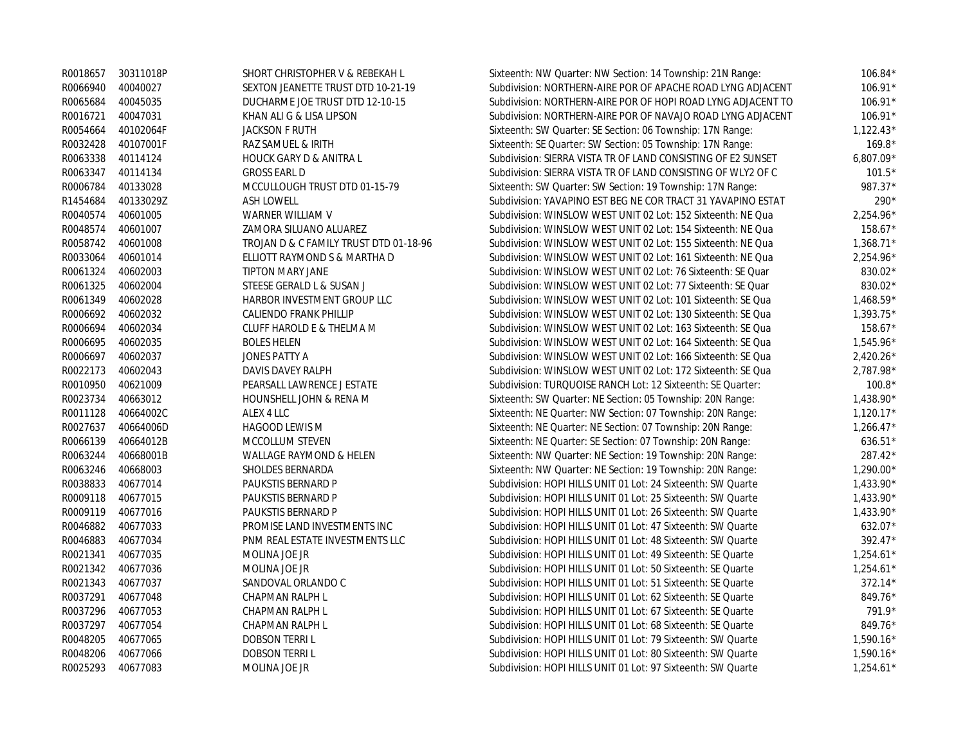| R0018657 | 30311018P | SHORT CHRISTOPHER V & REBEKAH L        | Sixteenth: NW Quarter: NW Section: 14 Township: 21N Range:   | $106.84*$   |
|----------|-----------|----------------------------------------|--------------------------------------------------------------|-------------|
| R0066940 | 40040027  | SEXTON JEANETTE TRUST DTD 10-21-19     | Subdivision: NORTHERN-AIRE POR OF APACHE ROAD LYNG ADJACENT  | 106.91*     |
| R0065684 | 40045035  | DUCHARME JOE TRUST DTD 12-10-15        | Subdivision: NORTHERN-AIRE POR OF HOPI ROAD LYNG ADJACENT TO | 106.91*     |
| R0016721 | 40047031  | KHAN ALI G & LISA LIPSON               | Subdivision: NORTHERN-AIRE POR OF NAVAJO ROAD LYNG ADJACENT  | 106.91*     |
| R0054664 | 40102064F | <b>JACKSON F RUTH</b>                  | Sixteenth: SW Quarter: SE Section: 06 Township: 17N Range:   | $1,122.43*$ |
| R0032428 | 40107001F | RAZ SAMUEL & IRITH                     | Sixteenth: SE Quarter: SW Section: 05 Township: 17N Range:   | $169.8*$    |
| R0063338 | 40114124  | <b>HOUCK GARY D &amp; ANITRA L</b>     | Subdivision: SIERRA VISTA TR OF LAND CONSISTING OF E2 SUNSET | $6,807.09*$ |
| R0063347 | 40114134  | <b>GROSS EARL D</b>                    | Subdivision: SIERRA VISTA TR OF LAND CONSISTING OF WLY2 OF C | $101.5*$    |
| R0006784 | 40133028  | MCCULLOUGH TRUST DTD 01-15-79          | Sixteenth: SW Quarter: SW Section: 19 Township: 17N Range:   | 987.37*     |
| R1454684 | 40133029Z | <b>ASH LOWELL</b>                      | Subdivision: YAVAPINO EST BEG NE COR TRACT 31 YAVAPINO ESTAT | 290*        |
| R0040574 | 40601005  | WARNER WILLIAM V                       | Subdivision: WINSLOW WEST UNIT 02 Lot: 152 Sixteenth: NE Qua | 2,254.96*   |
| R0048574 | 40601007  | ZAMORA SILUANO ALUAREZ                 | Subdivision: WINSLOW WEST UNIT 02 Lot: 154 Sixteenth: NE Qua | 158.67*     |
| R0058742 | 40601008  | TROJAN D & C FAMILY TRUST DTD 01-18-96 | Subdivision: WINSLOW WEST UNIT 02 Lot: 155 Sixteenth: NE Qua | $1,368.71*$ |
| R0033064 | 40601014  | ELLIOTT RAYMOND S & MARTHA D           | Subdivision: WINSLOW WEST UNIT 02 Lot: 161 Sixteenth: NE Qua | 2,254.96*   |
| R0061324 | 40602003  | <b>TIPTON MARY JANE</b>                | Subdivision: WINSLOW WEST UNIT 02 Lot: 76 Sixteenth: SE Quar | 830.02*     |
| R0061325 | 40602004  | STEESE GERALD L & SUSAN J              | Subdivision: WINSLOW WEST UNIT 02 Lot: 77 Sixteenth: SE Quar | 830.02*     |
| R0061349 | 40602028  | HARBOR INVESTMENT GROUP LLC            | Subdivision: WINSLOW WEST UNIT 02 Lot: 101 Sixteenth: SE Qua | $1,468.59*$ |
| R0006692 | 40602032  | CALIENDO FRANK PHILLIP                 | Subdivision: WINSLOW WEST UNIT 02 Lot: 130 Sixteenth: SE Qua | $1,393.75*$ |
| R0006694 | 40602034  | CLUFF HAROLD E & THELMA M              | Subdivision: WINSLOW WEST UNIT 02 Lot: 163 Sixteenth: SE Qua | 158.67*     |
| R0006695 | 40602035  | <b>BOLES HELEN</b>                     | Subdivision: WINSLOW WEST UNIT 02 Lot: 164 Sixteenth: SE Qua | $1,545.96*$ |
| R0006697 | 40602037  | <b>JONES PATTY A</b>                   | Subdivision: WINSLOW WEST UNIT 02 Lot: 166 Sixteenth: SE Qua | $2,420.26*$ |
| R0022173 | 40602043  | DAVIS DAVEY RALPH                      | Subdivision: WINSLOW WEST UNIT 02 Lot: 172 Sixteenth: SE Qua | 2.787.98*   |
| R0010950 | 40621009  | PEARSALL LAWRENCE J ESTATE             | Subdivision: TURQUOISE RANCH Lot: 12 Sixteenth: SE Quarter:  | $100.8*$    |
| R0023734 | 40663012  | HOUNSHELL JOHN & RENA M                | Sixteenth: SW Quarter: NE Section: 05 Township: 20N Range:   | $1,438.90*$ |
| R0011128 | 40664002C | ALEX 4 LLC                             | Sixteenth: NE Quarter: NW Section: 07 Township: 20N Range:   | $1,120.17*$ |
| R0027637 | 40664006D | HAGOOD LEWIS M                         | Sixteenth: NE Quarter: NE Section: 07 Township: 20N Range:   | $1,266.47*$ |
| R0066139 | 40664012B | MCCOLLUM STEVEN                        | Sixteenth: NE Quarter: SE Section: 07 Township: 20N Range:   | 636.51*     |
| R0063244 | 40668001B | WALLAGE RAYMOND & HELEN                | Sixteenth: NW Quarter: NE Section: 19 Township: 20N Range:   | 287.42*     |
| R0063246 | 40668003  | SHOLDES BERNARDA                       | Sixteenth: NW Quarter: NE Section: 19 Township: 20N Range:   | $1,290.00*$ |
| R0038833 | 40677014  | PAUKSTIS BERNARD P                     | Subdivision: HOPI HILLS UNIT 01 Lot: 24 Sixteenth: SW Quarte | 1,433.90*   |
| R0009118 | 40677015  | PAUKSTIS BERNARD P                     | Subdivision: HOPI HILLS UNIT 01 Lot: 25 Sixteenth: SW Quarte | $1,433.90*$ |
| R0009119 | 40677016  | PAUKSTIS BERNARD P                     | Subdivision: HOPI HILLS UNIT 01 Lot: 26 Sixteenth: SW Quarte | 1,433.90*   |
| R0046882 | 40677033  | PROMISE LAND INVESTMENTS INC           | Subdivision: HOPI HILLS UNIT 01 Lot: 47 Sixteenth: SW Quarte | 632.07*     |
| R0046883 | 40677034  | PNM REAL ESTATE INVESTMENTS LLC        | Subdivision: HOPI HILLS UNIT 01 Lot: 48 Sixteenth: SW Quarte | 392.47*     |
| R0021341 | 40677035  | MOLINA JOE JR                          | Subdivision: HOPI HILLS UNIT 01 Lot: 49 Sixteenth: SE Quarte | $1,254.61*$ |
| R0021342 | 40677036  | MOLINA JOE JR                          | Subdivision: HOPI HILLS UNIT 01 Lot: 50 Sixteenth: SE Quarte | $1,254.61*$ |
| R0021343 | 40677037  | SANDOVAL ORLANDO C                     | Subdivision: HOPI HILLS UNIT 01 Lot: 51 Sixteenth: SE Quarte | $372.14*$   |
| R0037291 | 40677048  | CHAPMAN RALPH L                        | Subdivision: HOPI HILLS UNIT 01 Lot: 62 Sixteenth: SE Quarte | 849.76*     |
| R0037296 | 40677053  | CHAPMAN RALPH L                        | Subdivision: HOPI HILLS UNIT 01 Lot: 67 Sixteenth: SE Quarte | $791.9*$    |
| R0037297 | 40677054  | CHAPMAN RALPH L                        | Subdivision: HOPI HILLS UNIT 01 Lot: 68 Sixteenth: SE Quarte | 849.76*     |
| R0048205 | 40677065  | <b>DOBSON TERRIL</b>                   | Subdivision: HOPI HILLS UNIT 01 Lot: 79 Sixteenth: SW Quarte | $1,590.16*$ |
| R0048206 | 40677066  | <b>DOBSON TERRIL</b>                   | Subdivision: HOPI HILLS UNIT 01 Lot: 80 Sixteenth: SW Quarte | $1,590.16*$ |
| R0025293 | 40677083  | MOLINA JOE JR                          | Subdivision: HOPI HILLS UNIT 01 Lot: 97 Sixteenth: SW Quarte | $1,254.61*$ |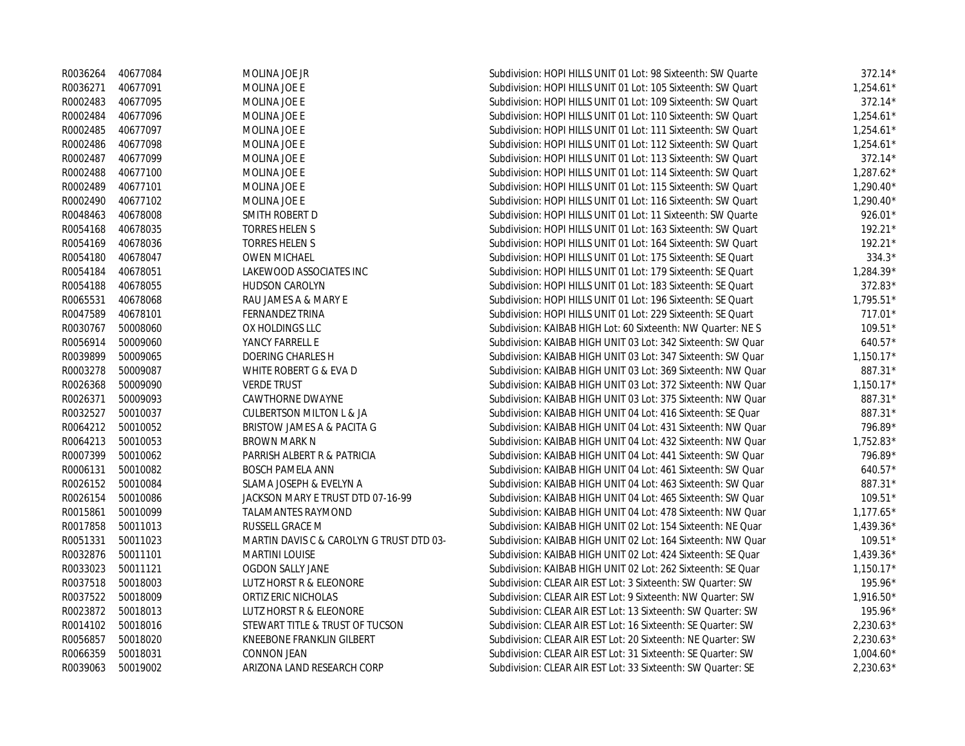|          | R0036264 40677084 | MOLINA JOE JR                            | Subdivision: HOPI HILLS UNIT 01 Lot: 98 Sixteenth: SW Quarte | $372.14*$   |
|----------|-------------------|------------------------------------------|--------------------------------------------------------------|-------------|
| R0036271 | 40677091          | MOLINA JOE E                             | Subdivision: HOPI HILLS UNIT 01 Lot: 105 Sixteenth: SW Quart | $1,254.61*$ |
| R0002483 | 40677095          | MOLINA JOE E                             | Subdivision: HOPI HILLS UNIT 01 Lot: 109 Sixteenth: SW Quart | 372.14*     |
| R0002484 | 40677096          | MOLINA JOE E                             | Subdivision: HOPI HILLS UNIT 01 Lot: 110 Sixteenth: SW Quart | $1,254.61*$ |
| R0002485 | 40677097          | MOLINA JOE E                             | Subdivision: HOPI HILLS UNIT 01 Lot: 111 Sixteenth: SW Quart | $1,254.61*$ |
| R0002486 | 40677098          | MOLINA JOE E                             | Subdivision: HOPI HILLS UNIT 01 Lot: 112 Sixteenth: SW Quart | $1,254.61*$ |
| R0002487 | 40677099          | MOLINA JOE E                             | Subdivision: HOPI HILLS UNIT 01 Lot: 113 Sixteenth: SW Quart | 372.14*     |
| R0002488 | 40677100          | MOLINA JOE E                             | Subdivision: HOPI HILLS UNIT 01 Lot: 114 Sixteenth: SW Quart | $1,287.62*$ |
| R0002489 | 40677101          | MOLINA JOE E                             | Subdivision: HOPI HILLS UNIT 01 Lot: 115 Sixteenth: SW Quart | $1,290.40*$ |
| R0002490 | 40677102          | MOLINA JOE E                             | Subdivision: HOPI HILLS UNIT 01 Lot: 116 Sixteenth: SW Quart | $1,290.40*$ |
| R0048463 | 40678008          | SMITH ROBERT D                           | Subdivision: HOPI HILLS UNIT 01 Lot: 11 Sixteenth: SW Quarte | $926.01*$   |
| R0054168 | 40678035          | <b>TORRES HELEN S</b>                    | Subdivision: HOPI HILLS UNIT 01 Lot: 163 Sixteenth: SW Quart | $192.21*$   |
| R0054169 | 40678036          | <b>TORRES HELEN S</b>                    | Subdivision: HOPI HILLS UNIT 01 Lot: 164 Sixteenth: SW Quart | $192.21*$   |
| R0054180 | 40678047          | <b>OWEN MICHAEL</b>                      | Subdivision: HOPI HILLS UNIT 01 Lot: 175 Sixteenth: SE Quart | $334.3*$    |
| R0054184 | 40678051          | LAKEWOOD ASSOCIATES INC                  | Subdivision: HOPI HILLS UNIT 01 Lot: 179 Sixteenth: SE Quart | $1,284.39*$ |
| R0054188 | 40678055          | <b>HUDSON CAROLYN</b>                    | Subdivision: HOPI HILLS UNIT 01 Lot: 183 Sixteenth: SE Quart | 372.83*     |
| R0065531 | 40678068          | RAU JAMES A & MARY E                     | Subdivision: HOPI HILLS UNIT 01 Lot: 196 Sixteenth: SE Quart | $1,795.51*$ |
| R0047589 | 40678101          | <b>FERNANDEZ TRINA</b>                   | Subdivision: HOPI HILLS UNIT 01 Lot: 229 Sixteenth: SE Quart | $717.01*$   |
| R0030767 | 50008060          | OX HOLDINGS LLC                          | Subdivision: KAIBAB HIGH Lot: 60 Sixteenth: NW Quarter: NES  | $109.51*$   |
| R0056914 | 50009060          | YANCY FARRELL E                          | Subdivision: KAIBAB HIGH UNIT 03 Lot: 342 Sixteenth: SW Quar | $640.57*$   |
| R0039899 | 50009065          | DOERING CHARLES H                        | Subdivision: KAIBAB HIGH UNIT 03 Lot: 347 Sixteenth: SW Quar | $1,150.17*$ |
| R0003278 | 50009087          | WHITE ROBERT G & EVA D                   | Subdivision: KAIBAB HIGH UNIT 03 Lot: 369 Sixteenth: NW Quar | 887.31*     |
| R0026368 | 50009090          | <b>VERDE TRUST</b>                       | Subdivision: KAIBAB HIGH UNIT 03 Lot: 372 Sixteenth: NW Quar | $1,150.17*$ |
| R0026371 | 50009093          | CAWTHORNE DWAYNE                         | Subdivision: KAIBAB HIGH UNIT 03 Lot: 375 Sixteenth: NW Quar | 887.31*     |
| R0032527 | 50010037          | <b>CULBERTSON MILTON L &amp; JA</b>      | Subdivision: KAIBAB HIGH UNIT 04 Lot: 416 Sixteenth: SE Quar | 887.31*     |
| R0064212 | 50010052          | BRISTOW JAMES A & PACITA G               | Subdivision: KAIBAB HIGH UNIT 04 Lot: 431 Sixteenth: NW Quar | 796.89*     |
| R0064213 | 50010053          | <b>BROWN MARK N</b>                      | Subdivision: KAIBAB HIGH UNIT 04 Lot: 432 Sixteenth: NW Quar | $1,752.83*$ |
| R0007399 | 50010062          | PARRISH ALBERT R & PATRICIA              | Subdivision: KAIBAB HIGH UNIT 04 Lot: 441 Sixteenth: SW Quar | 796.89*     |
| R0006131 | 50010082          | <b>BOSCH PAMELA ANN</b>                  | Subdivision: KAIBAB HIGH UNIT 04 Lot: 461 Sixteenth: SW Quar | $640.57*$   |
|          | R0026152 50010084 | SLAMA JOSEPH & EVELYN A                  | Subdivision: KAIBAB HIGH UNIT 04 Lot: 463 Sixteenth: SW Quar | 887.31*     |
| R0026154 | 50010086          | JACKSON MARY E TRUST DTD 07-16-99        | Subdivision: KAIBAB HIGH UNIT 04 Lot: 465 Sixteenth: SW Quar | $109.51*$   |
| R0015861 | 50010099          | TALAMANTES RAYMOND                       | Subdivision: KAIBAB HIGH UNIT 04 Lot: 478 Sixteenth: NW Quar | $1,177.65*$ |
| R0017858 | 50011013          | RUSSELL GRACE M                          | Subdivision: KAIBAB HIGH UNIT 02 Lot: 154 Sixteenth: NE Quar | $1,439.36*$ |
| R0051331 | 50011023          | MARTIN DAVIS C & CAROLYN G TRUST DTD 03- | Subdivision: KAIBAB HIGH UNIT 02 Lot: 164 Sixteenth: NW Quar | $109.51*$   |
| R0032876 | 50011101          | MARTINI LOUISE                           | Subdivision: KAIBAB HIGH UNIT 02 Lot: 424 Sixteenth: SE Quar | $1,439.36*$ |
| R0033023 | 50011121          | OGDON SALLY JANE                         | Subdivision: KAIBAB HIGH UNIT 02 Lot: 262 Sixteenth: SE Quar | $1,150.17*$ |
| R0037518 | 50018003          | LUTZ HORST R & ELEONORE                  | Subdivision: CLEAR AIR EST Lot: 3 Sixteenth: SW Quarter: SW  | 195.96*     |
|          | R0037522 50018009 | ORTIZ ERIC NICHOLAS                      | Subdivision: CLEAR AIR EST Lot: 9 Sixteenth: NW Quarter: SW  | $1,916.50*$ |
|          | R0023872 50018013 | LUTZ HORST R & ELEONORE                  | Subdivision: CLEAR AIR EST Lot: 13 Sixteenth: SW Quarter: SW | 195.96*     |
|          | R0014102 50018016 | STEWART TITLE & TRUST OF TUCSON          | Subdivision: CLEAR AIR EST Lot: 16 Sixteenth: SE Quarter: SW | $2,230.63*$ |
| R0056857 | 50018020          | KNEEBONE FRANKLIN GILBERT                | Subdivision: CLEAR AIR EST Lot: 20 Sixteenth: NE Quarter: SW | $2,230.63*$ |
| R0066359 | 50018031          | <b>CONNON JEAN</b>                       | Subdivision: CLEAR AIR EST Lot: 31 Sixteenth: SE Quarter: SW | $1,004.60*$ |
| R0039063 | 50019002          | ARIZONA LAND RESEARCH CORP               | Subdivision: CLEAR AIR EST Lot: 33 Sixteenth: SW Quarter: SE | $2,230.63*$ |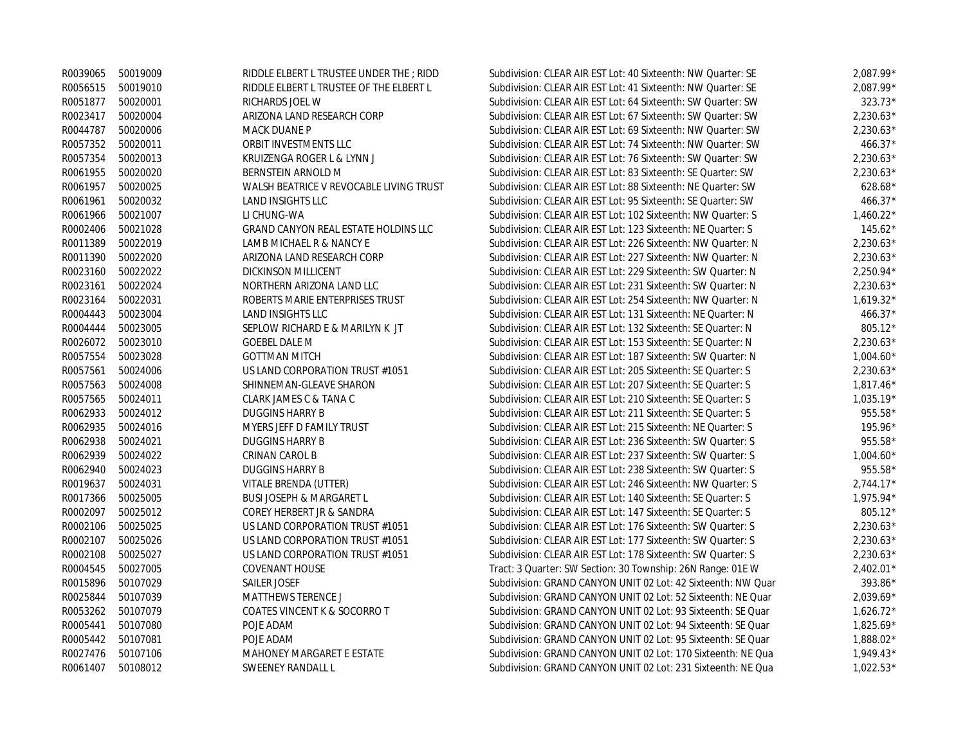|          | R0039065 50019009 | RIDDLE ELBERT L TRUSTEE UNDER THE ; RIDD    | Subdivision: CLEAR AIR EST Lot: 40 Sixteenth: NW Quarter: SE | $2,087.99*$ |
|----------|-------------------|---------------------------------------------|--------------------------------------------------------------|-------------|
| R0056515 | 50019010          | RIDDLE ELBERT L TRUSTEE OF THE ELBERT L     | Subdivision: CLEAR AIR EST Lot: 41 Sixteenth: NW Quarter: SE | 2,087.99*   |
| R0051877 | 50020001          | RICHARDS JOEL W                             | Subdivision: CLEAR AIR EST Lot: 64 Sixteenth: SW Quarter: SW | 323.73*     |
| R0023417 | 50020004          | ARIZONA LAND RESEARCH CORP                  | Subdivision: CLEAR AIR EST Lot: 67 Sixteenth: SW Quarter: SW | $2,230.63*$ |
| R0044787 | 50020006          | MACK DUANE P                                | Subdivision: CLEAR AIR EST Lot: 69 Sixteenth: NW Quarter: SW | $2,230.63*$ |
| R0057352 | 50020011          | ORBIT INVESTMENTS LLC                       | Subdivision: CLEAR AIR EST Lot: 74 Sixteenth: NW Quarter: SW | 466.37*     |
| R0057354 | 50020013          | KRUIZENGA ROGER L & LYNN J                  | Subdivision: CLEAR AIR EST Lot: 76 Sixteenth: SW Quarter: SW | $2,230.63*$ |
| R0061955 | 50020020          | BERNSTEIN ARNOLD M                          | Subdivision: CLEAR AIR EST Lot: 83 Sixteenth: SE Quarter: SW | $2,230.63*$ |
| R0061957 | 50020025          | WALSH BEATRICE V REVOCABLE LIVING TRUST     | Subdivision: CLEAR AIR EST Lot: 88 Sixteenth: NE Quarter: SW | $628.68*$   |
| R0061961 | 50020032          | <b>LAND INSIGHTS LLC</b>                    | Subdivision: CLEAR AIR EST Lot: 95 Sixteenth: SE Quarter: SW | 466.37*     |
| R0061966 | 50021007          | LI CHUNG-WA                                 | Subdivision: CLEAR AIR EST Lot: 102 Sixteenth: NW Quarter: S | $1,460.22*$ |
| R0002406 | 50021028          | <b>GRAND CANYON REAL ESTATE HOLDINS LLC</b> | Subdivision: CLEAR AIR EST Lot: 123 Sixteenth: NE Quarter: S | $145.62*$   |
| R0011389 | 50022019          | LAMB MICHAEL R & NANCY E                    | Subdivision: CLEAR AIR EST Lot: 226 Sixteenth: NW Quarter: N | $2,230.63*$ |
| R0011390 | 50022020          | ARIZONA LAND RESEARCH CORP                  | Subdivision: CLEAR AIR EST Lot: 227 Sixteenth: NW Quarter: N | $2,230.63*$ |
| R0023160 | 50022022          | DICKINSON MILLICENT                         | Subdivision: CLEAR AIR EST Lot: 229 Sixteenth: SW Quarter: N | $2,250.94*$ |
| R0023161 | 50022024          | NORTHERN ARIZONA LAND LLC                   | Subdivision: CLEAR AIR EST Lot: 231 Sixteenth: SW Quarter: N | $2,230.63*$ |
| R0023164 | 50022031          | ROBERTS MARIE ENTERPRISES TRUST             | Subdivision: CLEAR AIR EST Lot: 254 Sixteenth: NW Quarter: N | $1,619.32*$ |
| R0004443 | 50023004          | <b>LAND INSIGHTS LLC</b>                    | Subdivision: CLEAR AIR EST Lot: 131 Sixteenth: NE Quarter: N | 466.37*     |
| R0004444 | 50023005          | SEPLOW RICHARD E & MARILYN K JT             | Subdivision: CLEAR AIR EST Lot: 132 Sixteenth: SE Quarter: N | 805.12*     |
| R0026072 | 50023010          | <b>GOEBEL DALE M</b>                        | Subdivision: CLEAR AIR EST Lot: 153 Sixteenth: SE Quarter: N | $2,230.63*$ |
| R0057554 | 50023028          | <b>GOTTMAN MITCH</b>                        | Subdivision: CLEAR AIR EST Lot: 187 Sixteenth: SW Quarter: N | $1,004.60*$ |
| R0057561 | 50024006          | US LAND CORPORATION TRUST #1051             | Subdivision: CLEAR AIR EST Lot: 205 Sixteenth: SE Quarter: S | $2,230.63*$ |
| R0057563 | 50024008          | SHINNEMAN-GLEAVE SHARON                     | Subdivision: CLEAR AIR EST Lot: 207 Sixteenth: SE Quarter: S | $1,817.46*$ |
| R0057565 | 50024011          | CLARK JAMES C & TANA C                      | Subdivision: CLEAR AIR EST Lot: 210 Sixteenth: SE Quarter: S | $1,035.19*$ |
| R0062933 | 50024012          | <b>DUGGINS HARRY B</b>                      | Subdivision: CLEAR AIR EST Lot: 211 Sixteenth: SE Quarter: S | 955.58*     |
| R0062935 | 50024016          | MYERS JEFF D FAMILY TRUST                   | Subdivision: CLEAR AIR EST Lot: 215 Sixteenth: NE Quarter: S | 195.96*     |
| R0062938 | 50024021          | <b>DUGGINS HARRY B</b>                      | Subdivision: CLEAR AIR EST Lot: 236 Sixteenth: SW Quarter: S | 955.58*     |
| R0062939 | 50024022          | CRINAN CAROL B                              | Subdivision: CLEAR AIR EST Lot: 237 Sixteenth: SW Quarter: S | $1,004.60*$ |
| R0062940 | 50024023          | <b>DUGGINS HARRY B</b>                      | Subdivision: CLEAR AIR EST Lot: 238 Sixteenth: SW Quarter: S | 955.58*     |
| R0019637 | 50024031          | VITALE BRENDA (UTTER)                       | Subdivision: CLEAR AIR EST Lot: 246 Sixteenth: NW Quarter: S | $2,744.17*$ |
| R0017366 | 50025005          | <b>BUSI JOSEPH &amp; MARGARET L</b>         | Subdivision: CLEAR AIR EST Lot: 140 Sixteenth: SE Quarter: S | $1,975.94*$ |
| R0002097 | 50025012          | COREY HERBERT JR & SANDRA                   | Subdivision: CLEAR AIR EST Lot: 147 Sixteenth: SE Quarter: S | 805.12*     |
| R0002106 | 50025025          | US LAND CORPORATION TRUST #1051             | Subdivision: CLEAR AIR EST Lot: 176 Sixteenth: SW Quarter: S | $2,230.63*$ |
| R0002107 | 50025026          | US LAND CORPORATION TRUST #1051             | Subdivision: CLEAR AIR EST Lot: 177 Sixteenth: SW Quarter: S | $2,230.63*$ |
| R0002108 | 50025027          | US LAND CORPORATION TRUST #1051             | Subdivision: CLEAR AIR EST Lot: 178 Sixteenth: SW Quarter: S | $2,230.63*$ |
| R0004545 | 50027005          | <b>COVENANT HOUSE</b>                       | Tract: 3 Quarter: SW Section: 30 Township: 26N Range: 01E W  | $2,402.01*$ |
| R0015896 | 50107029          | SAILER JOSEF                                | Subdivision: GRAND CANYON UNIT 02 Lot: 42 Sixteenth: NW Quar | 393.86*     |
| R0025844 | 50107039          | <b>MATTHEWS TERENCE J</b>                   | Subdivision: GRAND CANYON UNIT 02 Lot: 52 Sixteenth: NE Quar | $2,039.69*$ |
| R0053262 | 50107079          | COATES VINCENT K & SOCORRO T                | Subdivision: GRAND CANYON UNIT 02 Lot: 93 Sixteenth: SE Quar | $1,626.72*$ |
| R0005441 | 50107080          | POJE ADAM                                   | Subdivision: GRAND CANYON UNIT 02 Lot: 94 Sixteenth: SE Quar | $1,825.69*$ |
| R0005442 | 50107081          | POJE ADAM                                   | Subdivision: GRAND CANYON UNIT 02 Lot: 95 Sixteenth: SE Quar | 1,888.02*   |
| R0027476 | 50107106          | MAHONEY MARGARET E ESTATE                   | Subdivision: GRAND CANYON UNIT 02 Lot: 170 Sixteenth: NE Qua | $1,949.43*$ |
| R0061407 | 50108012          | <b>SWEENEY RANDALL L</b>                    | Subdivision: GRAND CANYON UNIT 02 Lot: 231 Sixteenth: NE Qua | $1.022.53*$ |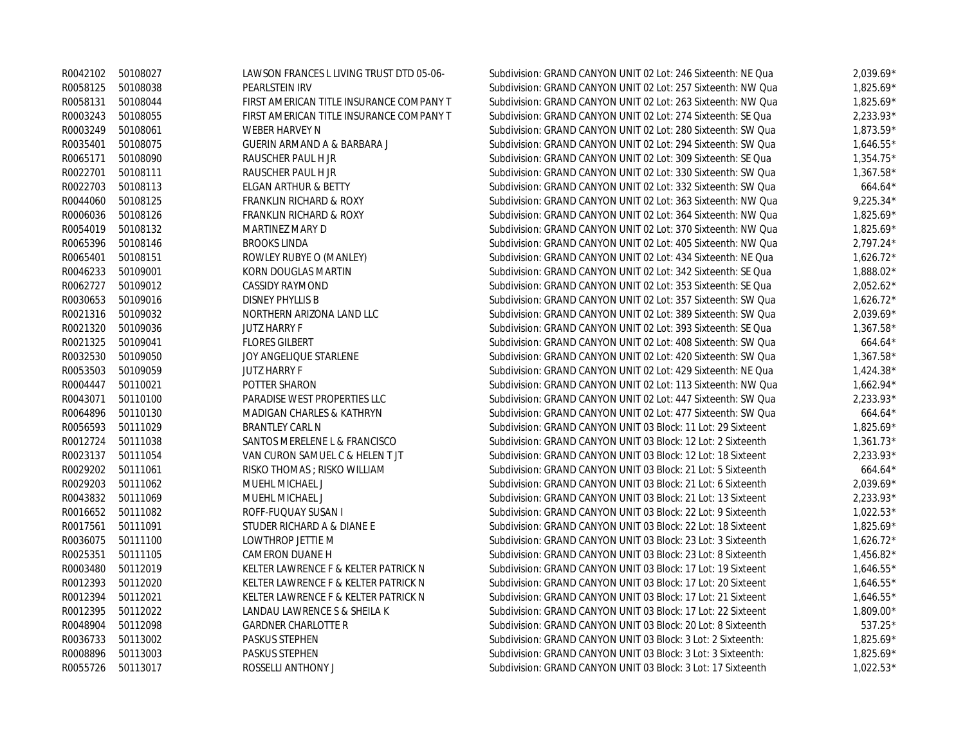| R0042102 | 50108027          | LAWSON FRANCES L LIVING TRUST DTD 05-06- | Subdivision: GRAND CANYON UNIT 02 Lot: 246 Sixteenth: NE Qua | $2.039.69*$ |
|----------|-------------------|------------------------------------------|--------------------------------------------------------------|-------------|
| R0058125 | 50108038          | <b>PEARLSTEIN IRV</b>                    | Subdivision: GRAND CANYON UNIT 02 Lot: 257 Sixteenth: NW Qua | $1,825.69*$ |
| R0058131 | 50108044          | FIRST AMERICAN TITLE INSURANCE COMPANY T | Subdivision: GRAND CANYON UNIT 02 Lot: 263 Sixteenth: NW Qua | $1,825.69*$ |
| R0003243 | 50108055          | FIRST AMERICAN TITLE INSURANCE COMPANY T | Subdivision: GRAND CANYON UNIT 02 Lot: 274 Sixteenth: SE Qua | $2,233.93*$ |
| R0003249 | 50108061          | WEBER HARVEY N                           | Subdivision: GRAND CANYON UNIT 02 Lot: 280 Sixteenth: SW Qua | $1.873.59*$ |
| R0035401 | 50108075          | GUERIN ARMAND A & BARBARA J              | Subdivision: GRAND CANYON UNIT 02 Lot: 294 Sixteenth: SW Qua | $1,646.55*$ |
| R0065171 | 50108090          | RAUSCHER PAUL H JR                       | Subdivision: GRAND CANYON UNIT 02 Lot: 309 Sixteenth: SE Qua | $1.354.75*$ |
| R0022701 | 50108111          | RAUSCHER PAUL H JR                       | Subdivision: GRAND CANYON UNIT 02 Lot: 330 Sixteenth: SW Qua | $1,367.58*$ |
| R0022703 | 50108113          | ELGAN ARTHUR & BETTY                     | Subdivision: GRAND CANYON UNIT 02 Lot: 332 Sixteenth: SW Qua | 664.64*     |
| R0044060 | 50108125          | FRANKLIN RICHARD & ROXY                  | Subdivision: GRAND CANYON UNIT 02 Lot: 363 Sixteenth: NW Qua | $9.225.34*$ |
| R0006036 | 50108126          | FRANKLIN RICHARD & ROXY                  | Subdivision: GRAND CANYON UNIT 02 Lot: 364 Sixteenth: NW Qua | $1,825.69*$ |
| R0054019 | 50108132          | MARTINEZ MARY D                          | Subdivision: GRAND CANYON UNIT 02 Lot: 370 Sixteenth: NW Qua | $1,825.69*$ |
| R0065396 | 50108146          | <b>BROOKS LINDA</b>                      | Subdivision: GRAND CANYON UNIT 02 Lot: 405 Sixteenth: NW Qua | $2.797.24*$ |
| R0065401 | 50108151          | ROWLEY RUBYE O (MANLEY)                  | Subdivision: GRAND CANYON UNIT 02 Lot: 434 Sixteenth: NE Qua | $1,626.72*$ |
| R0046233 | 50109001          | KORN DOUGLAS MARTIN                      | Subdivision: GRAND CANYON UNIT 02 Lot: 342 Sixteenth: SE Qua | 1,888.02*   |
| R0062727 | 50109012          | CASSIDY RAYMOND                          | Subdivision: GRAND CANYON UNIT 02 Lot: 353 Sixteenth: SE Qua | $2,052.62*$ |
| R0030653 | 50109016          | DISNEY PHYLLIS B                         | Subdivision: GRAND CANYON UNIT 02 Lot: 357 Sixteenth: SW Qua | $1.626.72*$ |
| R0021316 | 50109032          | NORTHERN ARIZONA LAND LLC                | Subdivision: GRAND CANYON UNIT 02 Lot: 389 Sixteenth: SW Qua | 2,039.69*   |
| R0021320 | 50109036          | <b>JUTZ HARRY F</b>                      | Subdivision: GRAND CANYON UNIT 02 Lot: 393 Sixteenth: SE Qua | $1,367.58*$ |
| R0021325 | 50109041          | <b>FLORES GILBERT</b>                    | Subdivision: GRAND CANYON UNIT 02 Lot: 408 Sixteenth: SW Qua | 664.64*     |
| R0032530 | 50109050          | JOY ANGELIQUE STARLENE                   | Subdivision: GRAND CANYON UNIT 02 Lot: 420 Sixteenth: SW Qua | $1,367.58*$ |
| R0053503 | 50109059          | <b>JUTZ HARRY F</b>                      | Subdivision: GRAND CANYON UNIT 02 Lot: 429 Sixteenth: NE Qua | $1,424.38*$ |
| R0004447 | 50110021          | POTTER SHARON                            | Subdivision: GRAND CANYON UNIT 02 Lot: 113 Sixteenth: NW Qua | $1,662.94*$ |
| R0043071 | 50110100          | PARADISE WEST PROPERTIES LLC             | Subdivision: GRAND CANYON UNIT 02 Lot: 447 Sixteenth: SW Qua | $2,233.93*$ |
| R0064896 | 50110130          | MADIGAN CHARLES & KATHRYN                | Subdivision: GRAND CANYON UNIT 02 Lot: 477 Sixteenth: SW Qua | $664.64*$   |
| R0056593 | 50111029          | <b>BRANTLEY CARL N</b>                   | Subdivision: GRAND CANYON UNIT 03 Block: 11 Lot: 29 Sixteent | 1,825.69*   |
| R0012724 | 50111038          | SANTOS MERELENE L & FRANCISCO            | Subdivision: GRAND CANYON UNIT 03 Block: 12 Lot: 2 Sixteenth | $1,361.73*$ |
| R0023137 | 50111054          | VAN CURON SAMUEL C & HELEN T JT          | Subdivision: GRAND CANYON UNIT 03 Block: 12 Lot: 18 Sixteent | $2,233.93*$ |
| R0029202 | 50111061          | RISKO THOMAS ; RISKO WILLIAM             | Subdivision: GRAND CANYON UNIT 03 Block: 21 Lot: 5 Sixteenth | $664.64*$   |
| R0029203 | 50111062          | MUEHL MICHAEL J                          | Subdivision: GRAND CANYON UNIT 03 Block: 21 Lot: 6 Sixteenth | 2,039.69*   |
| R0043832 | 50111069          | MUEHL MICHAEL J                          | Subdivision: GRAND CANYON UNIT 03 Block: 21 Lot: 13 Sixteent | 2,233.93*   |
|          | R0016652 50111082 | ROFF-FUQUAY SUSAN I                      | Subdivision: GRAND CANYON UNIT 03 Block: 22 Lot: 9 Sixteenth | $1,022.53*$ |
| R0017561 | 50111091          | STUDER RICHARD A & DIANE E               | Subdivision: GRAND CANYON UNIT 03 Block: 22 Lot: 18 Sixteent | $1.825.69*$ |
| R0036075 | 50111100          | LOWTHROP JETTIE M                        | Subdivision: GRAND CANYON UNIT 03 Block: 23 Lot: 3 Sixteenth | $1,626.72*$ |
| R0025351 | 50111105          | <b>CAMERON DUANE H</b>                   | Subdivision: GRAND CANYON UNIT 03 Block: 23 Lot: 8 Sixteenth | $1,456.82*$ |
| R0003480 | 50112019          | KELTER LAWRENCE F & KELTER PATRICK N     | Subdivision: GRAND CANYON UNIT 03 Block: 17 Lot: 19 Sixteent | $1,646.55*$ |
| R0012393 | 50112020          | KELTER LAWRENCE F & KELTER PATRICK N     | Subdivision: GRAND CANYON UNIT 03 Block: 17 Lot: 20 Sixteent | $1,646.55*$ |
| R0012394 | 50112021          | KELTER LAWRENCE F & KELTER PATRICK N     | Subdivision: GRAND CANYON UNIT 03 Block: 17 Lot: 21 Sixteent | $1,646.55*$ |
| R0012395 | 50112022          | LANDAU LAWRENCE S & SHEILA K             | Subdivision: GRAND CANYON UNIT 03 Block: 17 Lot: 22 Sixteent | 1,809.00*   |
| R0048904 | 50112098          | <b>GARDNER CHARLOTTE R</b>               | Subdivision: GRAND CANYON UNIT 03 Block: 20 Lot: 8 Sixteenth | 537.25*     |
| R0036733 | 50113002          | <b>PASKUS STEPHEN</b>                    | Subdivision: GRAND CANYON UNIT 03 Block: 3 Lot: 2 Sixteenth: | 1,825.69*   |
| R0008896 | 50113003          | <b>PASKUS STEPHEN</b>                    | Subdivision: GRAND CANYON UNIT 03 Block: 3 Lot: 3 Sixteenth: | $1,825.69*$ |
| R0055726 | 50113017          | ROSSELLI ANTHONY J                       | Subdivision: GRAND CANYON UNIT 03 Block: 3 Lot: 17 Sixteenth | $1.022.53*$ |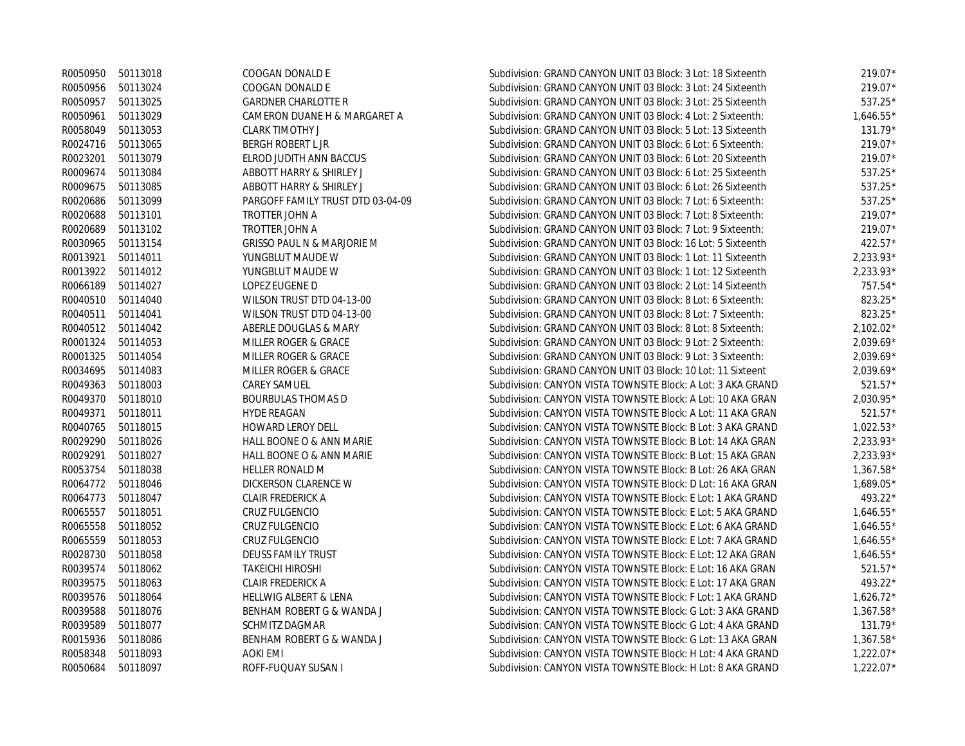|          | R0050950 50113018 | COOGAN DONALD E                       | Subdivision: GRAND CANYON UNIT 03 Block: 3 Lot: 18 Sixteenth | $219.07*$   |
|----------|-------------------|---------------------------------------|--------------------------------------------------------------|-------------|
|          | R0050956 50113024 | COOGAN DONALD E                       | Subdivision: GRAND CANYON UNIT 03 Block: 3 Lot: 24 Sixteenth | 219.07*     |
| R0050957 | 50113025          | <b>GARDNER CHARLOTTE R</b>            | Subdivision: GRAND CANYON UNIT 03 Block: 3 Lot: 25 Sixteenth | 537.25*     |
| R0050961 | 50113029          | CAMERON DUANE H & MARGARET A          | Subdivision: GRAND CANYON UNIT 03 Block: 4 Lot: 2 Sixteenth: | $1,646.55*$ |
|          | R0058049 50113053 | <b>CLARK TIMOTHY J</b>                | Subdivision: GRAND CANYON UNIT 03 Block: 5 Lot: 13 Sixteenth | 131.79*     |
|          | R0024716 50113065 | BERGH ROBERT L JR                     | Subdivision: GRAND CANYON UNIT 03 Block: 6 Lot: 6 Sixteenth: | $219.07*$   |
|          | R0023201 50113079 | ELROD JUDITH ANN BACCUS               | Subdivision: GRAND CANYON UNIT 03 Block: 6 Lot: 20 Sixteenth | 219.07*     |
|          | R0009674 50113084 | ABBOTT HARRY & SHIRLEY J              | Subdivision: GRAND CANYON UNIT 03 Block: 6 Lot: 25 Sixteenth | 537.25*     |
|          | R0009675 50113085 | ABBOTT HARRY & SHIRLEY J              | Subdivision: GRAND CANYON UNIT 03 Block: 6 Lot: 26 Sixteenth | 537.25*     |
| R0020686 | 50113099          | PARGOFF FAMILY TRUST DTD 03-04-09     | Subdivision: GRAND CANYON UNIT 03 Block: 7 Lot: 6 Sixteenth: | 537.25*     |
| R0020688 | 50113101          | TROTTER JOHN A                        | Subdivision: GRAND CANYON UNIT 03 Block: 7 Lot: 8 Sixteenth: | 219.07*     |
| R0020689 | 50113102          | TROTTER JOHN A                        | Subdivision: GRAND CANYON UNIT 03 Block: 7 Lot: 9 Sixteenth: | 219.07*     |
|          | R0030965 50113154 | <b>GRISSO PAUL N &amp; MARJORIE M</b> | Subdivision: GRAND CANYON UNIT 03 Block: 16 Lot: 5 Sixteenth | 422.57*     |
|          | R0013921 50114011 | YUNGBLUT MAUDE W                      | Subdivision: GRAND CANYON UNIT 03 Block: 1 Lot: 11 Sixteenth | 2,233.93*   |
|          | R0013922 50114012 | YUNGBLUT MAUDE W                      | Subdivision: GRAND CANYON UNIT 03 Block: 1 Lot: 12 Sixteenth | 2,233.93*   |
| R0066189 | 50114027          | LOPEZ EUGENE D                        | Subdivision: GRAND CANYON UNIT 03 Block: 2 Lot: 14 Sixteenth | 757.54*     |
|          | R0040510 50114040 | WILSON TRUST DTD 04-13-00             | Subdivision: GRAND CANYON UNIT 03 Block: 8 Lot: 6 Sixteenth: | 823.25*     |
|          | R0040511 50114041 | WILSON TRUST DTD 04-13-00             | Subdivision: GRAND CANYON UNIT 03 Block: 8 Lot: 7 Sixteenth: | 823.25*     |
|          | R0040512 50114042 | ABERLE DOUGLAS & MARY                 | Subdivision: GRAND CANYON UNIT 03 Block: 8 Lot: 8 Sixteenth: | $2,102.02*$ |
| R0001324 | 50114053          | MILLER ROGER & GRACE                  | Subdivision: GRAND CANYON UNIT 03 Block: 9 Lot: 2 Sixteenth: | 2,039.69*   |
| R0001325 | 50114054          | MILLER ROGER & GRACE                  | Subdivision: GRAND CANYON UNIT 03 Block: 9 Lot: 3 Sixteenth: | 2,039.69*   |
|          | R0034695 50114083 | MILLER ROGER & GRACE                  | Subdivision: GRAND CANYON UNIT 03 Block: 10 Lot: 11 Sixteent | $2,039.69*$ |
|          | R0049363 50118003 | <b>CAREY SAMUEL</b>                   | Subdivision: CANYON VISTA TOWNSITE Block: A Lot: 3 AKA GRAND | 521.57*     |
|          | R0049370 50118010 | <b>BOURBULAS THOMAS D</b>             | Subdivision: CANYON VISTA TOWNSITE Block: A Lot: 10 AKA GRAN | $2,030.95*$ |
| R0049371 | 50118011          | <b>HYDE REAGAN</b>                    | Subdivision: CANYON VISTA TOWNSITE Block: A Lot: 11 AKA GRAN | 521.57*     |
| R0040765 | 50118015          | <b>HOWARD LEROY DELL</b>              | Subdivision: CANYON VISTA TOWNSITE Block: B Lot: 3 AKA GRAND | $1,022.53*$ |
| R0029290 | 50118026          | HALL BOONE O & ANN MARIE              | Subdivision: CANYON VISTA TOWNSITE Block: B Lot: 14 AKA GRAN | $2,233.93*$ |
| R0029291 | 50118027          | HALL BOONE O & ANN MARIE              | Subdivision: CANYON VISTA TOWNSITE Block: B Lot: 15 AKA GRAN | $2,233.93*$ |
| R0053754 | 50118038          | <b>HELLER RONALD M</b>                | Subdivision: CANYON VISTA TOWNSITE Block: B Lot: 26 AKA GRAN | $1,367.58*$ |
|          | R0064772 50118046 | DICKERSON CLARENCE W                  | Subdivision: CANYON VISTA TOWNSITE Block: D Lot: 16 AKA GRAN | 1,689.05*   |
|          | R0064773 50118047 | <b>CLAIR FREDERICK A</b>              | Subdivision: CANYON VISTA TOWNSITE Block: E Lot: 1 AKA GRAND | 493.22*     |
|          | R0065557 50118051 | CRUZ FULGENCIO                        | Subdivision: CANYON VISTA TOWNSITE Block: E Lot: 5 AKA GRAND | $1,646.55*$ |
| R0065558 | 50118052          | CRUZ FULGENCIO                        | Subdivision: CANYON VISTA TOWNSITE Block: E Lot: 6 AKA GRAND | $1,646.55*$ |
| R0065559 | 50118053          | <b>CRUZ FULGENCIO</b>                 | Subdivision: CANYON VISTA TOWNSITE Block: E Lot: 7 AKA GRAND | $1,646.55*$ |
| R0028730 | 50118058          | <b>DEUSS FAMILY TRUST</b>             | Subdivision: CANYON VISTA TOWNSITE Block: E Lot: 12 AKA GRAN | $1,646.55*$ |
| R0039574 | 50118062          | <b>TAKEICHI HIROSHI</b>               | Subdivision: CANYON VISTA TOWNSITE Block: E Lot: 16 AKA GRAN | 521.57*     |
| R0039575 | 50118063          | <b>CLAIR FREDERICK A</b>              | Subdivision: CANYON VISTA TOWNSITE Block: E Lot: 17 AKA GRAN | 493.22*     |
| R0039576 | 50118064          | <b>HELLWIG ALBERT &amp; LENA</b>      | Subdivision: CANYON VISTA TOWNSITE Block: F Lot: 1 AKA GRAND | $1,626.72*$ |
| R0039588 | 50118076          | BENHAM ROBERT G & WANDA J             | Subdivision: CANYON VISTA TOWNSITE Block: G Lot: 3 AKA GRAND | $1,367.58*$ |
| R0039589 | 50118077          | SCHMITZ DAGMAR                        | Subdivision: CANYON VISTA TOWNSITE Block: G Lot: 4 AKA GRAND | 131.79*     |
| R0015936 | 50118086          | BENHAM ROBERT G & WANDA J             | Subdivision: CANYON VISTA TOWNSITE Block: G Lot: 13 AKA GRAN | $1,367.58*$ |
| R0058348 | 50118093          | <b>AOKI EMI</b>                       | Subdivision: CANYON VISTA TOWNSITE Block: H Lot: 4 AKA GRAND | $1,222.07*$ |
| R0050684 | 50118097          | ROFF-FUQUAY SUSAN I                   | Subdivision: CANYON VISTA TOWNSITE Block: H Lot: 8 AKA GRAND | $1.222.07*$ |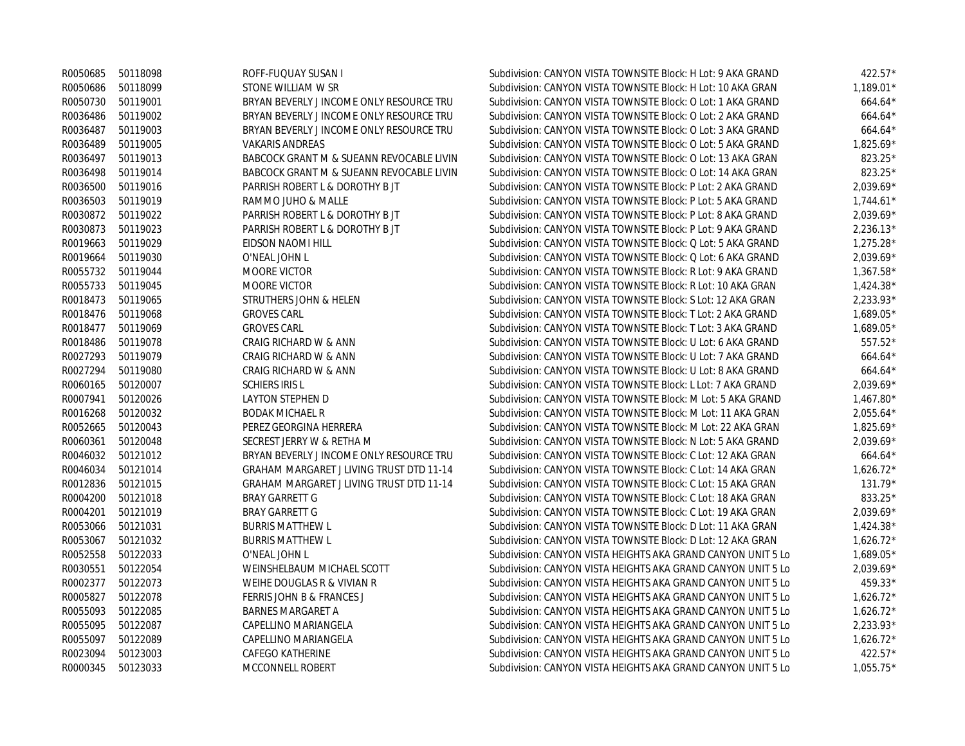| R0050685          | 50118098          | ROFF-FUQUAY SUSAN I                      | Subdivision: CANYON VISTA TOWNSITE Block: H Lot: 9 AKA GRAND | $422.57*$   |
|-------------------|-------------------|------------------------------------------|--------------------------------------------------------------|-------------|
| R0050686          | 50118099          | STONE WILLIAM W SR                       | Subdivision: CANYON VISTA TOWNSITE Block: H Lot: 10 AKA GRAN | 1,189.01*   |
| R0050730          | 50119001          | BRYAN BEVERLY J INCOME ONLY RESOURCE TRU | Subdivision: CANYON VISTA TOWNSITE Block: O Lot: 1 AKA GRAND | $664.64*$   |
| R0036486          | 50119002          | BRYAN BEVERLY J INCOME ONLY RESOURCE TRU | Subdivision: CANYON VISTA TOWNSITE Block: O Lot: 2 AKA GRAND | $664.64*$   |
| R0036487          | 50119003          | BRYAN BEVERLY J INCOME ONLY RESOURCE TRU | Subdivision: CANYON VISTA TOWNSITE Block: O Lot: 3 AKA GRAND | $664.64*$   |
| R0036489          | 50119005          | <b>VAKARIS ANDREAS</b>                   | Subdivision: CANYON VISTA TOWNSITE Block: O Lot: 5 AKA GRAND | $1,825.69*$ |
|                   | R0036497 50119013 | BABCOCK GRANT M & SUEANN REVOCABLE LIVIN | Subdivision: CANYON VISTA TOWNSITE Block: O Lot: 13 AKA GRAN | 823.25*     |
|                   | R0036498 50119014 | BABCOCK GRANT M & SUEANN REVOCABLE LIVIN | Subdivision: CANYON VISTA TOWNSITE Block: O Lot: 14 AKA GRAN | 823.25*     |
|                   | R0036500 50119016 | PARRISH ROBERT L & DOROTHY B JT          | Subdivision: CANYON VISTA TOWNSITE Block: P Lot: 2 AKA GRAND | $2,039.69*$ |
| R0036503          | 50119019          | RAMMO JUHO & MALLE                       | Subdivision: CANYON VISTA TOWNSITE Block: P Lot: 5 AKA GRAND | $1.744.61*$ |
|                   | R0030872 50119022 | PARRISH ROBERT L & DOROTHY B JT          | Subdivision: CANYON VISTA TOWNSITE Block: P Lot: 8 AKA GRAND | $2,039.69*$ |
|                   | R0030873 50119023 | PARRISH ROBERT L & DOROTHY B JT          | Subdivision: CANYON VISTA TOWNSITE Block: P Lot: 9 AKA GRAND | $2,236.13*$ |
|                   | R0019663 50119029 | EIDSON NAOMI HILL                        | Subdivision: CANYON VISTA TOWNSITE Block: Q Lot: 5 AKA GRAND | $1.275.28*$ |
|                   | R0019664 50119030 | O'NEAL JOHN L                            | Subdivision: CANYON VISTA TOWNSITE Block: Q Lot: 6 AKA GRAND | $2,039.69*$ |
|                   | R0055732 50119044 | <b>MOORE VICTOR</b>                      | Subdivision: CANYON VISTA TOWNSITE Block: R Lot: 9 AKA GRAND | $1,367.58*$ |
|                   | R0055733 50119045 | <b>MOORE VICTOR</b>                      | Subdivision: CANYON VISTA TOWNSITE Block: R Lot: 10 AKA GRAN | $1,424.38*$ |
|                   | R0018473 50119065 | STRUTHERS JOHN & HELEN                   | Subdivision: CANYON VISTA TOWNSITE Block: S Lot: 12 AKA GRAN | $2.233.93*$ |
| R0018476          | 50119068          | <b>GROVES CARL</b>                       | Subdivision: CANYON VISTA TOWNSITE Block: T Lot: 2 AKA GRAND | 1,689.05*   |
| R0018477          | 50119069          | <b>GROVES CARL</b>                       | Subdivision: CANYON VISTA TOWNSITE Block: T Lot: 3 AKA GRAND | 1,689.05*   |
| R0018486          | 50119078          | CRAIG RICHARD W & ANN                    | Subdivision: CANYON VISTA TOWNSITE Block: U Lot: 6 AKA GRAND | 557.52*     |
|                   | R0027293 50119079 | CRAIG RICHARD W & ANN                    | Subdivision: CANYON VISTA TOWNSITE Block: U Lot: 7 AKA GRAND | $664.64*$   |
| R0027294          | 50119080          | CRAIG RICHARD W & ANN                    | Subdivision: CANYON VISTA TOWNSITE Block: U Lot: 8 AKA GRAND | $664.64*$   |
| R0060165          | 50120007          | <b>SCHIERS IRIS L</b>                    | Subdivision: CANYON VISTA TOWNSITE Block: L Lot: 7 AKA GRAND | $2,039.69*$ |
|                   | R0007941 50120026 | LAYTON STEPHEN D                         | Subdivision: CANYON VISTA TOWNSITE Block: M Lot: 5 AKA GRAND | $1,467.80*$ |
| R0016268          | 50120032          | <b>BODAK MICHAEL R</b>                   | Subdivision: CANYON VISTA TOWNSITE Block: M Lot: 11 AKA GRAN | $2,055.64*$ |
| R0052665          | 50120043          | PEREZ GEORGINA HERRERA                   | Subdivision: CANYON VISTA TOWNSITE Block: M Lot: 22 AKA GRAN | $1,825.69*$ |
| R0060361          | 50120048          | SECREST JERRY W & RETHA M                | Subdivision: CANYON VISTA TOWNSITE Block: N Lot: 5 AKA GRAND | $2,039.69*$ |
|                   | R0046032 50121012 | BRYAN BEVERLY J INCOME ONLY RESOURCE TRU | Subdivision: CANYON VISTA TOWNSITE Block: C Lot: 12 AKA GRAN | 664.64*     |
| R0046034          | 50121014          | GRAHAM MARGARET J LIVING TRUST DTD 11-14 | Subdivision: CANYON VISTA TOWNSITE Block: C Lot: 14 AKA GRAN | $1,626.72*$ |
| R0012836          | 50121015          | GRAHAM MARGARET J LIVING TRUST DTD 11-14 | Subdivision: CANYON VISTA TOWNSITE Block: C Lot: 15 AKA GRAN | $131.79*$   |
|                   | R0004200 50121018 | <b>BRAY GARRETT G</b>                    | Subdivision: CANYON VISTA TOWNSITE Block: C Lot: 18 AKA GRAN | 833.25*     |
|                   | R0004201 50121019 | <b>BRAY GARRETT G</b>                    | Subdivision: CANYON VISTA TOWNSITE Block: C Lot: 19 AKA GRAN | $2,039.69*$ |
| R0053066 50121031 |                   | <b>BURRIS MATTHEW L</b>                  | Subdivision: CANYON VISTA TOWNSITE Block: D Lot: 11 AKA GRAN | $1,424.38*$ |
| R0053067          | 50121032          | <b>BURRIS MATTHEW L</b>                  | Subdivision: CANYON VISTA TOWNSITE Block: D Lot: 12 AKA GRAN | $1,626.72*$ |
| R0052558          | 50122033          | O'NEAL JOHN L                            | Subdivision: CANYON VISTA HEIGHTS AKA GRAND CANYON UNIT 5 Lo | 1,689.05*   |
| R0030551          | 50122054          | WEINSHELBAUM MICHAEL SCOTT               | Subdivision: CANYON VISTA HEIGHTS AKA GRAND CANYON UNIT 5 Lo | $2,039.69*$ |
| R0002377          | 50122073          | WEIHE DOUGLAS R & VIVIAN R               | Subdivision: CANYON VISTA HEIGHTS AKA GRAND CANYON UNIT 5 Lo | 459.33*     |
| R0005827          | 50122078          | FERRIS JOHN B & FRANCES J                | Subdivision: CANYON VISTA HEIGHTS AKA GRAND CANYON UNIT 5 Lo | $1,626.72*$ |
| R0055093          | 50122085          | <b>BARNES MARGARET A</b>                 | Subdivision: CANYON VISTA HEIGHTS AKA GRAND CANYON UNIT 5 Lo | $1,626.72*$ |
|                   | R0055095 50122087 | CAPELLINO MARIANGELA                     | Subdivision: CANYON VISTA HEIGHTS AKA GRAND CANYON UNIT 5 Lo | $2,233.93*$ |
| R0055097          | 50122089          | CAPELLINO MARIANGELA                     | Subdivision: CANYON VISTA HEIGHTS AKA GRAND CANYON UNIT 5 Lo | $1,626.72*$ |
| R0023094          | 50123003          | <b>CAFEGO KATHERINE</b>                  | Subdivision: CANYON VISTA HEIGHTS AKA GRAND CANYON UNIT 5 Lo | 422.57*     |
| R0000345          | 50123033          | <b>MCCONNELL ROBERT</b>                  | Subdivision: CANYON VISTA HEIGHTS AKA GRAND CANYON UNIT 5 Lo | $1.055.75*$ |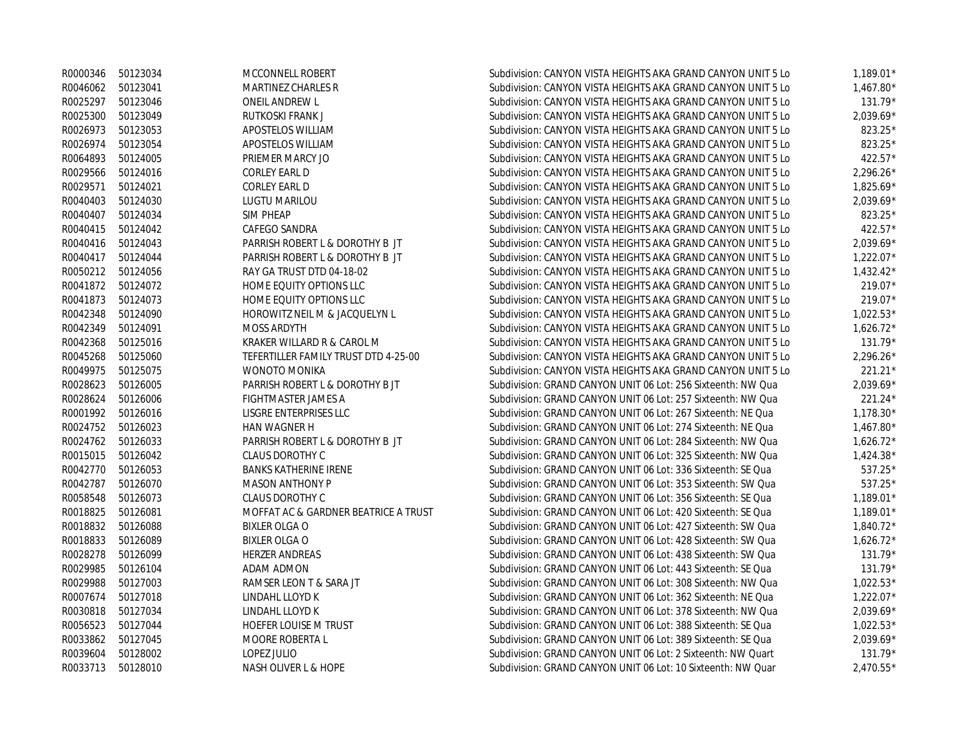|                   | R0000346 50123034 | MCCONNELL ROBERT                     | Subdivision: CANYON VISTA HEIGHTS AKA GRAND CANYON UNIT 5 Lo | $1,189.01*$ |
|-------------------|-------------------|--------------------------------------|--------------------------------------------------------------|-------------|
| R0046062 50123041 |                   | MARTINEZ CHARLES R                   | Subdivision: CANYON VISTA HEIGHTS AKA GRAND CANYON UNIT 5 Lo | $1,467.80*$ |
|                   | R0025297 50123046 | ONEIL ANDREW L                       | Subdivision: CANYON VISTA HEIGHTS AKA GRAND CANYON UNIT 5 Lo | $131.79*$   |
|                   | R0025300 50123049 | RUTKOSKI FRANK J                     | Subdivision: CANYON VISTA HEIGHTS AKA GRAND CANYON UNIT 5 Lo | $2,039.69*$ |
|                   | R0026973 50123053 | APOSTELOS WILLIAM                    | Subdivision: CANYON VISTA HEIGHTS AKA GRAND CANYON UNIT 5 Lo | 823.25*     |
|                   | R0026974 50123054 | APOSTELOS WILLIAM                    | Subdivision: CANYON VISTA HEIGHTS AKA GRAND CANYON UNIT 5 Lo | 823.25*     |
|                   | R0064893 50124005 | PRIEMER MARCY JO                     | Subdivision: CANYON VISTA HEIGHTS AKA GRAND CANYON UNIT 5 Lo | 422.57*     |
|                   | R0029566 50124016 | CORLEY EARL D                        | Subdivision: CANYON VISTA HEIGHTS AKA GRAND CANYON UNIT 5 Lo | $2,296.26*$ |
| R0029571 50124021 |                   | CORLEY EARL D                        | Subdivision: CANYON VISTA HEIGHTS AKA GRAND CANYON UNIT 5 Lo | $1,825.69*$ |
|                   | R0040403 50124030 | <b>LUGTU MARILOU</b>                 | Subdivision: CANYON VISTA HEIGHTS AKA GRAND CANYON UNIT 5 Lo | $2,039.69*$ |
| R0040407 50124034 |                   | SIM PHEAP                            | Subdivision: CANYON VISTA HEIGHTS AKA GRAND CANYON UNIT 5 Lo | 823.25*     |
|                   | R0040415 50124042 | CAFEGO SANDRA                        | Subdivision: CANYON VISTA HEIGHTS AKA GRAND CANYON UNIT 5 Lo | 422.57*     |
|                   | R0040416 50124043 | PARRISH ROBERT L & DOROTHY B JT      | Subdivision: CANYON VISTA HEIGHTS AKA GRAND CANYON UNIT 5 Lo | 2,039.69*   |
|                   | R0040417 50124044 | PARRISH ROBERT L & DOROTHY B JT      | Subdivision: CANYON VISTA HEIGHTS AKA GRAND CANYON UNIT 5 Lo | $1,222.07*$ |
|                   | R0050212 50124056 | RAY GA TRUST DTD 04-18-02            | Subdivision: CANYON VISTA HEIGHTS AKA GRAND CANYON UNIT 5 Lo | $1,432.42*$ |
|                   | R0041872 50124072 | HOME EQUITY OPTIONS LLC              | Subdivision: CANYON VISTA HEIGHTS AKA GRAND CANYON UNIT 5 Lo | 219.07*     |
|                   | R0041873 50124073 | HOME EQUITY OPTIONS LLC              | Subdivision: CANYON VISTA HEIGHTS AKA GRAND CANYON UNIT 5 Lo | 219.07*     |
|                   | R0042348 50124090 | HOROWITZ NEIL M & JACQUELYN L        | Subdivision: CANYON VISTA HEIGHTS AKA GRAND CANYON UNIT 5 Lo | $1,022.53*$ |
| R0042349 50124091 |                   | MOSS ARDYTH                          | Subdivision: CANYON VISTA HEIGHTS AKA GRAND CANYON UNIT 5 Lo | $1,626.72*$ |
|                   | R0042368 50125016 | KRAKER WILLARD R & CAROL M           | Subdivision: CANYON VISTA HEIGHTS AKA GRAND CANYON UNIT 5 Lo | 131.79*     |
|                   | R0045268 50125060 | TEFERTILLER FAMILY TRUST DTD 4-25-00 | Subdivision: CANYON VISTA HEIGHTS AKA GRAND CANYON UNIT 5 Lo | $2,296.26*$ |
|                   | R0049975 50125075 | <b>WONOTO MONIKA</b>                 | Subdivision: CANYON VISTA HEIGHTS AKA GRAND CANYON UNIT 5 Lo | $221.21*$   |
|                   | R0028623 50126005 | PARRISH ROBERT L & DOROTHY B JT      | Subdivision: GRAND CANYON UNIT 06 Lot: 256 Sixteenth: NW Qua | $2,039.69*$ |
| R0028624          | 50126006          | FIGHTMASTER JAMES A                  | Subdivision: GRAND CANYON UNIT 06 Lot: 257 Sixteenth: NW Qua | 221.24*     |
|                   | R0001992 50126016 | LISGRE ENTERPRISES LLC               | Subdivision: GRAND CANYON UNIT 06 Lot: 267 Sixteenth: NE Qua | 1,178.30*   |
|                   | R0024752 50126023 | HAN WAGNER H                         | Subdivision: GRAND CANYON UNIT 06 Lot: 274 Sixteenth: NE Qua | 1,467.80*   |
|                   | R0024762 50126033 | PARRISH ROBERT L & DOROTHY B JT      | Subdivision: GRAND CANYON UNIT 06 Lot: 284 Sixteenth: NW Qua | $1,626.72*$ |
|                   | R0015015 50126042 | <b>CLAUS DOROTHY C</b>               | Subdivision: GRAND CANYON UNIT 06 Lot: 325 Sixteenth: NW Qua | $1,424.38*$ |
|                   | R0042770 50126053 | <b>BANKS KATHERINE IRENE</b>         | Subdivision: GRAND CANYON UNIT 06 Lot: 336 Sixteenth: SE Qua | $537.25*$   |
|                   | R0042787 50126070 | <b>MASON ANTHONY P</b>               | Subdivision: GRAND CANYON UNIT 06 Lot: 353 Sixteenth: SW Qua | 537.25*     |
| R0058548          | 50126073          | <b>CLAUS DOROTHY C</b>               | Subdivision: GRAND CANYON UNIT 06 Lot: 356 Sixteenth: SE Qua | $1,189.01*$ |
| R0018825          | 50126081          | MOFFAT AC & GARDNER BEATRICE A TRUST | Subdivision: GRAND CANYON UNIT 06 Lot: 420 Sixteenth: SE Qua | $1,189.01*$ |
|                   | R0018832 50126088 | <b>BIXLER OLGA O</b>                 | Subdivision: GRAND CANYON UNIT 06 Lot: 427 Sixteenth: SW Qua | $1.840.72*$ |
|                   | R0018833 50126089 | <b>BIXLER OLGA O</b>                 | Subdivision: GRAND CANYON UNIT 06 Lot: 428 Sixteenth: SW Qua | $1,626.72*$ |
| R0028278          | 50126099          | HERZER ANDREAS                       | Subdivision: GRAND CANYON UNIT 06 Lot: 438 Sixteenth: SW Qua | 131.79*     |
| R0029985          | 50126104          | ADAM ADMON                           | Subdivision: GRAND CANYON UNIT 06 Lot: 443 Sixteenth: SE Qua | $131.79*$   |
| R0029988          | 50127003          | RAMSER LEON T & SARA JT              | Subdivision: GRAND CANYON UNIT 06 Lot: 308 Sixteenth: NW Qua | $1,022.53*$ |
| R0007674          | 50127018          | LINDAHL LLOYD K                      | Subdivision: GRAND CANYON UNIT 06 Lot: 362 Sixteenth: NE Qua | $1,222.07*$ |
| R0030818 50127034 |                   | LINDAHL LLOYD K                      | Subdivision: GRAND CANYON UNIT 06 Lot: 378 Sixteenth: NW Qua | 2,039.69*   |
|                   | R0056523 50127044 | HOEFER LOUISE M TRUST                | Subdivision: GRAND CANYON UNIT 06 Lot: 388 Sixteenth: SE Qua | $1,022.53*$ |
|                   | R0033862 50127045 | MOORE ROBERTA L                      | Subdivision: GRAND CANYON UNIT 06 Lot: 389 Sixteenth: SE Qua | $2,039.69*$ |
| R0039604          | 50128002          | LOPEZ JULIO                          | Subdivision: GRAND CANYON UNIT 06 Lot: 2 Sixteenth: NW Quart | $131.79*$   |
| R0033713          | 50128010          | NASH OLIVER L & HOPE                 | Subdivision: GRAND CANYON UNIT 06 Lot: 10 Sixteenth: NW Quar | $2.470.55*$ |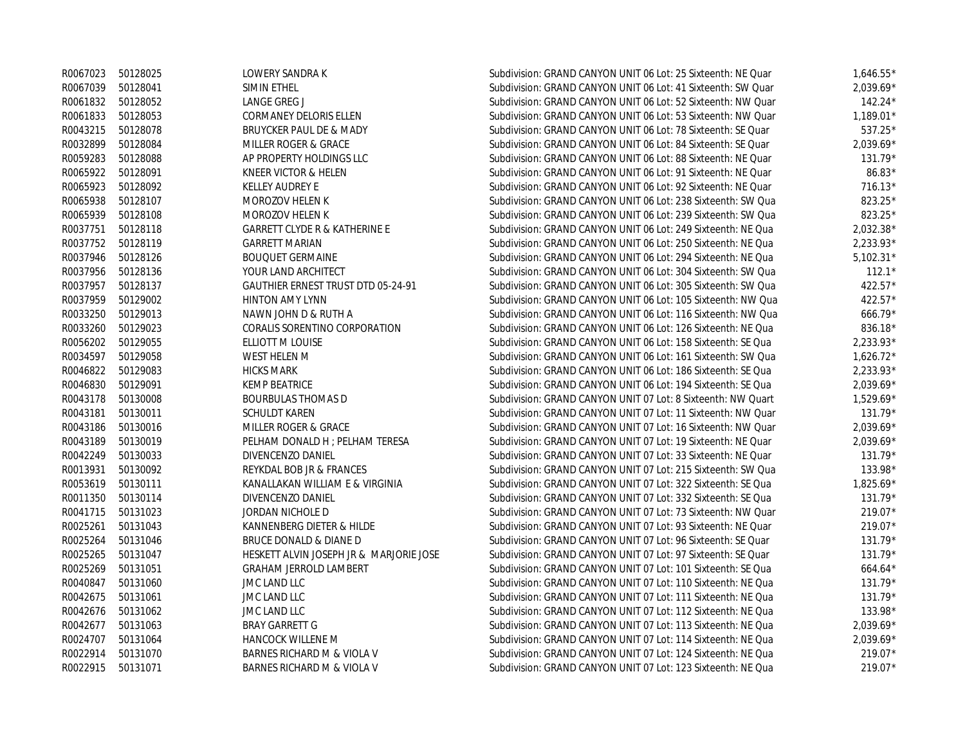|          | R0067023 50128025 | LOWERY SANDRA K                          | Subdivision: GRAND CANYON UNIT 06 Lot: 25 Sixteenth: NE Quar | $1,646.55*$ |
|----------|-------------------|------------------------------------------|--------------------------------------------------------------|-------------|
| R0067039 | 50128041          | SIMIN ETHEL                              | Subdivision: GRAND CANYON UNIT 06 Lot: 41 Sixteenth: SW Quar | $2,039.69*$ |
| R0061832 | 50128052          | <b>LANGE GREG J</b>                      | Subdivision: GRAND CANYON UNIT 06 Lot: 52 Sixteenth: NW Quar | $142.24*$   |
| R0061833 | 50128053          | CORMANEY DELORIS ELLEN                   | Subdivision: GRAND CANYON UNIT 06 Lot: 53 Sixteenth: NW Quar | 1,189.01*   |
| R0043215 | 50128078          | BRUYCKER PAUL DE & MADY                  | Subdivision: GRAND CANYON UNIT 06 Lot: 78 Sixteenth: SE Quar | 537.25*     |
| R0032899 | 50128084          | MILLER ROGER & GRACE                     | Subdivision: GRAND CANYON UNIT 06 Lot: 84 Sixteenth: SE Quar | $2.039.69*$ |
| R0059283 | 50128088          | AP PROPERTY HOLDINGS LLC                 | Subdivision: GRAND CANYON UNIT 06 Lot: 88 Sixteenth: NE Quar | $131.79*$   |
| R0065922 | 50128091          | KNEER VICTOR & HELEN                     | Subdivision: GRAND CANYON UNIT 06 Lot: 91 Sixteenth: NE Quar | $86.83*$    |
| R0065923 | 50128092          | <b>KELLEY AUDREY E</b>                   | Subdivision: GRAND CANYON UNIT 06 Lot: 92 Sixteenth: NE Quar | $716.13*$   |
| R0065938 | 50128107          | MOROZOV HELEN K                          | Subdivision: GRAND CANYON UNIT 06 Lot: 238 Sixteenth: SW Qua | 823.25*     |
| R0065939 | 50128108          | MOROZOV HELEN K                          | Subdivision: GRAND CANYON UNIT 06 Lot: 239 Sixteenth: SW Qua | 823.25*     |
| R0037751 | 50128118          | <b>GARRETT CLYDE R &amp; KATHERINE E</b> | Subdivision: GRAND CANYON UNIT 06 Lot: 249 Sixteenth: NE Qua | 2,032.38*   |
| R0037752 | 50128119          | <b>GARRETT MARIAN</b>                    | Subdivision: GRAND CANYON UNIT 06 Lot: 250 Sixteenth: NE Qua | 2,233.93*   |
| R0037946 | 50128126          | <b>BOUQUET GERMAINE</b>                  | Subdivision: GRAND CANYON UNIT 06 Lot: 294 Sixteenth: NE Qua | $5,102.31*$ |
| R0037956 | 50128136          | YOUR LAND ARCHITECT                      | Subdivision: GRAND CANYON UNIT 06 Lot: 304 Sixteenth: SW Qua | $112.1*$    |
| R0037957 | 50128137          | GAUTHIER ERNEST TRUST DTD 05-24-91       | Subdivision: GRAND CANYON UNIT 06 Lot: 305 Sixteenth: SW Qua | 422.57*     |
|          | R0037959 50129002 | <b>HINTON AMY LYNN</b>                   | Subdivision: GRAND CANYON UNIT 06 Lot: 105 Sixteenth: NW Qua | 422.57*     |
| R0033250 | 50129013          | NAWN JOHN D & RUTH A                     | Subdivision: GRAND CANYON UNIT 06 Lot: 116 Sixteenth: NW Qua | 666.79*     |
| R0033260 | 50129023          | CORALIS SORENTINO CORPORATION            | Subdivision: GRAND CANYON UNIT 06 Lot: 126 Sixteenth: NE Qua | 836.18*     |
| R0056202 | 50129055          | ELLIOTT M LOUISE                         | Subdivision: GRAND CANYON UNIT 06 Lot: 158 Sixteenth: SE Qua | 2,233.93*   |
|          | R0034597 50129058 | WEST HELEN M                             | Subdivision: GRAND CANYON UNIT 06 Lot: 161 Sixteenth: SW Qua | $1,626.72*$ |
|          | R0046822 50129083 | <b>HICKS MARK</b>                        | Subdivision: GRAND CANYON UNIT 06 Lot: 186 Sixteenth: SE Qua | $2.233.93*$ |
| R0046830 | 50129091          | <b>KEMP BEATRICE</b>                     | Subdivision: GRAND CANYON UNIT 06 Lot: 194 Sixteenth: SE Qua | 2,039.69*   |
| R0043178 | 50130008          | <b>BOURBULAS THOMAS D</b>                | Subdivision: GRAND CANYON UNIT 07 Lot: 8 Sixteenth: NW Quart | 1,529.69*   |
| R0043181 | 50130011          | <b>SCHULDT KAREN</b>                     | Subdivision: GRAND CANYON UNIT 07 Lot: 11 Sixteenth: NW Quar | 131.79*     |
| R0043186 | 50130016          | MILLER ROGER & GRACE                     | Subdivision: GRAND CANYON UNIT 07 Lot: 16 Sixteenth: NW Quar | 2,039.69*   |
| R0043189 | 50130019          | PELHAM DONALD H ; PELHAM TERESA          | Subdivision: GRAND CANYON UNIT 07 Lot: 19 Sixteenth: NE Quar | 2,039.69*   |
| R0042249 | 50130033          | DIVENCENZO DANIEL                        | Subdivision: GRAND CANYON UNIT 07 Lot: 33 Sixteenth: NE Quar | $131.79*$   |
| R0013931 | 50130092          | REYKDAL BOB JR & FRANCES                 | Subdivision: GRAND CANYON UNIT 07 Lot: 215 Sixteenth: SW Qua | 133.98*     |
| R0053619 | 50130111          | KANALLAKAN WILLIAM E & VIRGINIA          | Subdivision: GRAND CANYON UNIT 07 Lot: 322 Sixteenth: SE Qua | 1,825.69*   |
| R0011350 | 50130114          | DIVENCENZO DANIEL                        | Subdivision: GRAND CANYON UNIT 07 Lot: 332 Sixteenth: SE Qua | $131.79*$   |
| R0041715 | 50131023          | JORDAN NICHOLE D                         | Subdivision: GRAND CANYON UNIT 07 Lot: 73 Sixteenth: NW Quar | 219.07*     |
| R0025261 | 50131043          | KANNENBERG DIETER & HILDE                | Subdivision: GRAND CANYON UNIT 07 Lot: 93 Sixteenth: NE Quar | 219.07*     |
| R0025264 | 50131046          | BRUCE DONALD & DIANE D                   | Subdivision: GRAND CANYON UNIT 07 Lot: 96 Sixteenth: SE Quar | $131.79*$   |
| R0025265 | 50131047          | HESKETT ALVIN JOSEPH JR & MARJORIE JOSE  | Subdivision: GRAND CANYON UNIT 07 Lot: 97 Sixteenth: SE Quar | $131.79*$   |
| R0025269 | 50131051          | <b>GRAHAM JERROLD LAMBERT</b>            | Subdivision: GRAND CANYON UNIT 07 Lot: 101 Sixteenth: SE Qua | $664.64*$   |
| R0040847 | 50131060          | JMC LAND LLC                             | Subdivision: GRAND CANYON UNIT 07 Lot: 110 Sixteenth: NE Qua | 131.79*     |
| R0042675 | 50131061          | JMC LAND LLC                             | Subdivision: GRAND CANYON UNIT 07 Lot: 111 Sixteenth: NE Qua | 131.79*     |
| R0042676 | 50131062          | JMC LAND LLC                             | Subdivision: GRAND CANYON UNIT 07 Lot: 112 Sixteenth: NE Qua | 133.98*     |
| R0042677 | 50131063          | <b>BRAY GARRETT G</b>                    | Subdivision: GRAND CANYON UNIT 07 Lot: 113 Sixteenth: NE Qua | 2,039.69*   |
| R0024707 | 50131064          | <b>HANCOCK WILLENE M</b>                 | Subdivision: GRAND CANYON UNIT 07 Lot: 114 Sixteenth: NE Qua | $2,039.69*$ |
| R0022914 | 50131070          | BARNES RICHARD M & VIOLA V               | Subdivision: GRAND CANYON UNIT 07 Lot: 124 Sixteenth: NE Qua | $219.07*$   |
| R0022915 | 50131071          | BARNES RICHARD M & VIOLA V               | Subdivision: GRAND CANYON UNIT 07 Lot: 123 Sixteenth: NE Qua | 219.07*     |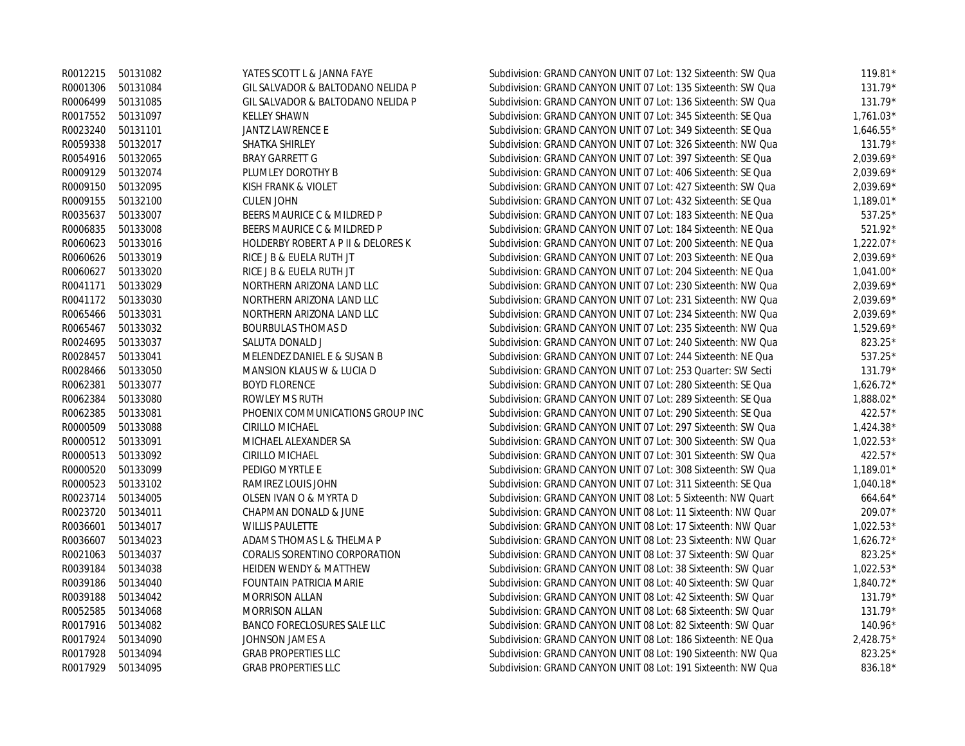|                   | R0012215 50131082 | YATES SCOTT L & JANNA FAYE           | Subdivision: GRAND CANYON UNIT 07 Lot: 132 Sixteenth: SW Qua | $119.81*$   |
|-------------------|-------------------|--------------------------------------|--------------------------------------------------------------|-------------|
|                   | R0001306 50131084 | GIL SALVADOR & BALTODANO NELIDA P    | Subdivision: GRAND CANYON UNIT 07 Lot: 135 Sixteenth: SW Qua | 131.79*     |
|                   | R0006499 50131085 | GIL SALVADOR & BALTODANO NELIDA P    | Subdivision: GRAND CANYON UNIT 07 Lot: 136 Sixteenth: SW Qua | 131.79*     |
| R0017552 50131097 |                   | <b>KELLEY SHAWN</b>                  | Subdivision: GRAND CANYON UNIT 07 Lot: 345 Sixteenth: SE Qua | $1,761.03*$ |
| R0023240 50131101 |                   | <b>JANTZ LAWRENCE E</b>              | Subdivision: GRAND CANYON UNIT 07 Lot: 349 Sixteenth: SE Qua | $1,646.55*$ |
| R0059338          | 50132017          | SHATKA SHIRLEY                       | Subdivision: GRAND CANYON UNIT 07 Lot: 326 Sixteenth: NW Qua | $131.79*$   |
|                   | R0054916 50132065 | <b>BRAY GARRETT G</b>                | Subdivision: GRAND CANYON UNIT 07 Lot: 397 Sixteenth: SE Qua | $2,039.69*$ |
| R0009129          | 50132074          | PLUMLEY DOROTHY B                    | Subdivision: GRAND CANYON UNIT 07 Lot: 406 Sixteenth: SE Qua | $2,039.69*$ |
|                   | R0009150 50132095 | KISH FRANK & VIOLET                  | Subdivision: GRAND CANYON UNIT 07 Lot: 427 Sixteenth: SW Qua | $2,039.69*$ |
| R0009155          | 50132100          | <b>CULEN JOHN</b>                    | Subdivision: GRAND CANYON UNIT 07 Lot: 432 Sixteenth: SE Qua | 1,189.01*   |
| R0035637 50133007 |                   | BEERS MAURICE C & MILDRED P          | Subdivision: GRAND CANYON UNIT 07 Lot: 183 Sixteenth: NE Qua | 537.25*     |
| R0006835          | 50133008          | BEERS MAURICE C & MILDRED P          | Subdivision: GRAND CANYON UNIT 07 Lot: 184 Sixteenth: NE Qua | 521.92*     |
|                   | R0060623 50133016 | HOLDERBY ROBERT A P II & DELORES K   | Subdivision: GRAND CANYON UNIT 07 Lot: 200 Sixteenth: NE Qua | $1,222.07*$ |
| R0060626          | 50133019          | RICE J B & EUELA RUTH JT             | Subdivision: GRAND CANYON UNIT 07 Lot: 203 Sixteenth: NE Qua | $2,039.69*$ |
| R0060627          | 50133020          | RICE J B & EUELA RUTH JT             | Subdivision: GRAND CANYON UNIT 07 Lot: 204 Sixteenth: NE Qua | $1,041.00*$ |
|                   | R0041171 50133029 | NORTHERN ARIZONA LAND LLC            | Subdivision: GRAND CANYON UNIT 07 Lot: 230 Sixteenth: NW Qua | $2,039.69*$ |
|                   | R0041172 50133030 | NORTHERN ARIZONA LAND LLC            | Subdivision: GRAND CANYON UNIT 07 Lot: 231 Sixteenth: NW Qua | $2,039.69*$ |
| R0065466 50133031 |                   | NORTHERN ARIZONA LAND LLC            | Subdivision: GRAND CANYON UNIT 07 Lot: 234 Sixteenth: NW Qua | $2,039.69*$ |
|                   | R0065467 50133032 | <b>BOURBULAS THOMAS D</b>            | Subdivision: GRAND CANYON UNIT 07 Lot: 235 Sixteenth: NW Qua | $1,529.69*$ |
| R0024695          | 50133037          | SALUTA DONALD J                      | Subdivision: GRAND CANYON UNIT 07 Lot: 240 Sixteenth: NW Qua | 823.25*     |
| R0028457          | 50133041          | MELENDEZ DANIEL E & SUSAN B          | Subdivision: GRAND CANYON UNIT 07 Lot: 244 Sixteenth: NE Qua | 537.25*     |
| R0028466          | 50133050          | <b>MANSION KLAUS W &amp; LUCIA D</b> | Subdivision: GRAND CANYON UNIT 07 Lot: 253 Quarter: SW Secti | $131.79*$   |
| R0062381          | 50133077          | <b>BOYD FLORENCE</b>                 | Subdivision: GRAND CANYON UNIT 07 Lot: 280 Sixteenth: SE Qua | $1,626.72*$ |
| R0062384          | 50133080          | ROWLEY MS RUTH                       | Subdivision: GRAND CANYON UNIT 07 Lot: 289 Sixteenth: SE Qua | 1,888.02*   |
| R0062385 50133081 |                   | PHOENIX COMMUNICATIONS GROUP INC     | Subdivision: GRAND CANYON UNIT 07 Lot: 290 Sixteenth: SE Qua | 422.57*     |
|                   | R0000509 50133088 | CIRILLO MICHAEL                      | Subdivision: GRAND CANYON UNIT 07 Lot: 297 Sixteenth: SW Qua | $1,424.38*$ |
| R0000512 50133091 |                   | MICHAEL ALEXANDER SA                 | Subdivision: GRAND CANYON UNIT 07 Lot: 300 Sixteenth: SW Qua | $1,022.53*$ |
|                   | R0000513 50133092 | CIRILLO MICHAEL                      | Subdivision: GRAND CANYON UNIT 07 Lot: 301 Sixteenth: SW Qua | 422.57*     |
|                   | R0000520 50133099 | PEDIGO MYRTLE E                      | Subdivision: GRAND CANYON UNIT 07 Lot: 308 Sixteenth: SW Qua | $1,189.01*$ |
|                   | R0000523 50133102 | RAMIREZ LOUIS JOHN                   | Subdivision: GRAND CANYON UNIT 07 Lot: 311 Sixteenth: SE Qua | $1,040.18*$ |
| R0023714          | 50134005          | OLSEN IVAN O & MYRTA D               | Subdivision: GRAND CANYON UNIT 08 Lot: 5 Sixteenth: NW Quart | $664.64*$   |
| R0023720 50134011 |                   | CHAPMAN DONALD & JUNE                | Subdivision: GRAND CANYON UNIT 08 Lot: 11 Sixteenth: NW Quar | 209.07*     |
| R0036601          | 50134017          | <b>WILLIS PAULETTE</b>               | Subdivision: GRAND CANYON UNIT 08 Lot: 17 Sixteenth: NW Quar | $1,022.53*$ |
| R0036607          | 50134023          | ADAMS THOMAS L & THELMA P            | Subdivision: GRAND CANYON UNIT 08 Lot: 23 Sixteenth: NW Quar | $1,626.72*$ |
| R0021063          | 50134037          | CORALIS SORENTINO CORPORATION        | Subdivision: GRAND CANYON UNIT 08 Lot: 37 Sixteenth: SW Quar | 823.25*     |
| R0039184          | 50134038          | <b>HEIDEN WENDY &amp; MATTHEW</b>    | Subdivision: GRAND CANYON UNIT 08 Lot: 38 Sixteenth: SW Quar | $1,022.53*$ |
| R0039186          | 50134040          | <b>FOUNTAIN PATRICIA MARIE</b>       | Subdivision: GRAND CANYON UNIT 08 Lot: 40 Sixteenth: SW Quar | 1,840.72*   |
| R0039188          | 50134042          | <b>MORRISON ALLAN</b>                | Subdivision: GRAND CANYON UNIT 08 Lot: 42 Sixteenth: SW Quar | $131.79*$   |
| R0052585          | 50134068          | <b>MORRISON ALLAN</b>                | Subdivision: GRAND CANYON UNIT 08 Lot: 68 Sixteenth: SW Quar | 131.79*     |
|                   | R0017916 50134082 | <b>BANCO FORECLOSURES SALE LLC</b>   | Subdivision: GRAND CANYON UNIT 08 Lot: 82 Sixteenth: SW Quar | $140.96*$   |
| R0017924          | 50134090          | JOHNSON JAMES A                      | Subdivision: GRAND CANYON UNIT 08 Lot: 186 Sixteenth: NE Qua | 2,428.75*   |
| R0017928          | 50134094          | <b>GRAB PROPERTIES LLC</b>           | Subdivision: GRAND CANYON UNIT 08 Lot: 190 Sixteenth: NW Qua | 823.25*     |
| R0017929          | 50134095          | <b>GRAB PROPERTIES LLC</b>           | Subdivision: GRAND CANYON UNIT 08 Lot: 191 Sixteenth: NW Qua | 836.18*     |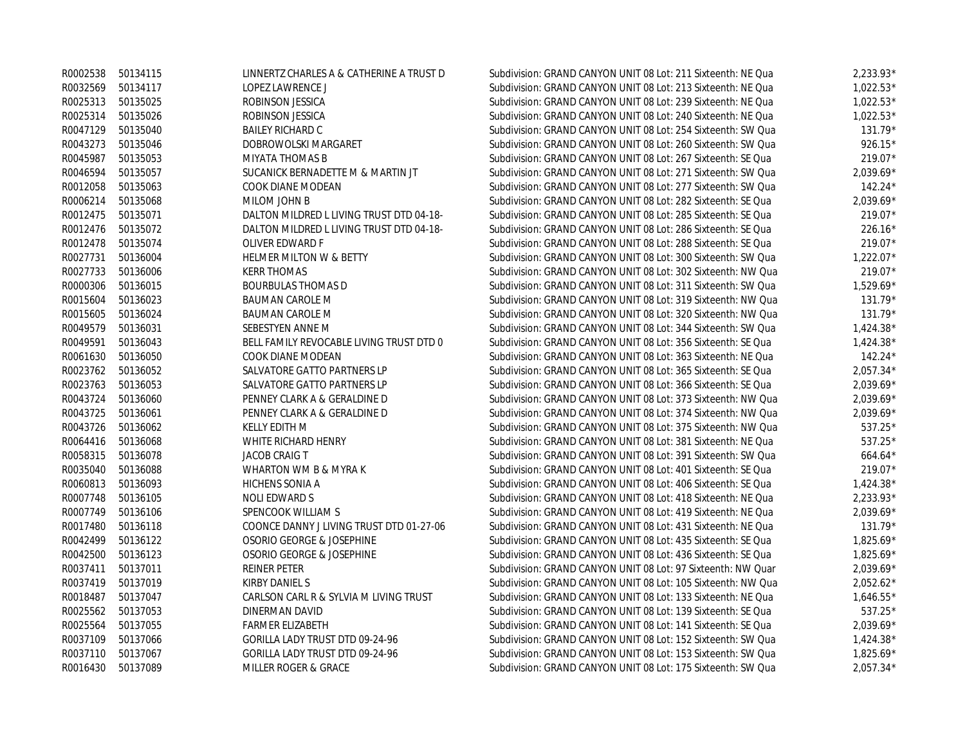|                   | R0002538 50134115 | LINNERTZ CHARLES A & CATHERINE A TRUST D | Subdivision: GRAND CANYON UNIT 08 Lot: 211 Sixteenth: NE Qua | $2,233.93*$ |
|-------------------|-------------------|------------------------------------------|--------------------------------------------------------------|-------------|
| R0032569 50134117 |                   | <b>LOPEZ LAWRENCE J</b>                  | Subdivision: GRAND CANYON UNIT 08 Lot: 213 Sixteenth: NE Qua | $1.022.53*$ |
| R0025313          | 50135025          | ROBINSON JESSICA                         | Subdivision: GRAND CANYON UNIT 08 Lot: 239 Sixteenth: NE Qua | $1,022.53*$ |
| R0025314          | 50135026          | ROBINSON JESSICA                         | Subdivision: GRAND CANYON UNIT 08 Lot: 240 Sixteenth: NE Qua | $1.022.53*$ |
| R0047129          | 50135040          | <b>BAILEY RICHARD C</b>                  | Subdivision: GRAND CANYON UNIT 08 Lot: 254 Sixteenth: SW Qua | $131.79*$   |
| R0043273          | 50135046          | DOBROWOLSKI MARGARET                     | Subdivision: GRAND CANYON UNIT 08 Lot: 260 Sixteenth: SW Qua | $926.15*$   |
| R0045987          | 50135053          | MIYATA THOMAS B                          | Subdivision: GRAND CANYON UNIT 08 Lot: 267 Sixteenth: SE Qua | 219.07*     |
| R0046594          | 50135057          | SUCANICK BERNADETTE M & MARTIN JT        | Subdivision: GRAND CANYON UNIT 08 Lot: 271 Sixteenth: SW Qua | 2,039.69*   |
| R0012058          | 50135063          | COOK DIANE MODEAN                        | Subdivision: GRAND CANYON UNIT 08 Lot: 277 Sixteenth: SW Qua | $142.24*$   |
| R0006214 50135068 |                   | MILOM JOHN B                             | Subdivision: GRAND CANYON UNIT 08 Lot: 282 Sixteenth: SE Qua | $2,039.69*$ |
| R0012475          | 50135071          | DALTON MILDRED L LIVING TRUST DTD 04-18- | Subdivision: GRAND CANYON UNIT 08 Lot: 285 Sixteenth: SE Qua | 219.07*     |
| R0012476          | 50135072          | DALTON MILDRED L LIVING TRUST DTD 04-18- | Subdivision: GRAND CANYON UNIT 08 Lot: 286 Sixteenth: SE Qua | 226.16*     |
| R0012478 50135074 |                   | OLIVER EDWARD F                          | Subdivision: GRAND CANYON UNIT 08 Lot: 288 Sixteenth: SE Qua | 219.07*     |
| R0027731          | 50136004          | <b>HELMER MILTON W &amp; BETTY</b>       | Subdivision: GRAND CANYON UNIT 08 Lot: 300 Sixteenth: SW Qua | $1,222.07*$ |
| R0027733          | 50136006          | <b>KERR THOMAS</b>                       | Subdivision: GRAND CANYON UNIT 08 Lot: 302 Sixteenth: NW Qua | 219.07*     |
| R0000306          | 50136015          | <b>BOURBULAS THOMAS D</b>                | Subdivision: GRAND CANYON UNIT 08 Lot: 311 Sixteenth: SW Qua | $1.529.69*$ |
| R0015604          | 50136023          | <b>BAUMAN CAROLE M</b>                   | Subdivision: GRAND CANYON UNIT 08 Lot: 319 Sixteenth: NW Qua | $131.79*$   |
| R0015605          | 50136024          | <b>BAUMAN CAROLE M</b>                   | Subdivision: GRAND CANYON UNIT 08 Lot: 320 Sixteenth: NW Qua | 131.79*     |
| R0049579          | 50136031          | SEBESTYEN ANNE M                         | Subdivision: GRAND CANYON UNIT 08 Lot: 344 Sixteenth: SW Qua | $1,424.38*$ |
| R0049591          | 50136043          | BELL FAMILY REVOCABLE LIVING TRUST DTD 0 | Subdivision: GRAND CANYON UNIT 08 Lot: 356 Sixteenth: SE Qua | $1,424.38*$ |
| R0061630          | 50136050          | COOK DIANE MODEAN                        | Subdivision: GRAND CANYON UNIT 08 Lot: 363 Sixteenth: NE Qua | $142.24*$   |
|                   | R0023762 50136052 | SALVATORE GATTO PARTNERS LP              | Subdivision: GRAND CANYON UNIT 08 Lot: 365 Sixteenth: SE Qua | $2,057.34*$ |
| R0023763          | 50136053          | SALVATORE GATTO PARTNERS LP              | Subdivision: GRAND CANYON UNIT 08 Lot: 366 Sixteenth: SE Qua | 2,039.69*   |
| R0043724          | 50136060          | PENNEY CLARK A & GERALDINE D             | Subdivision: GRAND CANYON UNIT 08 Lot: 373 Sixteenth: NW Qua | $2,039.69*$ |
| R0043725          | 50136061          | PENNEY CLARK A & GERALDINE D             | Subdivision: GRAND CANYON UNIT 08 Lot: 374 Sixteenth: NW Qua | $2,039.69*$ |
| R0043726          | 50136062          | KELLY EDITH M                            | Subdivision: GRAND CANYON UNIT 08 Lot: 375 Sixteenth: NW Qua | $537.25*$   |
| R0064416          | 50136068          | WHITE RICHARD HENRY                      | Subdivision: GRAND CANYON UNIT 08 Lot: 381 Sixteenth: NE Qua | 537.25*     |
| R0058315          | 50136078          | <b>JACOB CRAIG T</b>                     | Subdivision: GRAND CANYON UNIT 08 Lot: 391 Sixteenth: SW Qua | 664.64*     |
| R0035040          | 50136088          | WHARTON WM B & MYRA K                    | Subdivision: GRAND CANYON UNIT 08 Lot: 401 Sixteenth: SE Qua | 219.07*     |
| R0060813          | 50136093          | HICHENS SONIA A                          | Subdivision: GRAND CANYON UNIT 08 Lot: 406 Sixteenth: SE Qua | $1,424.38*$ |
| R0007748          | 50136105          | <b>NOLI EDWARD S</b>                     | Subdivision: GRAND CANYON UNIT 08 Lot: 418 Sixteenth: NE Qua | 2,233.93*   |
| R0007749 50136106 |                   | SPENCOOK WILLIAM S                       | Subdivision: GRAND CANYON UNIT 08 Lot: 419 Sixteenth: NE Qua | $2,039.69*$ |
| R0017480          | 50136118          | COONCE DANNY J LIVING TRUST DTD 01-27-06 | Subdivision: GRAND CANYON UNIT 08 Lot: 431 Sixteenth: NE Qua | $131.79*$   |
| R0042499          | 50136122          | OSORIO GEORGE & JOSEPHINE                | Subdivision: GRAND CANYON UNIT 08 Lot: 435 Sixteenth: SE Qua | $1,825.69*$ |
| R0042500          | 50136123          | OSORIO GEORGE & JOSEPHINE                | Subdivision: GRAND CANYON UNIT 08 Lot: 436 Sixteenth: SE Qua | 1,825.69*   |
| R0037411          | 50137011          | <b>REINER PETER</b>                      | Subdivision: GRAND CANYON UNIT 08 Lot: 97 Sixteenth: NW Quar | $2,039.69*$ |
|                   | R0037419 50137019 | KIRBY DANIEL S                           | Subdivision: GRAND CANYON UNIT 08 Lot: 105 Sixteenth: NW Qua | $2.052.62*$ |
|                   | R0018487 50137047 | CARLSON CARL R & SYLVIA M LIVING TRUST   | Subdivision: GRAND CANYON UNIT 08 Lot: 133 Sixteenth: NE Qua | $1,646.55*$ |
|                   | R0025562 50137053 | DINERMAN DAVID                           | Subdivision: GRAND CANYON UNIT 08 Lot: 139 Sixteenth: SE Qua | 537.25*     |
| R0025564          | 50137055          | <b>FARMER ELIZABETH</b>                  | Subdivision: GRAND CANYON UNIT 08 Lot: 141 Sixteenth: SE Qua | 2,039.69*   |
| R0037109          | 50137066          | GORILLA LADY TRUST DTD 09-24-96          | Subdivision: GRAND CANYON UNIT 08 Lot: 152 Sixteenth: SW Qua | $1,424.38*$ |
| R0037110          | 50137067          | GORILLA LADY TRUST DTD 09-24-96          | Subdivision: GRAND CANYON UNIT 08 Lot: 153 Sixteenth: SW Qua | $1,825.69*$ |
| R0016430          | 50137089          | MILLER ROGER & GRACE                     | Subdivision: GRAND CANYON UNIT 08 Lot: 175 Sixteenth: SW Qua | $2.057.34*$ |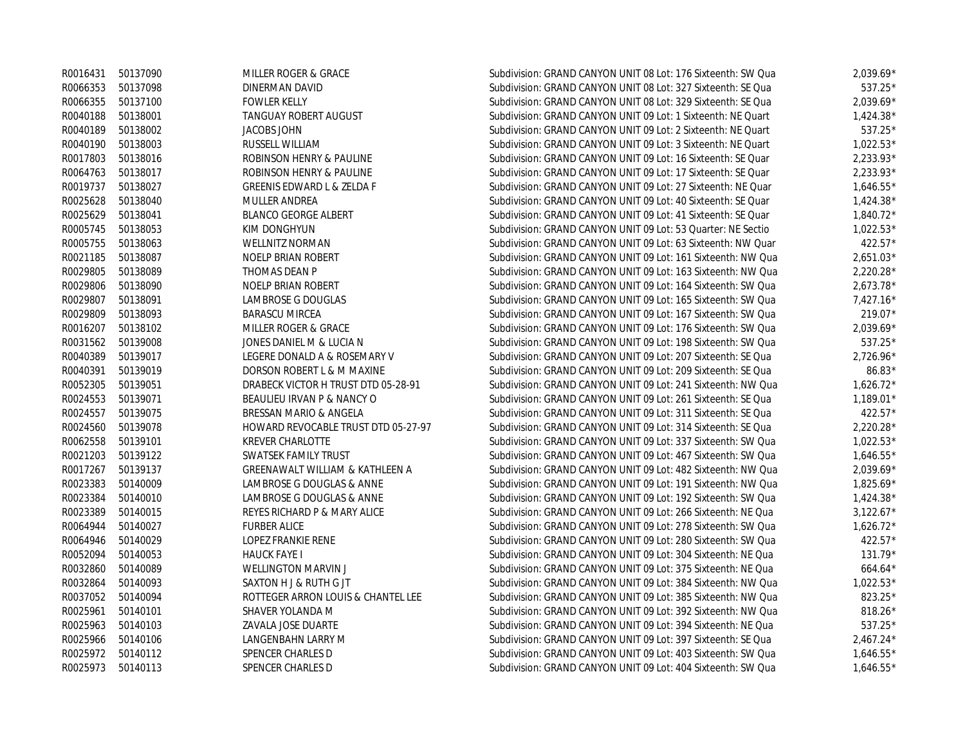|                   | R0016431 50137090 | MILLER ROGER & GRACE                  | Subdivision: GRAND CANYON UNIT 08 Lot: 176 Sixteenth: SW Qua | $2,039.69*$ |
|-------------------|-------------------|---------------------------------------|--------------------------------------------------------------|-------------|
|                   | R0066353 50137098 | DINERMAN DAVID                        | Subdivision: GRAND CANYON UNIT 08 Lot: 327 Sixteenth: SE Qua | 537.25*     |
| R0066355          | 50137100          | <b>FOWLER KELLY</b>                   | Subdivision: GRAND CANYON UNIT 08 Lot: 329 Sixteenth: SE Qua | 2,039.69*   |
| R0040188          | 50138001          | <b>TANGUAY ROBERT AUGUST</b>          | Subdivision: GRAND CANYON UNIT 09 Lot: 1 Sixteenth: NE Quart | $1,424.38*$ |
|                   | R0040189 50138002 | <b>JACOBS JOHN</b>                    | Subdivision: GRAND CANYON UNIT 09 Lot: 2 Sixteenth: NE Quart | 537.25*     |
|                   | R0040190 50138003 | RUSSELL WILLIAM                       | Subdivision: GRAND CANYON UNIT 09 Lot: 3 Sixteenth: NE Quart | $1,022.53*$ |
|                   | R0017803 50138016 | ROBINSON HENRY & PAULINE              | Subdivision: GRAND CANYON UNIT 09 Lot: 16 Sixteenth: SE Quar | 2,233.93*   |
|                   | R0064763 50138017 | ROBINSON HENRY & PAULINE              | Subdivision: GRAND CANYON UNIT 09 Lot: 17 Sixteenth: SE Quar | $2,233.93*$ |
|                   | R0019737 50138027 | <b>GREENIS EDWARD L &amp; ZELDA F</b> | Subdivision: GRAND CANYON UNIT 09 Lot: 27 Sixteenth: NE Quar | $1,646.55*$ |
| R0025628          | 50138040          | <b>MULLER ANDREA</b>                  | Subdivision: GRAND CANYON UNIT 09 Lot: 40 Sixteenth: SE Quar | $1,424.38*$ |
| R0025629          | 50138041          | <b>BLANCO GEORGE ALBERT</b>           | Subdivision: GRAND CANYON UNIT 09 Lot: 41 Sixteenth: SE Quar | $1,840.72*$ |
| R0005745          | 50138053          | KIM DONGHYUN                          | Subdivision: GRAND CANYON UNIT 09 Lot: 53 Quarter: NE Sectio | $1,022.53*$ |
|                   | R0005755 50138063 | <b>WELLNITZ NORMAN</b>                | Subdivision: GRAND CANYON UNIT 09 Lot: 63 Sixteenth: NW Quar | 422.57*     |
| R0021185          | 50138087          | <b>NOELP BRIAN ROBERT</b>             | Subdivision: GRAND CANYON UNIT 09 Lot: 161 Sixteenth: NW Qua | $2,651.03*$ |
| R0029805          | 50138089          | THOMAS DEAN P                         | Subdivision: GRAND CANYON UNIT 09 Lot: 163 Sixteenth: NW Qua | $2,220.28*$ |
|                   | R0029806 50138090 | <b>NOELP BRIAN ROBERT</b>             | Subdivision: GRAND CANYON UNIT 09 Lot: 164 Sixteenth: SW Qua | $2,673.78*$ |
| R0029807 50138091 |                   | LAMBROSE G DOUGLAS                    | Subdivision: GRAND CANYON UNIT 09 Lot: 165 Sixteenth: SW Qua | $7,427.16*$ |
| R0029809          | 50138093          | <b>BARASCU MIRCEA</b>                 | Subdivision: GRAND CANYON UNIT 09 Lot: 167 Sixteenth: SW Qua | 219.07*     |
|                   | R0016207 50138102 | MILLER ROGER & GRACE                  | Subdivision: GRAND CANYON UNIT 09 Lot: 176 Sixteenth: SW Qua | $2,039.69*$ |
|                   | R0031562 50139008 | JONES DANIEL M & LUCIA N              | Subdivision: GRAND CANYON UNIT 09 Lot: 198 Sixteenth: SW Qua | 537.25*     |
|                   | R0040389 50139017 | LEGERE DONALD A & ROSEMARY V          | Subdivision: GRAND CANYON UNIT 09 Lot: 207 Sixteenth: SE Qua | 2,726.96*   |
|                   | R0040391 50139019 | DORSON ROBERT L & M MAXINE            | Subdivision: GRAND CANYON UNIT 09 Lot: 209 Sixteenth: SE Qua | 86.83*      |
| R0052305          | 50139051          | DRABECK VICTOR H TRUST DTD 05-28-91   | Subdivision: GRAND CANYON UNIT 09 Lot: 241 Sixteenth: NW Qua | $1,626.72*$ |
|                   | R0024553 50139071 | BEAULIEU IRVAN P & NANCY O            | Subdivision: GRAND CANYON UNIT 09 Lot: 261 Sixteenth: SE Qua | $1,189.01*$ |
|                   | R0024557 50139075 | BRESSAN MARIO & ANGELA                | Subdivision: GRAND CANYON UNIT 09 Lot: 311 Sixteenth: SE Qua | 422.57*     |
|                   | R0024560 50139078 | HOWARD REVOCABLE TRUST DTD 05-27-97   | Subdivision: GRAND CANYON UNIT 09 Lot: 314 Sixteenth: SE Qua | $2,220.28*$ |
| R0062558          | 50139101          | <b>KREVER CHARLOTTE</b>               | Subdivision: GRAND CANYON UNIT 09 Lot: 337 Sixteenth: SW Qua | $1,022.53*$ |
|                   | R0021203 50139122 | <b>SWATSEK FAMILY TRUST</b>           | Subdivision: GRAND CANYON UNIT 09 Lot: 467 Sixteenth: SW Qua | $1,646.55*$ |
|                   | R0017267 50139137 | GREENAWALT WILLIAM & KATHLEEN A       | Subdivision: GRAND CANYON UNIT 09 Lot: 482 Sixteenth: NW Qua | $2,039.69*$ |
| R0023383          | 50140009          | LAMBROSE G DOUGLAS & ANNE             | Subdivision: GRAND CANYON UNIT 09 Lot: 191 Sixteenth: NW Qua | $1,825.69*$ |
| R0023384          | 50140010          | LAMBROSE G DOUGLAS & ANNE             | Subdivision: GRAND CANYON UNIT 09 Lot: 192 Sixteenth: SW Qua | $1,424.38*$ |
| R0023389          | 50140015          | REYES RICHARD P & MARY ALICE          | Subdivision: GRAND CANYON UNIT 09 Lot: 266 Sixteenth: NE Qua | $3,122.67*$ |
| R0064944          | 50140027          | <b>FURBER ALICE</b>                   | Subdivision: GRAND CANYON UNIT 09 Lot: 278 Sixteenth: SW Qua | $1,626.72*$ |
| R0064946          | 50140029          | LOPEZ FRANKIE RENE                    | Subdivision: GRAND CANYON UNIT 09 Lot: 280 Sixteenth: SW Qua | 422.57*     |
| R0052094          | 50140053          | <b>HAUCK FAYE I</b>                   | Subdivision: GRAND CANYON UNIT 09 Lot: 304 Sixteenth: NE Qua | 131.79*     |
| R0032860          | 50140089          | <b>WELLINGTON MARVIN J</b>            | Subdivision: GRAND CANYON UNIT 09 Lot: 375 Sixteenth: NE Qua | 664.64*     |
| R0032864          | 50140093          | SAXTON H J & RUTH G JT                | Subdivision: GRAND CANYON UNIT 09 Lot: 384 Sixteenth: NW Qua | $1,022.53*$ |
| R0037052          | 50140094          | ROTTEGER ARRON LOUIS & CHANTEL LEE    | Subdivision: GRAND CANYON UNIT 09 Lot: 385 Sixteenth: NW Qua | 823.25*     |
| R0025961          | 50140101          | SHAVER YOLANDA M                      | Subdivision: GRAND CANYON UNIT 09 Lot: 392 Sixteenth: NW Qua | 818.26*     |
|                   | R0025963 50140103 | ZAVALA JOSE DUARTE                    | Subdivision: GRAND CANYON UNIT 09 Lot: 394 Sixteenth: NE Qua | 537.25*     |
| R0025966          | 50140106          | LANGENBAHN LARRY M                    | Subdivision: GRAND CANYON UNIT 09 Lot: 397 Sixteenth: SE Qua | $2,467.24*$ |
|                   | R0025972 50140112 | SPENCER CHARLES D                     | Subdivision: GRAND CANYON UNIT 09 Lot: 403 Sixteenth: SW Qua | $1,646.55*$ |
| R0025973          | 50140113          | SPENCER CHARLES D                     | Subdivision: GRAND CANYON UNIT 09 Lot: 404 Sixteenth: SW Qua | $1.646.55*$ |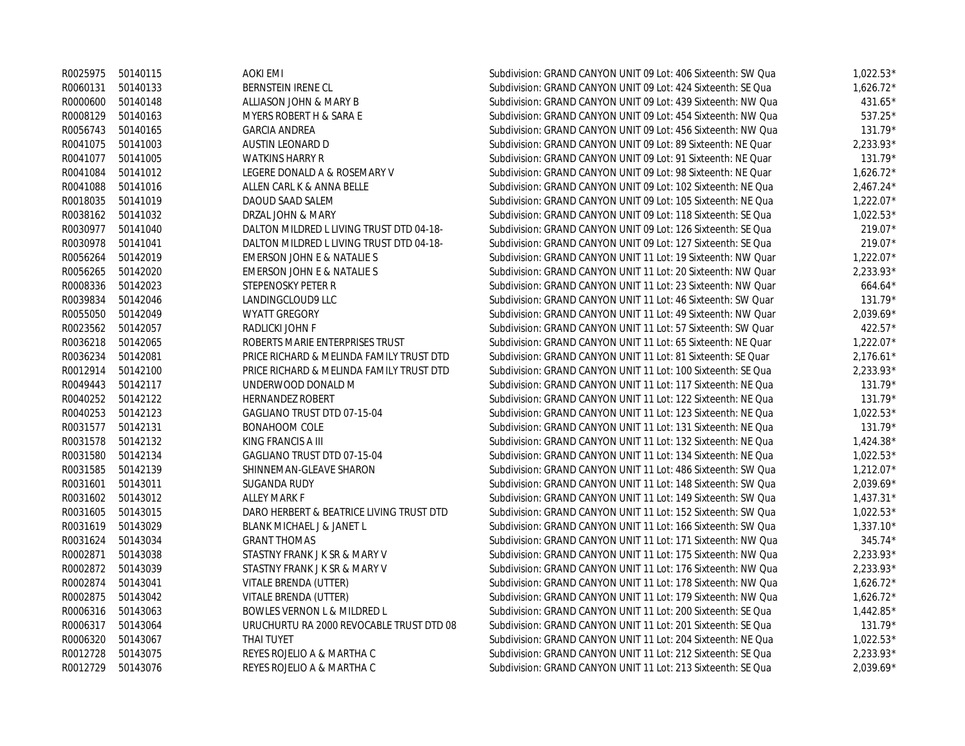|          | R0025975 50140115 | AOKI EMI                                 | Subdivision: GRAND CANYON UNIT 09 Lot: 406 Sixteenth: SW Qua | $1,022.53*$ |
|----------|-------------------|------------------------------------------|--------------------------------------------------------------|-------------|
| R0060131 | 50140133          | BERNSTEIN IRENE CL                       | Subdivision: GRAND CANYON UNIT 09 Lot: 424 Sixteenth: SE Qua | $1,626.72*$ |
| R0000600 | 50140148          | ALLIASON JOHN & MARY B                   | Subdivision: GRAND CANYON UNIT 09 Lot: 439 Sixteenth: NW Qua | 431.65*     |
| R0008129 | 50140163          | MYERS ROBERT H & SARA E                  | Subdivision: GRAND CANYON UNIT 09 Lot: 454 Sixteenth: NW Qua | 537.25*     |
| R0056743 | 50140165          | <b>GARCIA ANDREA</b>                     | Subdivision: GRAND CANYON UNIT 09 Lot: 456 Sixteenth: NW Qua | 131.79*     |
| R0041075 | 50141003          | AUSTIN LEONARD D                         | Subdivision: GRAND CANYON UNIT 09 Lot: 89 Sixteenth: NE Quar | 2,233.93*   |
| R0041077 | 50141005          | <b>WATKINS HARRY R</b>                   | Subdivision: GRAND CANYON UNIT 09 Lot: 91 Sixteenth: NE Quar | $131.79*$   |
| R0041084 | 50141012          | LEGERE DONALD A & ROSEMARY V             | Subdivision: GRAND CANYON UNIT 09 Lot: 98 Sixteenth: NE Quar | $1,626.72*$ |
| R0041088 | 50141016          | ALLEN CARL K & ANNA BELLE                | Subdivision: GRAND CANYON UNIT 09 Lot: 102 Sixteenth: NE Qua | $2,467.24*$ |
| R0018035 | 50141019          | DAOUD SAAD SALEM                         | Subdivision: GRAND CANYON UNIT 09 Lot: 105 Sixteenth: NE Qua | $1,222.07*$ |
| R0038162 | 50141032          | DRZAL JOHN & MARY                        | Subdivision: GRAND CANYON UNIT 09 Lot: 118 Sixteenth: SE Qua | $1,022.53*$ |
| R0030977 | 50141040          | DALTON MILDRED L LIVING TRUST DTD 04-18- | Subdivision: GRAND CANYON UNIT 09 Lot: 126 Sixteenth: SE Qua | 219.07*     |
| R0030978 | 50141041          | DALTON MILDRED L LIVING TRUST DTD 04-18- | Subdivision: GRAND CANYON UNIT 09 Lot: 127 Sixteenth: SE Qua | 219.07*     |
| R0056264 | 50142019          | EMERSON JOHN E & NATALIE S               | Subdivision: GRAND CANYON UNIT 11 Lot: 19 Sixteenth: NW Quar | $1,222.07*$ |
| R0056265 | 50142020          | EMERSON JOHN E & NATALIE S               | Subdivision: GRAND CANYON UNIT 11 Lot: 20 Sixteenth: NW Quar | 2,233.93*   |
| R0008336 | 50142023          | STEPENOSKY PETER R                       | Subdivision: GRAND CANYON UNIT 11 Lot: 23 Sixteenth: NW Quar | $664.64*$   |
| R0039834 | 50142046          | LANDINGCLOUD9 LLC                        | Subdivision: GRAND CANYON UNIT 11 Lot: 46 Sixteenth: SW Quar | 131.79*     |
| R0055050 | 50142049          | <b>WYATT GREGORY</b>                     | Subdivision: GRAND CANYON UNIT 11 Lot: 49 Sixteenth: NW Quar | $2,039.69*$ |
| R0023562 | 50142057          | RADLICKI JOHN F                          | Subdivision: GRAND CANYON UNIT 11 Lot: 57 Sixteenth: SW Quar | 422.57*     |
| R0036218 | 50142065          | ROBERTS MARIE ENTERPRISES TRUST          | Subdivision: GRAND CANYON UNIT 11 Lot: 65 Sixteenth: NE Quar | $1,222.07*$ |
| R0036234 | 50142081          | PRICE RICHARD & MELINDA FAMILY TRUST DTD | Subdivision: GRAND CANYON UNIT 11 Lot: 81 Sixteenth: SE Quar | $2,176.61*$ |
| R0012914 | 50142100          | PRICE RICHARD & MELINDA FAMILY TRUST DTD | Subdivision: GRAND CANYON UNIT 11 Lot: 100 Sixteenth: SE Qua | $2,233.93*$ |
| R0049443 | 50142117          | UNDERWOOD DONALD M                       | Subdivision: GRAND CANYON UNIT 11 Lot: 117 Sixteenth: NE Qua | 131.79*     |
| R0040252 | 50142122          | HERNANDEZ ROBERT                         | Subdivision: GRAND CANYON UNIT 11 Lot: 122 Sixteenth: NE Qua | 131.79*     |
| R0040253 | 50142123          | GAGLIANO TRUST DTD 07-15-04              | Subdivision: GRAND CANYON UNIT 11 Lot: 123 Sixteenth: NE Qua | $1,022.53*$ |
| R0031577 | 50142131          | <b>BONAHOOM COLE</b>                     | Subdivision: GRAND CANYON UNIT 11 Lot: 131 Sixteenth: NE Qua | $131.79*$   |
| R0031578 | 50142132          | KING FRANCIS A III                       | Subdivision: GRAND CANYON UNIT 11 Lot: 132 Sixteenth: NE Qua | $1,424.38*$ |
| R0031580 | 50142134          | GAGLIANO TRUST DTD 07-15-04              | Subdivision: GRAND CANYON UNIT 11 Lot: 134 Sixteenth: NE Qua | $1,022.53*$ |
| R0031585 | 50142139          | SHINNEMAN-GLEAVE SHARON                  | Subdivision: GRAND CANYON UNIT 11 Lot: 486 Sixteenth: SW Qua | $1,212.07*$ |
| R0031601 | 50143011          | SUGANDA RUDY                             | Subdivision: GRAND CANYON UNIT 11 Lot: 148 Sixteenth: SW Qua | $2,039.69*$ |
| R0031602 | 50143012          | ALLEY MARK F                             | Subdivision: GRAND CANYON UNIT 11 Lot: 149 Sixteenth: SW Qua | $1,437.31*$ |
| R0031605 | 50143015          | DARO HERBERT & BEATRICE LIVING TRUST DTD | Subdivision: GRAND CANYON UNIT 11 Lot: 152 Sixteenth: SW Qua | $1,022.53*$ |
| R0031619 | 50143029          | <b>BLANK MICHAEL J &amp; JANET L</b>     | Subdivision: GRAND CANYON UNIT 11 Lot: 166 Sixteenth: SW Qua | $1,337.10*$ |
| R0031624 | 50143034          | <b>GRANT THOMAS</b>                      | Subdivision: GRAND CANYON UNIT 11 Lot: 171 Sixteenth: NW Qua | 345.74*     |
| R0002871 | 50143038          | STASTNY FRANK J K SR & MARY V            | Subdivision: GRAND CANYON UNIT 11 Lot: 175 Sixteenth: NW Qua | $2,233.93*$ |
| R0002872 | 50143039          | STASTNY FRANK J K SR & MARY V            | Subdivision: GRAND CANYON UNIT 11 Lot: 176 Sixteenth: NW Qua | 2,233.93*   |
| R0002874 | 50143041          | VITALE BRENDA (UTTER)                    | Subdivision: GRAND CANYON UNIT 11 Lot: 178 Sixteenth: NW Qua | $1,626.72*$ |
| R0002875 | 50143042          | VITALE BRENDA (UTTER)                    | Subdivision: GRAND CANYON UNIT 11 Lot: 179 Sixteenth: NW Qua | $1,626.72*$ |
| R0006316 | 50143063          | BOWLES VERNON L & MILDRED L              | Subdivision: GRAND CANYON UNIT 11 Lot: 200 Sixteenth: SE Qua | $1,442.85*$ |
| R0006317 | 50143064          | URUCHURTU RA 2000 REVOCABLE TRUST DTD 08 | Subdivision: GRAND CANYON UNIT 11 Lot: 201 Sixteenth: SE Qua | 131.79*     |
| R0006320 | 50143067          | THAI TUYET                               | Subdivision: GRAND CANYON UNIT 11 Lot: 204 Sixteenth: NE Qua | $1,022.53*$ |
| R0012728 | 50143075          | REYES ROJELIO A & MARTHA C               | Subdivision: GRAND CANYON UNIT 11 Lot: 212 Sixteenth: SE Qua | $2,233.93*$ |
| R0012729 | 50143076          | REYES ROJELIO A & MARTHA C               | Subdivision: GRAND CANYON UNIT 11 Lot: 213 Sixteenth: SE Qua | $2.039.69*$ |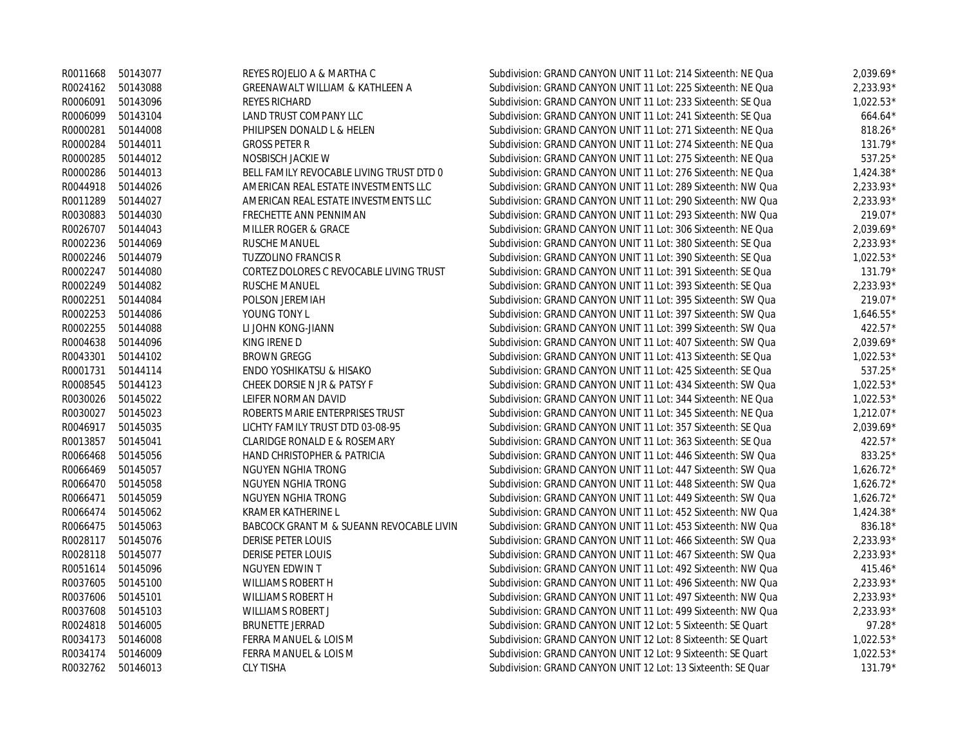|          | R0011668 50143077 | REYES ROJELIO A & MARTHA C                 | Subdivision: GRAND CANYON UNIT 11 Lot: 214 Sixteenth: NE Qua | $2,039.69*$ |
|----------|-------------------|--------------------------------------------|--------------------------------------------------------------|-------------|
|          | R0024162 50143088 | <b>GREENAWALT WILLIAM &amp; KATHLEEN A</b> | Subdivision: GRAND CANYON UNIT 11 Lot: 225 Sixteenth: NE Qua | $2,233.93*$ |
| R0006091 | 50143096          | REYES RICHARD                              | Subdivision: GRAND CANYON UNIT 11 Lot: 233 Sixteenth: SE Qua | $1,022.53*$ |
| R0006099 | 50143104          | LAND TRUST COMPANY LLC                     | Subdivision: GRAND CANYON UNIT 11 Lot: 241 Sixteenth: SE Qua | $664.64*$   |
| R0000281 | 50144008          | PHILIPSEN DONALD L & HELEN                 | Subdivision: GRAND CANYON UNIT 11 Lot: 271 Sixteenth: NE Qua | 818.26*     |
| R0000284 | 50144011          | <b>GROSS PETER R</b>                       | Subdivision: GRAND CANYON UNIT 11 Lot: 274 Sixteenth: NE Qua | $131.79*$   |
| R0000285 | 50144012          | NOSBISCH JACKIE W                          | Subdivision: GRAND CANYON UNIT 11 Lot: 275 Sixteenth: NE Qua | 537.25*     |
| R0000286 | 50144013          | BELL FAMILY REVOCABLE LIVING TRUST DTD 0   | Subdivision: GRAND CANYON UNIT 11 Lot: 276 Sixteenth: NE Qua | $1,424.38*$ |
| R0044918 | 50144026          | AMERICAN REAL ESTATE INVESTMENTS LLC       | Subdivision: GRAND CANYON UNIT 11 Lot: 289 Sixteenth: NW Qua | $2,233.93*$ |
| R0011289 | 50144027          | AMERICAN REAL ESTATE INVESTMENTS LLC       | Subdivision: GRAND CANYON UNIT 11 Lot: 290 Sixteenth: NW Qua | 2,233.93*   |
| R0030883 | 50144030          | FRECHETTE ANN PENNIMAN                     | Subdivision: GRAND CANYON UNIT 11 Lot: 293 Sixteenth: NW Qua | 219.07*     |
| R0026707 | 50144043          | MILLER ROGER & GRACE                       | Subdivision: GRAND CANYON UNIT 11 Lot: 306 Sixteenth: NE Qua | 2,039.69*   |
| R0002236 | 50144069          | RUSCHE MANUEL                              | Subdivision: GRAND CANYON UNIT 11 Lot: 380 Sixteenth: SE Qua | 2,233.93*   |
| R0002246 | 50144079          | <b>TUZZOLINO FRANCIS R</b>                 | Subdivision: GRAND CANYON UNIT 11 Lot: 390 Sixteenth: SE Qua | $1,022.53*$ |
| R0002247 | 50144080          | CORTEZ DOLORES C REVOCABLE LIVING TRUST    | Subdivision: GRAND CANYON UNIT 11 Lot: 391 Sixteenth: SE Qua | 131.79*     |
| R0002249 | 50144082          | <b>RUSCHE MANUEL</b>                       | Subdivision: GRAND CANYON UNIT 11 Lot: 393 Sixteenth: SE Qua | $2,233.93*$ |
| R0002251 | 50144084          | POLSON JEREMIAH                            | Subdivision: GRAND CANYON UNIT 11 Lot: 395 Sixteenth: SW Qua | $219.07*$   |
| R0002253 | 50144086          | YOUNG TONY L                               | Subdivision: GRAND CANYON UNIT 11 Lot: 397 Sixteenth: SW Qua | $1,646.55*$ |
| R0002255 | 50144088          | LI JOHN KONG-JIANN                         | Subdivision: GRAND CANYON UNIT 11 Lot: 399 Sixteenth: SW Qua | $422.57*$   |
| R0004638 | 50144096          | KING IRENE D                               | Subdivision: GRAND CANYON UNIT 11 Lot: 407 Sixteenth: SW Qua | $2,039.69*$ |
| R0043301 | 50144102          | <b>BROWN GREGG</b>                         | Subdivision: GRAND CANYON UNIT 11 Lot: 413 Sixteenth: SE Qua | $1,022.53*$ |
| R0001731 | 50144114          | ENDO YOSHIKATSU & HISAKO                   | Subdivision: GRAND CANYON UNIT 11 Lot: 425 Sixteenth: SE Qua | 537.25*     |
| R0008545 | 50144123          | CHEEK DORSIE N JR & PATSY F                | Subdivision: GRAND CANYON UNIT 11 Lot: 434 Sixteenth: SW Qua | $1,022.53*$ |
| R0030026 | 50145022          | LEIFER NORMAN DAVID                        | Subdivision: GRAND CANYON UNIT 11 Lot: 344 Sixteenth: NE Qua | $1,022.53*$ |
| R0030027 | 50145023          | ROBERTS MARIE ENTERPRISES TRUST            | Subdivision: GRAND CANYON UNIT 11 Lot: 345 Sixteenth: NE Qua | $1,212.07*$ |
| R0046917 | 50145035          | LICHTY FAMILY TRUST DTD 03-08-95           | Subdivision: GRAND CANYON UNIT 11 Lot: 357 Sixteenth: SE Qua | 2,039.69*   |
| R0013857 | 50145041          | <b>CLARIDGE RONALD E &amp; ROSEMARY</b>    | Subdivision: GRAND CANYON UNIT 11 Lot: 363 Sixteenth: SE Qua | 422.57*     |
| R0066468 | 50145056          | HAND CHRISTOPHER & PATRICIA                | Subdivision: GRAND CANYON UNIT 11 Lot: 446 Sixteenth: SW Qua | 833.25*     |
| R0066469 | 50145057          | NGUYEN NGHIA TRONG                         | Subdivision: GRAND CANYON UNIT 11 Lot: 447 Sixteenth: SW Qua | $1,626.72*$ |
| R0066470 | 50145058          | NGUYEN NGHIA TRONG                         | Subdivision: GRAND CANYON UNIT 11 Lot: 448 Sixteenth: SW Qua | $1,626.72*$ |
| R0066471 | 50145059          | NGUYEN NGHIA TRONG                         | Subdivision: GRAND CANYON UNIT 11 Lot: 449 Sixteenth: SW Qua | $1,626.72*$ |
| R0066474 | 50145062          | <b>KRAMER KATHERINE L</b>                  | Subdivision: GRAND CANYON UNIT 11 Lot: 452 Sixteenth: NW Qua | $1,424.38*$ |
| R0066475 | 50145063          | BABCOCK GRANT M & SUEANN REVOCABLE LIVIN   | Subdivision: GRAND CANYON UNIT 11 Lot: 453 Sixteenth: NW Qua | 836.18*     |
| R0028117 | 50145076          | <b>DERISE PETER LOUIS</b>                  | Subdivision: GRAND CANYON UNIT 11 Lot: 466 Sixteenth: SW Qua | 2,233.93*   |
| R0028118 | 50145077          | <b>DERISE PETER LOUIS</b>                  | Subdivision: GRAND CANYON UNIT 11 Lot: 467 Sixteenth: SW Qua | $2.233.93*$ |
| R0051614 | 50145096          | NGUYEN EDWIN T                             | Subdivision: GRAND CANYON UNIT 11 Lot: 492 Sixteenth: NW Qua | $415.46*$   |
| R0037605 | 50145100          | WILLIAMS ROBERT H                          | Subdivision: GRAND CANYON UNIT 11 Lot: 496 Sixteenth: NW Qua | $2.233.93*$ |
| R0037606 | 50145101          | WILLIAMS ROBERT H                          | Subdivision: GRAND CANYON UNIT 11 Lot: 497 Sixteenth: NW Qua | 2,233.93*   |
| R0037608 | 50145103          | WILLIAMS ROBERT J                          | Subdivision: GRAND CANYON UNIT 11 Lot: 499 Sixteenth: NW Qua | 2,233.93*   |
| R0024818 | 50146005          | <b>BRUNETTE JERRAD</b>                     | Subdivision: GRAND CANYON UNIT 12 Lot: 5 Sixteenth: SE Quart | 97.28*      |
| R0034173 | 50146008          | FERRA MANUEL & LOIS M                      | Subdivision: GRAND CANYON UNIT 12 Lot: 8 Sixteenth: SE Quart | $1,022.53*$ |
| R0034174 | 50146009          | FERRA MANUEL & LOIS M                      | Subdivision: GRAND CANYON UNIT 12 Lot: 9 Sixteenth: SE Quart | $1,022.53*$ |
|          | R0032762 50146013 | <b>CLY TISHA</b>                           | Subdivision: GRAND CANYON UNIT 12 Lot: 13 Sixteenth: SE Quar | $131.79*$   |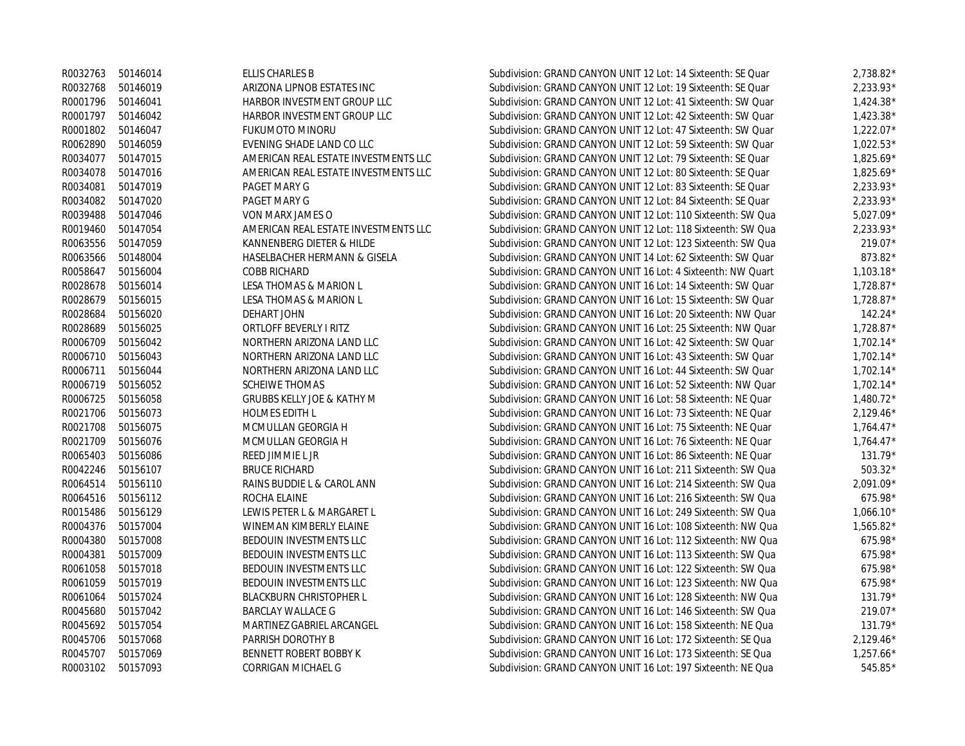|          | R0032763 50146014 | ELLIS CHARLES B                       | Subdivision: GRAND CANYON UNIT 12 Lot: 14 Sixteenth: SE Quar | 2,738.82*   |
|----------|-------------------|---------------------------------------|--------------------------------------------------------------|-------------|
| R0032768 | 50146019          | ARIZONA LIPNOB ESTATES INC            | Subdivision: GRAND CANYON UNIT 12 Lot: 19 Sixteenth: SE Quar | $2,233.93*$ |
| R0001796 | 50146041          | HARBOR INVESTMENT GROUP LLC           | Subdivision: GRAND CANYON UNIT 12 Lot: 41 Sixteenth: SW Quar | $1,424.38*$ |
| R0001797 | 50146042          | HARBOR INVESTMENT GROUP LLC           | Subdivision: GRAND CANYON UNIT 12 Lot: 42 Sixteenth: SW Quar | $1,423.38*$ |
| R0001802 | 50146047          | <b>FUKUMOTO MINORU</b>                | Subdivision: GRAND CANYON UNIT 12 Lot: 47 Sixteenth: SW Quar | $1,222.07*$ |
| R0062890 | 50146059          | EVENING SHADE LAND CO LLC             | Subdivision: GRAND CANYON UNIT 12 Lot: 59 Sixteenth: SW Quar | $1,022.53*$ |
| R0034077 | 50147015          | AMERICAN REAL ESTATE INVESTMENTS LLC  | Subdivision: GRAND CANYON UNIT 12 Lot: 79 Sixteenth: SE Quar | 1,825.69*   |
| R0034078 | 50147016          | AMERICAN REAL ESTATE INVESTMENTS LLC  | Subdivision: GRAND CANYON UNIT 12 Lot: 80 Sixteenth: SE Quar | 1,825.69*   |
| R0034081 | 50147019          | <b>PAGET MARY G</b>                   | Subdivision: GRAND CANYON UNIT 12 Lot: 83 Sixteenth: SE Quar | 2,233.93*   |
| R0034082 | 50147020          | PAGET MARY G                          | Subdivision: GRAND CANYON UNIT 12 Lot: 84 Sixteenth: SE Quar | 2,233.93*   |
| R0039488 | 50147046          | VON MARX JAMES O                      | Subdivision: GRAND CANYON UNIT 12 Lot: 110 Sixteenth: SW Qua | $5,027.09*$ |
| R0019460 | 50147054          | AMERICAN REAL ESTATE INVESTMENTS LLC  | Subdivision: GRAND CANYON UNIT 12 Lot: 118 Sixteenth: SW Qua | 2,233.93*   |
| R0063556 | 50147059          | KANNENBERG DIETER & HILDE             | Subdivision: GRAND CANYON UNIT 12 Lot: 123 Sixteenth: SW Qua | 219.07*     |
| R0063566 | 50148004          | HASELBACHER HERMANN & GISELA          | Subdivision: GRAND CANYON UNIT 14 Lot: 62 Sixteenth: SW Quar | 873.82*     |
| R0058647 | 50156004          | COBB RICHARD                          | Subdivision: GRAND CANYON UNIT 16 Lot: 4 Sixteenth: NW Quart | $1,103.18*$ |
| R0028678 | 50156014          | LESA THOMAS & MARION L                | Subdivision: GRAND CANYON UNIT 16 Lot: 14 Sixteenth: SW Quar | $1,728.87*$ |
| R0028679 | 50156015          | LESA THOMAS & MARION L                | Subdivision: GRAND CANYON UNIT 16 Lot: 15 Sixteenth: SW Quar | $1,728.87*$ |
| R0028684 | 50156020          | <b>DEHART JOHN</b>                    | Subdivision: GRAND CANYON UNIT 16 Lot: 20 Sixteenth: NW Quar | $142.24*$   |
| R0028689 | 50156025          | ORTLOFF BEVERLY I RITZ                | Subdivision: GRAND CANYON UNIT 16 Lot: 25 Sixteenth: NW Quar | $1,728.87*$ |
| R0006709 | 50156042          | NORTHERN ARIZONA LAND LLC             | Subdivision: GRAND CANYON UNIT 16 Lot: 42 Sixteenth: SW Quar | $1,702.14*$ |
|          | R0006710 50156043 | NORTHERN ARIZONA LAND LLC             | Subdivision: GRAND CANYON UNIT 16 Lot: 43 Sixteenth: SW Quar | $1,702.14*$ |
| R0006711 | 50156044          | NORTHERN ARIZONA LAND LLC             | Subdivision: GRAND CANYON UNIT 16 Lot: 44 Sixteenth: SW Quar | $1,702.14*$ |
| R0006719 | 50156052          | <b>SCHEIWE THOMAS</b>                 | Subdivision: GRAND CANYON UNIT 16 Lot: 52 Sixteenth: NW Quar | $1,702.14*$ |
| R0006725 | 50156058          | <b>GRUBBS KELLY JOE &amp; KATHY M</b> | Subdivision: GRAND CANYON UNIT 16 Lot: 58 Sixteenth: NE Quar | 1,480.72*   |
| R0021706 | 50156073          | <b>HOLMES EDITH L</b>                 | Subdivision: GRAND CANYON UNIT 16 Lot: 73 Sixteenth: NE Quar | $2,129.46*$ |
| R0021708 | 50156075          | MCMULLAN GEORGIA H                    | Subdivision: GRAND CANYON UNIT 16 Lot: 75 Sixteenth: NE Quar | $1,764.47*$ |
| R0021709 | 50156076          | MCMULLAN GEORGIA H                    | Subdivision: GRAND CANYON UNIT 16 Lot: 76 Sixteenth: NE Quar | $1,764.47*$ |
| R0065403 | 50156086          | REED JIMMIE L JR                      | Subdivision: GRAND CANYON UNIT 16 Lot: 86 Sixteenth: NE Quar | $131.79*$   |
| R0042246 | 50156107          | <b>BRUCE RICHARD</b>                  | Subdivision: GRAND CANYON UNIT 16 Lot: 211 Sixteenth: SW Qua | 503.32*     |
| R0064514 | 50156110          | RAINS BUDDIE L & CAROL ANN            | Subdivision: GRAND CANYON UNIT 16 Lot: 214 Sixteenth: SW Qua | 2,091.09*   |
| R0064516 | 50156112          | ROCHA ELAINE                          | Subdivision: GRAND CANYON UNIT 16 Lot: 216 Sixteenth: SW Qua | 675.98*     |
| R0015486 | 50156129          | LEWIS PETER L & MARGARET L            | Subdivision: GRAND CANYON UNIT 16 Lot: 249 Sixteenth: SW Qua | $1,066.10*$ |
| R0004376 | 50157004          | WINEMAN KIMBERLY ELAINE               | Subdivision: GRAND CANYON UNIT 16 Lot: 108 Sixteenth: NW Qua | 1,565.82*   |
| R0004380 | 50157008          | BEDOUIN INVESTMENTS LLC               | Subdivision: GRAND CANYON UNIT 16 Lot: 112 Sixteenth: NW Qua | 675.98*     |
| R0004381 | 50157009          | BEDOUIN INVESTMENTS LLC               | Subdivision: GRAND CANYON UNIT 16 Lot: 113 Sixteenth: SW Qua | 675.98*     |
| R0061058 | 50157018          | BEDOUIN INVESTMENTS LLC               | Subdivision: GRAND CANYON UNIT 16 Lot: 122 Sixteenth: SW Qua | 675.98*     |
| R0061059 | 50157019          | <b>BEDOUIN INVESTMENTS LLC</b>        | Subdivision: GRAND CANYON UNIT 16 Lot: 123 Sixteenth: NW Qua | 675.98*     |
| R0061064 | 50157024          | <b>BLACKBURN CHRISTOPHER L</b>        | Subdivision: GRAND CANYON UNIT 16 Lot: 128 Sixteenth: NW Qua | $131.79*$   |
| R0045680 | 50157042          | <b>BARCLAY WALLACE G</b>              | Subdivision: GRAND CANYON UNIT 16 Lot: 146 Sixteenth: SW Qua | 219.07*     |
|          | R0045692 50157054 | MARTINEZ GABRIEL ARCANGEL             | Subdivision: GRAND CANYON UNIT 16 Lot: 158 Sixteenth: NE Qua | $131.79*$   |
| R0045706 | 50157068          | PARRISH DOROTHY B                     | Subdivision: GRAND CANYON UNIT 16 Lot: 172 Sixteenth: SE Qua | $2,129.46*$ |
| R0045707 | 50157069          | <b>BENNETT ROBERT BOBBY K</b>         | Subdivision: GRAND CANYON UNIT 16 Lot: 173 Sixteenth: SE Qua | $1,257.66*$ |
| R0003102 | 50157093          | CORRIGAN MICHAEL G                    | Subdivision: GRAND CANYON UNIT 16 Lot: 197 Sixteenth: NE Qua | 545.85*     |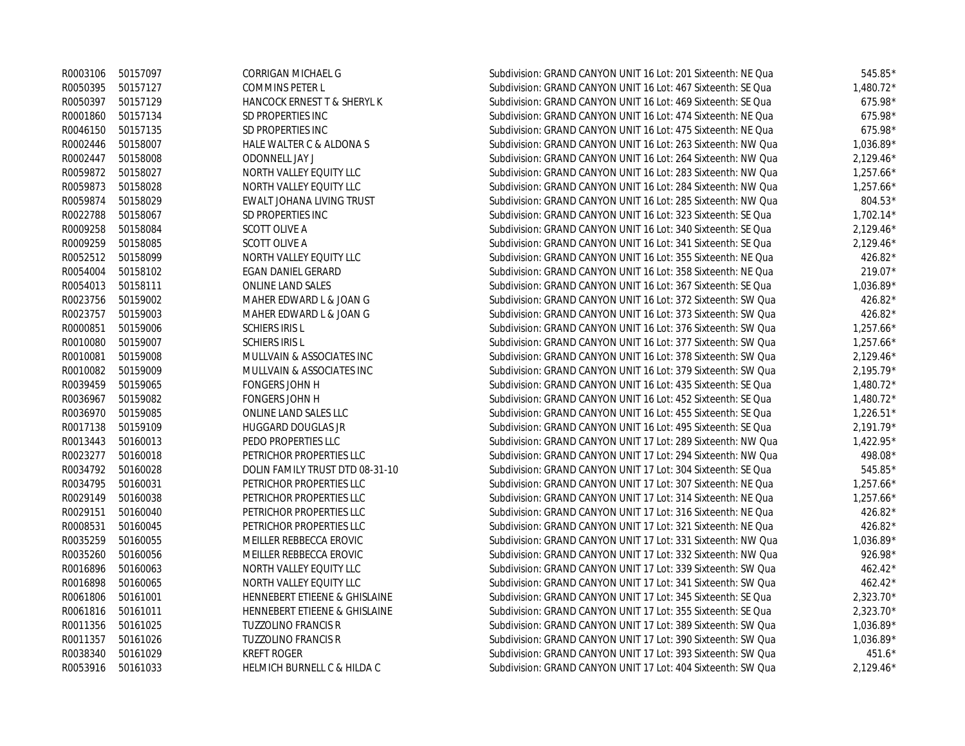|                   | R0003106 50157097 | CORRIGAN MICHAEL G                     | Subdivision: GRAND CANYON UNIT 16 Lot: 201 Sixteenth: NE Qua | $545.85*$   |
|-------------------|-------------------|----------------------------------------|--------------------------------------------------------------|-------------|
|                   | R0050395 50157127 | COMMINS PETER L                        | Subdivision: GRAND CANYON UNIT 16 Lot: 467 Sixteenth: SE Qua | 1,480.72*   |
|                   | R0050397 50157129 | HANCOCK ERNEST T & SHERYL K            | Subdivision: GRAND CANYON UNIT 16 Lot: 469 Sixteenth: SE Qua | 675.98*     |
|                   | R0001860 50157134 | SD PROPERTIES INC                      | Subdivision: GRAND CANYON UNIT 16 Lot: 474 Sixteenth: NE Qua | 675.98*     |
|                   | R0046150 50157135 | SD PROPERTIES INC                      | Subdivision: GRAND CANYON UNIT 16 Lot: 475 Sixteenth: NE Qua | 675.98*     |
|                   | R0002446 50158007 | HALE WALTER C & ALDONA S               | Subdivision: GRAND CANYON UNIT 16 Lot: 263 Sixteenth: NW Qua | 1,036.89*   |
|                   | R0002447 50158008 | <b>ODONNELL JAY J</b>                  | Subdivision: GRAND CANYON UNIT 16 Lot: 264 Sixteenth: NW Qua | $2,129.46*$ |
|                   | R0059872 50158027 | NORTH VALLEY EQUITY LLC                | Subdivision: GRAND CANYON UNIT 16 Lot: 283 Sixteenth: NW Qua | $1,257.66*$ |
|                   | R0059873 50158028 | NORTH VALLEY EQUITY LLC                | Subdivision: GRAND CANYON UNIT 16 Lot: 284 Sixteenth: NW Qua | $1,257.66*$ |
| R0059874          | 50158029          | EWALT JOHANA LIVING TRUST              | Subdivision: GRAND CANYON UNIT 16 Lot: 285 Sixteenth: NW Qua | 804.53*     |
| R0022788          | 50158067          | SD PROPERTIES INC                      | Subdivision: GRAND CANYON UNIT 16 Lot: 323 Sixteenth: SE Qua | $1,702.14*$ |
| R0009258          | 50158084          | <b>SCOTT OLIVE A</b>                   | Subdivision: GRAND CANYON UNIT 16 Lot: 340 Sixteenth: SE Qua | $2,129.46*$ |
|                   | R0009259 50158085 | <b>SCOTT OLIVE A</b>                   | Subdivision: GRAND CANYON UNIT 16 Lot: 341 Sixteenth: SE Qua | $2,129.46*$ |
|                   | R0052512 50158099 | NORTH VALLEY EQUITY LLC                | Subdivision: GRAND CANYON UNIT 16 Lot: 355 Sixteenth: NE Qua | 426.82*     |
| R0054004          | 50158102          | <b>EGAN DANIEL GERARD</b>              | Subdivision: GRAND CANYON UNIT 16 Lot: 358 Sixteenth: NE Qua | 219.07*     |
| R0054013 50158111 |                   | ONLINE LAND SALES                      | Subdivision: GRAND CANYON UNIT 16 Lot: 367 Sixteenth: SE Qua | 1,036.89*   |
|                   | R0023756 50159002 | MAHER EDWARD L & JOAN G                | Subdivision: GRAND CANYON UNIT 16 Lot: 372 Sixteenth: SW Qua | 426.82*     |
|                   | R0023757 50159003 | MAHER EDWARD L & JOAN G                | Subdivision: GRAND CANYON UNIT 16 Lot: 373 Sixteenth: SW Qua | 426.82*     |
| R0000851          | 50159006          | <b>SCHIERS IRIS L</b>                  | Subdivision: GRAND CANYON UNIT 16 Lot: 376 Sixteenth: SW Qua | $1,257.66*$ |
|                   | R0010080 50159007 | <b>SCHIERS IRIS L</b>                  | Subdivision: GRAND CANYON UNIT 16 Lot: 377 Sixteenth: SW Qua | $1,257.66*$ |
| R0010081          | 50159008          | MULLVAIN & ASSOCIATES INC              | Subdivision: GRAND CANYON UNIT 16 Lot: 378 Sixteenth: SW Qua | $2,129.46*$ |
| R0010082          | 50159009          | MULLVAIN & ASSOCIATES INC              | Subdivision: GRAND CANYON UNIT 16 Lot: 379 Sixteenth: SW Qua | $2.195.79*$ |
| R0039459          | 50159065          | FONGERS JOHN H                         | Subdivision: GRAND CANYON UNIT 16 Lot: 435 Sixteenth: SE Qua | $1,480.72*$ |
|                   | R0036967 50159082 | FONGERS JOHN H                         | Subdivision: GRAND CANYON UNIT 16 Lot: 452 Sixteenth: SE Qua | $1,480.72*$ |
|                   | R0036970 50159085 | ONLINE LAND SALES LLC                  | Subdivision: GRAND CANYON UNIT 16 Lot: 455 Sixteenth: SE Qua | $1,226.51*$ |
|                   | R0017138 50159109 | <b>HUGGARD DOUGLAS JR</b>              | Subdivision: GRAND CANYON UNIT 16 Lot: 495 Sixteenth: SE Qua | $2,191.79*$ |
|                   | R0013443 50160013 | PEDO PROPERTIES LLC                    | Subdivision: GRAND CANYON UNIT 17 Lot: 289 Sixteenth: NW Qua | $1,422.95*$ |
| R0023277          | 50160018          | PETRICHOR PROPERTIES LLC               | Subdivision: GRAND CANYON UNIT 17 Lot: 294 Sixteenth: NW Qua | 498.08*     |
| R0034792          | 50160028          | DOLIN FAMILY TRUST DTD 08-31-10        | Subdivision: GRAND CANYON UNIT 17 Lot: 304 Sixteenth: SE Qua | 545.85*     |
| R0034795          | 50160031          | PETRICHOR PROPERTIES LLC               | Subdivision: GRAND CANYON UNIT 17 Lot: 307 Sixteenth: NE Qua | $1,257.66*$ |
| R0029149          | 50160038          | PETRICHOR PROPERTIES LLC               | Subdivision: GRAND CANYON UNIT 17 Lot: 314 Sixteenth: NE Qua | $1,257.66*$ |
| R0029151          | 50160040          | PETRICHOR PROPERTIES LLC               | Subdivision: GRAND CANYON UNIT 17 Lot: 316 Sixteenth: NE Qua | 426.82*     |
| R0008531          | 50160045          | PETRICHOR PROPERTIES LLC               | Subdivision: GRAND CANYON UNIT 17 Lot: 321 Sixteenth: NE Qua | 426.82*     |
| R0035259          | 50160055          | MEILLER REBBECCA EROVIC                | Subdivision: GRAND CANYON UNIT 17 Lot: 331 Sixteenth: NW Qua | 1,036.89*   |
| R0035260          | 50160056          | MEILLER REBBECCA EROVIC                | Subdivision: GRAND CANYON UNIT 17 Lot: 332 Sixteenth: NW Qua | 926.98*     |
| R0016896          | 50160063          | NORTH VALLEY EQUITY LLC                | Subdivision: GRAND CANYON UNIT 17 Lot: 339 Sixteenth: SW Qua | 462.42*     |
| R0016898          | 50160065          | NORTH VALLEY EQUITY LLC                | Subdivision: GRAND CANYON UNIT 17 Lot: 341 Sixteenth: SW Qua | 462.42*     |
| R0061806          | 50161001          | HENNEBERT ETIEENE & GHISLAINE          | Subdivision: GRAND CANYON UNIT 17 Lot: 345 Sixteenth: SE Qua | 2,323.70*   |
| R0061816          | 50161011          | HENNEBERT ETIEENE & GHISLAINE          | Subdivision: GRAND CANYON UNIT 17 Lot: 355 Sixteenth: SE Qua | 2,323.70*   |
| R0011356          | 50161025          | <b>TUZZOLINO FRANCIS R</b>             | Subdivision: GRAND CANYON UNIT 17 Lot: 389 Sixteenth: SW Qua | $1,036.89*$ |
| R0011357          | 50161026          | <b>TUZZOLINO FRANCIS R</b>             | Subdivision: GRAND CANYON UNIT 17 Lot: 390 Sixteenth: SW Qua | $1.036.89*$ |
| R0038340          | 50161029          | <b>KREFT ROGER</b>                     | Subdivision: GRAND CANYON UNIT 17 Lot: 393 Sixteenth: SW Qua | $451.6*$    |
| R0053916          | 50161033          | <b>HELMICH BURNELL C &amp; HILDA C</b> | Subdivision: GRAND CANYON UNIT 17 Lot: 404 Sixteenth: SW Qua | $2.129.46*$ |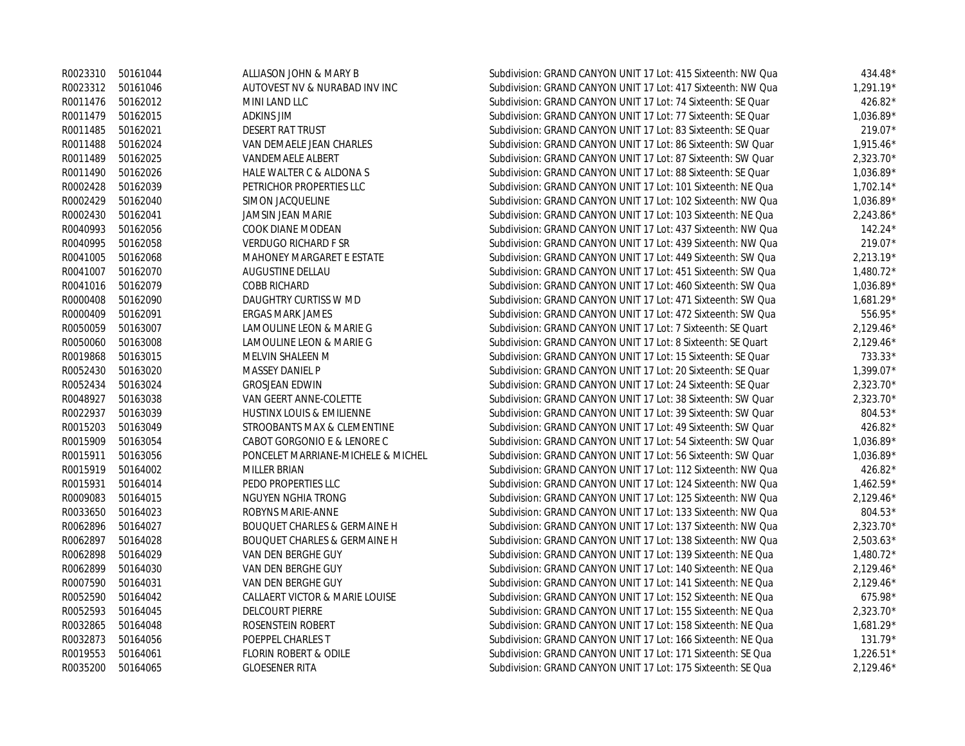|          | R0023310 50161044 | ALLIASON JOHN & MARY B                  | Subdivision: GRAND CANYON UNIT 17 Lot: 415 Sixteenth: NW Qua | 434.48*     |
|----------|-------------------|-----------------------------------------|--------------------------------------------------------------|-------------|
|          | R0023312 50161046 | AUTOVEST NV & NURABAD INV INC           | Subdivision: GRAND CANYON UNIT 17 Lot: 417 Sixteenth: NW Qua | $1.291.19*$ |
|          | R0011476 50162012 | MINI LAND LLC                           | Subdivision: GRAND CANYON UNIT 17 Lot: 74 Sixteenth: SE Quar | 426.82*     |
| R0011479 | 50162015          | <b>ADKINS JIM</b>                       | Subdivision: GRAND CANYON UNIT 17 Lot: 77 Sixteenth: SE Quar | $1.036.89*$ |
| R0011485 | 50162021          | <b>DESERT RAT TRUST</b>                 | Subdivision: GRAND CANYON UNIT 17 Lot: 83 Sixteenth: SE Quar | 219.07*     |
| R0011488 | 50162024          | VAN DEMAELE JEAN CHARLES                | Subdivision: GRAND CANYON UNIT 17 Lot: 86 Sixteenth: SW Quar | $1.915.46*$ |
| R0011489 | 50162025          | <b>VANDEMAELE ALBERT</b>                | Subdivision: GRAND CANYON UNIT 17 Lot: 87 Sixteenth: SW Quar | 2,323.70*   |
| R0011490 | 50162026          | HALE WALTER C & ALDONA S                | Subdivision: GRAND CANYON UNIT 17 Lot: 88 Sixteenth: SE Quar | $1.036.89*$ |
| R0002428 | 50162039          | PETRICHOR PROPERTIES LLC                | Subdivision: GRAND CANYON UNIT 17 Lot: 101 Sixteenth: NE Qua | $1,702.14*$ |
| R0002429 | 50162040          | SIMON JACQUELINE                        | Subdivision: GRAND CANYON UNIT 17 Lot: 102 Sixteenth: NW Qua | 1,036.89*   |
| R0002430 | 50162041          | JAMSIN JEAN MARIE                       | Subdivision: GRAND CANYON UNIT 17 Lot: 103 Sixteenth: NE Qua | $2,243.86*$ |
| R0040993 | 50162056          | COOK DIANE MODEAN                       | Subdivision: GRAND CANYON UNIT 17 Lot: 437 Sixteenth: NW Qua | $142.24*$   |
| R0040995 | 50162058          | <b>VERDUGO RICHARD F SR</b>             | Subdivision: GRAND CANYON UNIT 17 Lot: 439 Sixteenth: NW Qua | 219.07*     |
| R0041005 | 50162068          | MAHONEY MARGARET E ESTATE               | Subdivision: GRAND CANYON UNIT 17 Lot: 449 Sixteenth: SW Qua | $2,213.19*$ |
| R0041007 | 50162070          | AUGUSTINE DELLAU                        | Subdivision: GRAND CANYON UNIT 17 Lot: 451 Sixteenth: SW Qua | $1,480.72*$ |
| R0041016 | 50162079          | <b>COBB RICHARD</b>                     | Subdivision: GRAND CANYON UNIT 17 Lot: 460 Sixteenth: SW Qua | 1,036.89*   |
| R0000408 | 50162090          | DAUGHTRY CURTISS W MD                   | Subdivision: GRAND CANYON UNIT 17 Lot: 471 Sixteenth: SW Qua | $1,681.29*$ |
| R0000409 | 50162091          | <b>ERGAS MARK JAMES</b>                 | Subdivision: GRAND CANYON UNIT 17 Lot: 472 Sixteenth: SW Qua | 556.95*     |
| R0050059 | 50163007          | LAMOULINE LEON & MARIE G                | Subdivision: GRAND CANYON UNIT 17 Lot: 7 Sixteenth: SE Quart | $2,129.46*$ |
| R0050060 | 50163008          | LAMOULINE LEON & MARIE G                | Subdivision: GRAND CANYON UNIT 17 Lot: 8 Sixteenth: SE Quart | $2,129.46*$ |
| R0019868 | 50163015          | MELVIN SHALEEN M                        | Subdivision: GRAND CANYON UNIT 17 Lot: 15 Sixteenth: SE Quar | 733.33*     |
| R0052430 | 50163020          | <b>MASSEY DANIEL P</b>                  | Subdivision: GRAND CANYON UNIT 17 Lot: 20 Sixteenth: SE Quar | 1,399.07*   |
| R0052434 | 50163024          | <b>GROSJEAN EDWIN</b>                   | Subdivision: GRAND CANYON UNIT 17 Lot: 24 Sixteenth: SE Quar | $2,323.70*$ |
| R0048927 | 50163038          | VAN GEERT ANNE-COLETTE                  | Subdivision: GRAND CANYON UNIT 17 Lot: 38 Sixteenth: SW Quar | $2,323.70*$ |
| R0022937 | 50163039          | <b>HUSTINX LOUIS &amp; EMILIENNE</b>    | Subdivision: GRAND CANYON UNIT 17 Lot: 39 Sixteenth: SW Quar | 804.53*     |
| R0015203 | 50163049          | STROOBANTS MAX & CLEMENTINE             | Subdivision: GRAND CANYON UNIT 17 Lot: 49 Sixteenth: SW Quar | 426.82*     |
| R0015909 | 50163054          | CABOT GORGONIO E & LENORE C             | Subdivision: GRAND CANYON UNIT 17 Lot: 54 Sixteenth: SW Quar | $1,036.89*$ |
| R0015911 | 50163056          | PONCELET MARRIANE-MICHELE & MICHEL      | Subdivision: GRAND CANYON UNIT 17 Lot: 56 Sixteenth: SW Quar | $1,036.89*$ |
| R0015919 | 50164002          | <b>MILLER BRIAN</b>                     | Subdivision: GRAND CANYON UNIT 17 Lot: 112 Sixteenth: NW Qua | 426.82*     |
| R0015931 | 50164014          | PEDO PROPERTIES LLC                     | Subdivision: GRAND CANYON UNIT 17 Lot: 124 Sixteenth: NW Qua | $1,462.59*$ |
| R0009083 | 50164015          | NGUYEN NGHIA TRONG                      | Subdivision: GRAND CANYON UNIT 17 Lot: 125 Sixteenth: NW Qua | $2,129.46*$ |
| R0033650 | 50164023          | ROBYNS MARIE-ANNE                       | Subdivision: GRAND CANYON UNIT 17 Lot: 133 Sixteenth: NW Qua | 804.53*     |
| R0062896 | 50164027          | <b>BOUQUET CHARLES &amp; GERMAINE H</b> | Subdivision: GRAND CANYON UNIT 17 Lot: 137 Sixteenth: NW Qua | $2,323.70*$ |
| R0062897 | 50164028          | <b>BOUQUET CHARLES &amp; GERMAINE H</b> | Subdivision: GRAND CANYON UNIT 17 Lot: 138 Sixteenth: NW Qua | $2,503.63*$ |
| R0062898 | 50164029          | VAN DEN BERGHE GUY                      | Subdivision: GRAND CANYON UNIT 17 Lot: 139 Sixteenth: NE Qua | $1,480.72*$ |
| R0062899 | 50164030          | VAN DEN BERGHE GUY                      | Subdivision: GRAND CANYON UNIT 17 Lot: 140 Sixteenth: NE Qua | $2,129.46*$ |
| R0007590 | 50164031          | VAN DEN BERGHE GUY                      | Subdivision: GRAND CANYON UNIT 17 Lot: 141 Sixteenth: NE Qua | $2,129.46*$ |
| R0052590 | 50164042          | CALLAERT VICTOR & MARIE LOUISE          | Subdivision: GRAND CANYON UNIT 17 Lot: 152 Sixteenth: NE Qua | 675.98*     |
| R0052593 | 50164045          | DELCOURT PIERRE                         | Subdivision: GRAND CANYON UNIT 17 Lot: 155 Sixteenth: NE Qua | 2,323.70*   |
| R0032865 | 50164048          | ROSENSTEIN ROBERT                       | Subdivision: GRAND CANYON UNIT 17 Lot: 158 Sixteenth: NE Qua | $1,681.29*$ |
| R0032873 | 50164056          | POEPPEL CHARLES T                       | Subdivision: GRAND CANYON UNIT 17 Lot: 166 Sixteenth: NE Qua | $131.79*$   |
| R0019553 | 50164061          | <b>FLORIN ROBERT &amp; ODILE</b>        | Subdivision: GRAND CANYON UNIT 17 Lot: 171 Sixteenth: SE Qua | $1,226.51*$ |
| R0035200 | 50164065          | <b>GLOESENER RITA</b>                   | Subdivision: GRAND CANYON UNIT 17 Lot: 175 Sixteenth: SE Qua | $2.129.46*$ |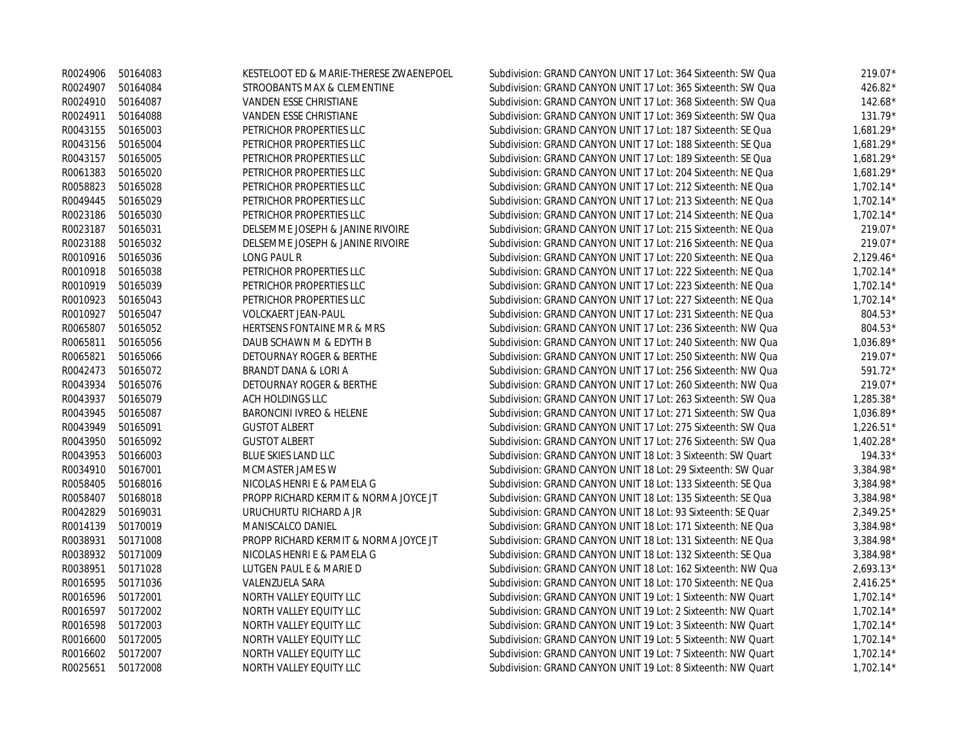|          | R0024906 50164083 | KESTELOOT ED & MARIE-THERESE ZWAENEPOEL | Subdivision: GRAND CANYON UNIT 17 Lot: 364 Sixteenth: SW Qua | $219.07*$   |
|----------|-------------------|-----------------------------------------|--------------------------------------------------------------|-------------|
| R0024907 | 50164084          | STROOBANTS MAX & CLEMENTINE             | Subdivision: GRAND CANYON UNIT 17 Lot: 365 Sixteenth: SW Qua | 426.82*     |
| R0024910 | 50164087          | VANDEN ESSE CHRISTIANE                  | Subdivision: GRAND CANYON UNIT 17 Lot: 368 Sixteenth: SW Qua | $142.68*$   |
| R0024911 | 50164088          | VANDEN ESSE CHRISTIANE                  | Subdivision: GRAND CANYON UNIT 17 Lot: 369 Sixteenth: SW Qua | 131.79*     |
| R0043155 | 50165003          | PETRICHOR PROPERTIES LLC                | Subdivision: GRAND CANYON UNIT 17 Lot: 187 Sixteenth: SE Qua | 1,681.29*   |
| R0043156 | 50165004          | PETRICHOR PROPERTIES LLC                | Subdivision: GRAND CANYON UNIT 17 Lot: 188 Sixteenth: SE Qua | 1,681.29*   |
| R0043157 | 50165005          | PETRICHOR PROPERTIES LLC                | Subdivision: GRAND CANYON UNIT 17 Lot: 189 Sixteenth: SE Qua | 1,681.29*   |
| R0061383 | 50165020          | PETRICHOR PROPERTIES LLC                | Subdivision: GRAND CANYON UNIT 17 Lot: 204 Sixteenth: NE Qua | 1,681.29*   |
| R0058823 | 50165028          | PETRICHOR PROPERTIES LLC                | Subdivision: GRAND CANYON UNIT 17 Lot: 212 Sixteenth: NE Qua | $1,702.14*$ |
| R0049445 | 50165029          | PETRICHOR PROPERTIES LLC                | Subdivision: GRAND CANYON UNIT 17 Lot: 213 Sixteenth: NE Qua | $1,702.14*$ |
| R0023186 | 50165030          | PETRICHOR PROPERTIES LLC                | Subdivision: GRAND CANYON UNIT 17 Lot: 214 Sixteenth: NE Qua | $1,702.14*$ |
| R0023187 | 50165031          | DELSEMME JOSEPH & JANINE RIVOIRE        | Subdivision: GRAND CANYON UNIT 17 Lot: 215 Sixteenth: NE Qua | 219.07*     |
| R0023188 | 50165032          | DELSEMME JOSEPH & JANINE RIVOIRE        | Subdivision: GRAND CANYON UNIT 17 Lot: 216 Sixteenth: NE Qua | 219.07*     |
| R0010916 | 50165036          | <b>LONG PAUL R</b>                      | Subdivision: GRAND CANYON UNIT 17 Lot: 220 Sixteenth: NE Qua | $2,129.46*$ |
| R0010918 | 50165038          | PETRICHOR PROPERTIES LLC                | Subdivision: GRAND CANYON UNIT 17 Lot: 222 Sixteenth: NE Qua | $1,702.14*$ |
| R0010919 | 50165039          | PETRICHOR PROPERTIES LLC                | Subdivision: GRAND CANYON UNIT 17 Lot: 223 Sixteenth: NE Qua | $1,702.14*$ |
| R0010923 | 50165043          | PETRICHOR PROPERTIES LLC                | Subdivision: GRAND CANYON UNIT 17 Lot: 227 Sixteenth: NE Qua | $1,702.14*$ |
| R0010927 | 50165047          | VOLCKAERT JEAN-PAUL                     | Subdivision: GRAND CANYON UNIT 17 Lot: 231 Sixteenth: NE Qua | 804.53*     |
| R0065807 | 50165052          | HERTSENS FONTAINE MR & MRS              | Subdivision: GRAND CANYON UNIT 17 Lot: 236 Sixteenth: NW Qua | $804.53*$   |
| R0065811 | 50165056          | DAUB SCHAWN M & EDYTH B                 | Subdivision: GRAND CANYON UNIT 17 Lot: 240 Sixteenth: NW Qua | $1,036.89*$ |
| R0065821 | 50165066          | DETOURNAY ROGER & BERTHE                | Subdivision: GRAND CANYON UNIT 17 Lot: 250 Sixteenth: NW Qua | $219.07*$   |
| R0042473 | 50165072          | BRANDT DANA & LORI A                    | Subdivision: GRAND CANYON UNIT 17 Lot: 256 Sixteenth: NW Qua | 591.72*     |
| R0043934 | 50165076          | DETOURNAY ROGER & BERTHE                | Subdivision: GRAND CANYON UNIT 17 Lot: 260 Sixteenth: NW Qua | 219.07*     |
| R0043937 | 50165079          | <b>ACH HOLDINGS LLC</b>                 | Subdivision: GRAND CANYON UNIT 17 Lot: 263 Sixteenth: SW Qua | 1,285.38*   |
| R0043945 | 50165087          | BARONCINI IVREO & HELENE                | Subdivision: GRAND CANYON UNIT 17 Lot: 271 Sixteenth: SW Qua | $1,036.89*$ |
| R0043949 | 50165091          | <b>GUSTOT ALBERT</b>                    | Subdivision: GRAND CANYON UNIT 17 Lot: 275 Sixteenth: SW Qua | $1,226.51*$ |
| R0043950 | 50165092          | <b>GUSTOT ALBERT</b>                    | Subdivision: GRAND CANYON UNIT 17 Lot: 276 Sixteenth: SW Qua | $1,402.28*$ |
| R0043953 | 50166003          | BLUE SKIES LAND LLC                     | Subdivision: GRAND CANYON UNIT 18 Lot: 3 Sixteenth: SW Quart | $194.33*$   |
| R0034910 | 50167001          | MCMASTER JAMES W                        | Subdivision: GRAND CANYON UNIT 18 Lot: 29 Sixteenth: SW Quar | 3,384.98*   |
| R0058405 | 50168016          | NICOLAS HENRI E & PAMELA G              | Subdivision: GRAND CANYON UNIT 18 Lot: 133 Sixteenth: SE Qua | $3,384.98*$ |
| R0058407 | 50168018          | PROPP RICHARD KERMIT & NORMA JOYCE JT   | Subdivision: GRAND CANYON UNIT 18 Lot: 135 Sixteenth: SE Qua | 3,384.98*   |
| R0042829 | 50169031          | URUCHURTU RICHARD A JR                  | Subdivision: GRAND CANYON UNIT 18 Lot: 93 Sixteenth: SE Quar | $2,349.25*$ |
| R0014139 | 50170019          | MANISCALCO DANIEL                       | Subdivision: GRAND CANYON UNIT 18 Lot: 171 Sixteenth: NE Qua | 3,384.98*   |
| R0038931 | 50171008          | PROPP RICHARD KERMIT & NORMA JOYCE JT   | Subdivision: GRAND CANYON UNIT 18 Lot: 131 Sixteenth: NE Qua | 3,384.98*   |
| R0038932 | 50171009          | NICOLAS HENRI E & PAMELA G              | Subdivision: GRAND CANYON UNIT 18 Lot: 132 Sixteenth: SE Qua | $3,384.98*$ |
| R0038951 | 50171028          | LUTGEN PAUL E & MARIE D                 | Subdivision: GRAND CANYON UNIT 18 Lot: 162 Sixteenth: NW Qua | $2,693.13*$ |
| R0016595 | 50171036          | VALENZUELA SARA                         | Subdivision: GRAND CANYON UNIT 18 Lot: 170 Sixteenth: NE Qua | $2,416.25*$ |
| R0016596 | 50172001          | NORTH VALLEY EQUITY LLC                 | Subdivision: GRAND CANYON UNIT 19 Lot: 1 Sixteenth: NW Quart | $1,702.14*$ |
| R0016597 | 50172002          | NORTH VALLEY EQUITY LLC                 | Subdivision: GRAND CANYON UNIT 19 Lot: 2 Sixteenth: NW Quart | $1,702.14*$ |
| R0016598 | 50172003          | NORTH VALLEY EQUITY LLC                 | Subdivision: GRAND CANYON UNIT 19 Lot: 3 Sixteenth: NW Quart | $1,702.14*$ |
| R0016600 | 50172005          | NORTH VALLEY EQUITY LLC                 | Subdivision: GRAND CANYON UNIT 19 Lot: 5 Sixteenth: NW Quart | $1,702.14*$ |
| R0016602 | 50172007          | NORTH VALLEY EQUITY LLC                 | Subdivision: GRAND CANYON UNIT 19 Lot: 7 Sixteenth: NW Quart | $1,702.14*$ |
| R0025651 | 50172008          | NORTH VALLEY EQUITY LLC                 | Subdivision: GRAND CANYON UNIT 19 Lot: 8 Sixteenth: NW Quart | $1.702.14*$ |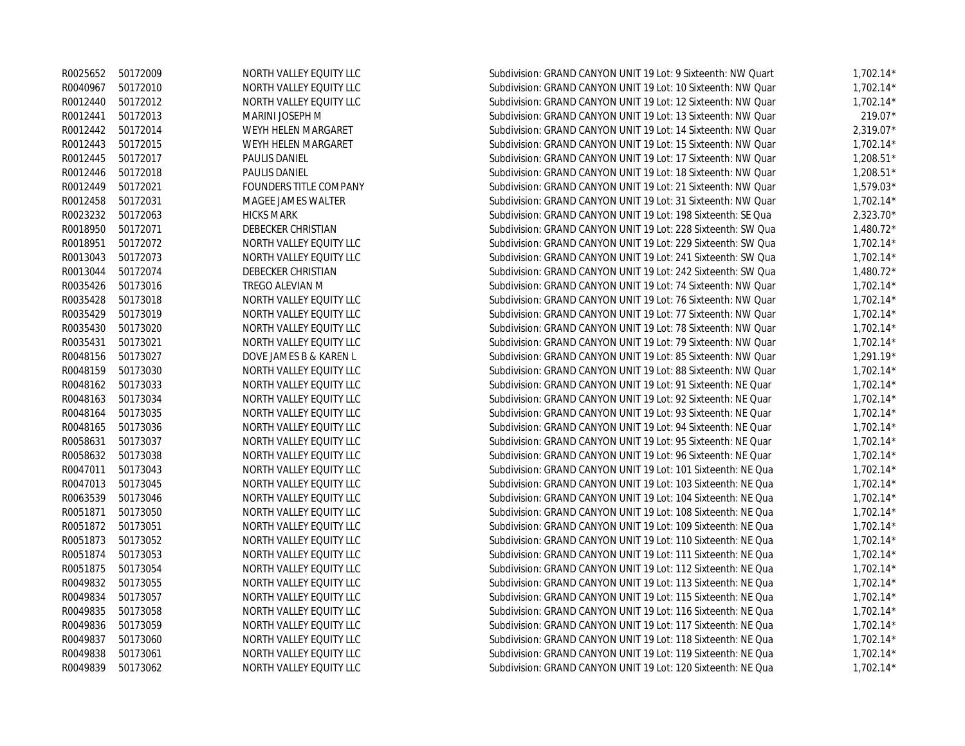| R0025652 | 50172009 | NORTH VALLEY EQUITY LLC | Subdivision: GRAND CANYON UNIT 19 Lot: 9 Sixteenth: NW Quart | $1,702.14*$ |
|----------|----------|-------------------------|--------------------------------------------------------------|-------------|
| R0040967 | 50172010 | NORTH VALLEY EQUITY LLC | Subdivision: GRAND CANYON UNIT 19 Lot: 10 Sixteenth: NW Quar | $1,702.14*$ |
| R0012440 | 50172012 | NORTH VALLEY EQUITY LLC | Subdivision: GRAND CANYON UNIT 19 Lot: 12 Sixteenth: NW Quar | $1,702.14*$ |
| R0012441 | 50172013 | MARINI JOSEPH M         | Subdivision: GRAND CANYON UNIT 19 Lot: 13 Sixteenth: NW Quar | 219.07*     |
| R0012442 | 50172014 | WEYH HELEN MARGARET     | Subdivision: GRAND CANYON UNIT 19 Lot: 14 Sixteenth: NW Quar | $2,319.07*$ |
| R0012443 | 50172015 | WEYH HELEN MARGARET     | Subdivision: GRAND CANYON UNIT 19 Lot: 15 Sixteenth: NW Quar | $1,702.14*$ |
| R0012445 | 50172017 | <b>PAULIS DANIEL</b>    | Subdivision: GRAND CANYON UNIT 19 Lot: 17 Sixteenth: NW Quar | $1,208.51*$ |
| R0012446 | 50172018 | PAULIS DANIEL           | Subdivision: GRAND CANYON UNIT 19 Lot: 18 Sixteenth: NW Quar | $1,208.51*$ |
| R0012449 | 50172021 | FOUNDERS TITLE COMPANY  | Subdivision: GRAND CANYON UNIT 19 Lot: 21 Sixteenth: NW Quar | $1,579.03*$ |
| R0012458 | 50172031 | MAGEE JAMES WALTER      | Subdivision: GRAND CANYON UNIT 19 Lot: 31 Sixteenth: NW Quar | $1,702.14*$ |
| R0023232 | 50172063 | <b>HICKS MARK</b>       | Subdivision: GRAND CANYON UNIT 19 Lot: 198 Sixteenth: SE Qua | $2,323.70*$ |
| R0018950 | 50172071 | DEBECKER CHRISTIAN      | Subdivision: GRAND CANYON UNIT 19 Lot: 228 Sixteenth: SW Qua | $1,480.72*$ |
| R0018951 | 50172072 | NORTH VALLEY EQUITY LLC | Subdivision: GRAND CANYON UNIT 19 Lot: 229 Sixteenth: SW Qua | $1,702.14*$ |
| R0013043 | 50172073 | NORTH VALLEY EQUITY LLC | Subdivision: GRAND CANYON UNIT 19 Lot: 241 Sixteenth: SW Qua | $1,702.14*$ |
| R0013044 | 50172074 | DEBECKER CHRISTIAN      | Subdivision: GRAND CANYON UNIT 19 Lot: 242 Sixteenth: SW Qua | $1,480.72*$ |
| R0035426 | 50173016 | TREGO ALEVIAN M         | Subdivision: GRAND CANYON UNIT 19 Lot: 74 Sixteenth: NW Quar | $1,702.14*$ |
| R0035428 | 50173018 | NORTH VALLEY EQUITY LLC | Subdivision: GRAND CANYON UNIT 19 Lot: 76 Sixteenth: NW Quar | $1,702.14*$ |
| R0035429 | 50173019 | NORTH VALLEY EQUITY LLC | Subdivision: GRAND CANYON UNIT 19 Lot: 77 Sixteenth: NW Quar | $1,702.14*$ |
| R0035430 | 50173020 | NORTH VALLEY EQUITY LLC | Subdivision: GRAND CANYON UNIT 19 Lot: 78 Sixteenth: NW Quar | $1,702.14*$ |
| R0035431 | 50173021 | NORTH VALLEY EQUITY LLC | Subdivision: GRAND CANYON UNIT 19 Lot: 79 Sixteenth: NW Quar | $1,702.14*$ |
| R0048156 | 50173027 | DOVE JAMES B & KAREN L  | Subdivision: GRAND CANYON UNIT 19 Lot: 85 Sixteenth: NW Quar | $1.291.19*$ |
| R0048159 | 50173030 | NORTH VALLEY EQUITY LLC | Subdivision: GRAND CANYON UNIT 19 Lot: 88 Sixteenth: NW Quar | $1,702.14*$ |
| R0048162 | 50173033 | NORTH VALLEY EQUITY LLC | Subdivision: GRAND CANYON UNIT 19 Lot: 91 Sixteenth: NE Quar | $1,702.14*$ |
| R0048163 | 50173034 | NORTH VALLEY EQUITY LLC | Subdivision: GRAND CANYON UNIT 19 Lot: 92 Sixteenth: NE Quar | $1,702.14*$ |
| R0048164 | 50173035 | NORTH VALLEY EQUITY LLC | Subdivision: GRAND CANYON UNIT 19 Lot: 93 Sixteenth: NE Quar | $1,702.14*$ |
| R0048165 | 50173036 | NORTH VALLEY EQUITY LLC | Subdivision: GRAND CANYON UNIT 19 Lot: 94 Sixteenth: NE Quar | $1,702.14*$ |
| R0058631 | 50173037 | NORTH VALLEY EQUITY LLC | Subdivision: GRAND CANYON UNIT 19 Lot: 95 Sixteenth: NE Quar | $1,702.14*$ |
| R0058632 | 50173038 | NORTH VALLEY EQUITY LLC | Subdivision: GRAND CANYON UNIT 19 Lot: 96 Sixteenth: NE Quar | $1,702.14*$ |
| R0047011 | 50173043 | NORTH VALLEY EQUITY LLC | Subdivision: GRAND CANYON UNIT 19 Lot: 101 Sixteenth: NE Qua | $1,702.14*$ |
| R0047013 | 50173045 | NORTH VALLEY EQUITY LLC | Subdivision: GRAND CANYON UNIT 19 Lot: 103 Sixteenth: NE Qua | $1,702.14*$ |
| R0063539 | 50173046 | NORTH VALLEY EQUITY LLC | Subdivision: GRAND CANYON UNIT 19 Lot: 104 Sixteenth: NE Qua | $1,702.14*$ |
| R0051871 | 50173050 | NORTH VALLEY EQUITY LLC | Subdivision: GRAND CANYON UNIT 19 Lot: 108 Sixteenth: NE Qua | $1,702.14*$ |
| R0051872 | 50173051 | NORTH VALLEY EQUITY LLC | Subdivision: GRAND CANYON UNIT 19 Lot: 109 Sixteenth: NE Qua | $1,702.14*$ |
| R0051873 | 50173052 | NORTH VALLEY EQUITY LLC | Subdivision: GRAND CANYON UNIT 19 Lot: 110 Sixteenth: NE Qua | $1,702.14*$ |
| R0051874 | 50173053 | NORTH VALLEY EQUITY LLC | Subdivision: GRAND CANYON UNIT 19 Lot: 111 Sixteenth: NE Qua | $1,702.14*$ |
| R0051875 | 50173054 | NORTH VALLEY EQUITY LLC | Subdivision: GRAND CANYON UNIT 19 Lot: 112 Sixteenth: NE Qua | $1,702.14*$ |
| R0049832 | 50173055 | NORTH VALLEY EQUITY LLC | Subdivision: GRAND CANYON UNIT 19 Lot: 113 Sixteenth: NE Qua | $1.702.14*$ |
| R0049834 | 50173057 | NORTH VALLEY EQUITY LLC | Subdivision: GRAND CANYON UNIT 19 Lot: 115 Sixteenth: NE Qua | $1,702.14*$ |
| R0049835 | 50173058 | NORTH VALLEY EQUITY LLC | Subdivision: GRAND CANYON UNIT 19 Lot: 116 Sixteenth: NE Qua | $1,702.14*$ |
| R0049836 | 50173059 | NORTH VALLEY EQUITY LLC | Subdivision: GRAND CANYON UNIT 19 Lot: 117 Sixteenth: NE Qua | $1,702.14*$ |
| R0049837 | 50173060 | NORTH VALLEY EQUITY LLC | Subdivision: GRAND CANYON UNIT 19 Lot: 118 Sixteenth: NE Qua | $1,702.14*$ |
| R0049838 | 50173061 | NORTH VALLEY EQUITY LLC | Subdivision: GRAND CANYON UNIT 19 Lot: 119 Sixteenth: NE Qua | $1,702.14*$ |
| R0049839 | 50173062 | NORTH VALLEY EQUITY LLC | Subdivision: GRAND CANYON UNIT 19 Lot: 120 Sixteenth: NE Qua | $1,702.14*$ |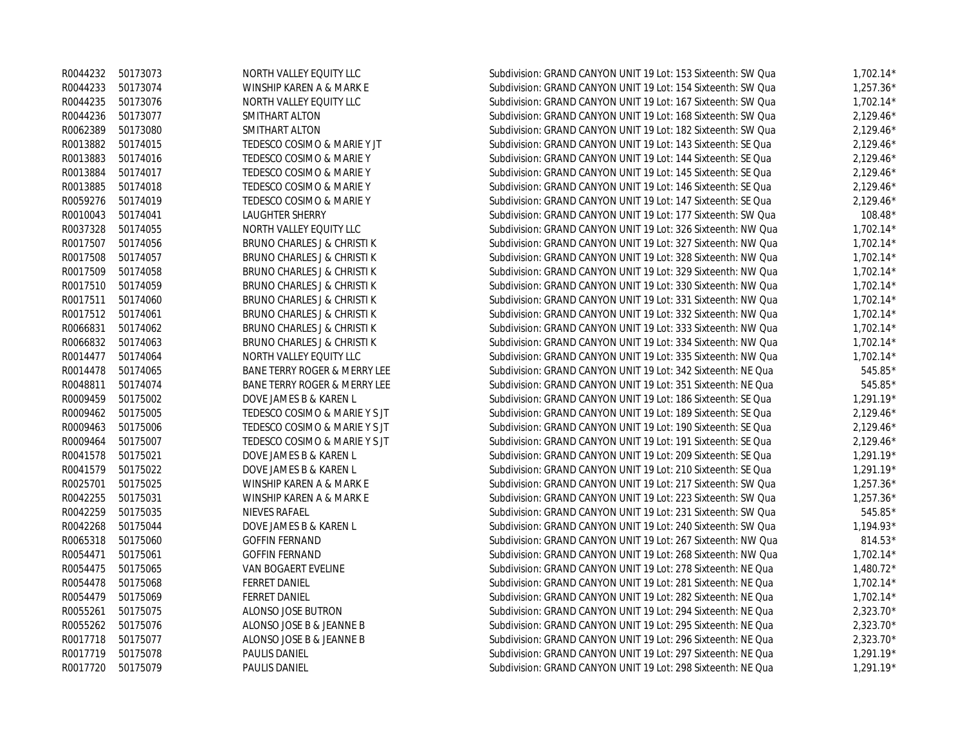|                   | R0044232 50173073 | NORTH VALLEY EQUITY LLC                 | Subdivision: GRAND CANYON UNIT 19 Lot: 153 Sixteenth: SW Qua | $1,702.14*$ |
|-------------------|-------------------|-----------------------------------------|--------------------------------------------------------------|-------------|
|                   | R0044233 50173074 | WINSHIP KAREN A & MARK E                | Subdivision: GRAND CANYON UNIT 19 Lot: 154 Sixteenth: SW Qua | $1,257.36*$ |
| R0044235          | 50173076          | NORTH VALLEY EQUITY LLC                 | Subdivision: GRAND CANYON UNIT 19 Lot: 167 Sixteenth: SW Qua | $1,702.14*$ |
| R0044236          | 50173077          | SMITHART ALTON                          | Subdivision: GRAND CANYON UNIT 19 Lot: 168 Sixteenth: SW Qua | $2,129.46*$ |
|                   | R0062389 50173080 | SMITHART ALTON                          | Subdivision: GRAND CANYON UNIT 19 Lot: 182 Sixteenth: SW Qua | $2,129.46*$ |
| R0013882 50174015 |                   | TEDESCO COSIMO & MARIE Y JT             | Subdivision: GRAND CANYON UNIT 19 Lot: 143 Sixteenth: SE Qua | $2,129.46*$ |
| R0013883          | 50174016          | TEDESCO COSIMO & MARIE Y                | Subdivision: GRAND CANYON UNIT 19 Lot: 144 Sixteenth: SE Qua | $2,129.46*$ |
| R0013884          | 50174017          | TEDESCO COSIMO & MARIE Y                | Subdivision: GRAND CANYON UNIT 19 Lot: 145 Sixteenth: SE Qua | $2,129.46*$ |
| R0013885 50174018 |                   | TEDESCO COSIMO & MARIE Y                | Subdivision: GRAND CANYON UNIT 19 Lot: 146 Sixteenth: SE Qua | $2,129.46*$ |
| R0059276          | 50174019          | TEDESCO COSIMO & MARIE Y                | Subdivision: GRAND CANYON UNIT 19 Lot: 147 Sixteenth: SE Qua | $2,129.46*$ |
| R0010043 50174041 |                   | LAUGHTER SHERRY                         | Subdivision: GRAND CANYON UNIT 19 Lot: 177 Sixteenth: SW Qua | $108.48*$   |
| R0037328          | 50174055          | NORTH VALLEY EQUITY LLC                 | Subdivision: GRAND CANYON UNIT 19 Lot: 326 Sixteenth: NW Qua | $1,702.14*$ |
| R0017507 50174056 |                   | BRUNO CHARLES J & CHRISTI K             | Subdivision: GRAND CANYON UNIT 19 Lot: 327 Sixteenth: NW Qua | $1,702.14*$ |
| R0017508          | 50174057          | BRUNO CHARLES J & CHRISTI K             | Subdivision: GRAND CANYON UNIT 19 Lot: 328 Sixteenth: NW Qua | $1,702.14*$ |
| R0017509          | 50174058          | BRUNO CHARLES J & CHRISTI K             | Subdivision: GRAND CANYON UNIT 19 Lot: 329 Sixteenth: NW Qua | $1,702.14*$ |
|                   | R0017510 50174059 | BRUNO CHARLES J & CHRISTI K             | Subdivision: GRAND CANYON UNIT 19 Lot: 330 Sixteenth: NW Qua | $1,702.14*$ |
| R0017511 50174060 |                   | BRUNO CHARLES J & CHRISTI K             | Subdivision: GRAND CANYON UNIT 19 Lot: 331 Sixteenth: NW Qua | $1,702.14*$ |
| R0017512 50174061 |                   | BRUNO CHARLES J & CHRISTI K             | Subdivision: GRAND CANYON UNIT 19 Lot: 332 Sixteenth: NW Qua | $1,702.14*$ |
| R0066831          | 50174062          | BRUNO CHARLES J & CHRISTI K             | Subdivision: GRAND CANYON UNIT 19 Lot: 333 Sixteenth: NW Qua | $1,702.14*$ |
| R0066832          | 50174063          | BRUNO CHARLES J & CHRISTI K             | Subdivision: GRAND CANYON UNIT 19 Lot: 334 Sixteenth: NW Qua | $1,702.14*$ |
| R0014477          | 50174064          | NORTH VALLEY EQUITY LLC                 | Subdivision: GRAND CANYON UNIT 19 Lot: 335 Sixteenth: NW Qua | $1,702.14*$ |
| R0014478          | 50174065          | <b>BANE TERRY ROGER &amp; MERRY LEE</b> | Subdivision: GRAND CANYON UNIT 19 Lot: 342 Sixteenth: NE Qua | 545.85*     |
| R0048811          | 50174074          | <b>BANE TERRY ROGER &amp; MERRY LEE</b> | Subdivision: GRAND CANYON UNIT 19 Lot: 351 Sixteenth: NE Qua | 545.85*     |
| R0009459          | 50175002          | DOVE JAMES B & KAREN L                  | Subdivision: GRAND CANYON UNIT 19 Lot: 186 Sixteenth: SE Qua | $1,291.19*$ |
| R0009462 50175005 |                   | TEDESCO COSIMO & MARIE Y S JT           | Subdivision: GRAND CANYON UNIT 19 Lot: 189 Sixteenth: SE Qua | $2,129.46*$ |
| R0009463          | 50175006          | TEDESCO COSIMO & MARIE Y S JT           | Subdivision: GRAND CANYON UNIT 19 Lot: 190 Sixteenth: SE Qua | $2,129.46*$ |
| R0009464          | 50175007          | TEDESCO COSIMO & MARIE Y S JT           | Subdivision: GRAND CANYON UNIT 19 Lot: 191 Sixteenth: SE Qua | $2,129.46*$ |
| R0041578          | 50175021          | DOVE JAMES B & KAREN L                  | Subdivision: GRAND CANYON UNIT 19 Lot: 209 Sixteenth: SE Qua | $1,291.19*$ |
|                   | R0041579 50175022 | DOVE JAMES B & KAREN L                  | Subdivision: GRAND CANYON UNIT 19 Lot: 210 Sixteenth: SE Qua | $1,291.19*$ |
| R0025701          | 50175025          | WINSHIP KAREN A & MARK E                | Subdivision: GRAND CANYON UNIT 19 Lot: 217 Sixteenth: SW Qua | $1.257.36*$ |
| R0042255          | 50175031          | WINSHIP KAREN A & MARK E                | Subdivision: GRAND CANYON UNIT 19 Lot: 223 Sixteenth: SW Qua | $1,257.36*$ |
| R0042259          | 50175035          | NIEVES RAFAEL                           | Subdivision: GRAND CANYON UNIT 19 Lot: 231 Sixteenth: SW Qua | 545.85*     |
| R0042268          | 50175044          | DOVE JAMES B & KAREN L                  | Subdivision: GRAND CANYON UNIT 19 Lot: 240 Sixteenth: SW Qua | $1,194.93*$ |
| R0065318          | 50175060          | <b>GOFFIN FERNAND</b>                   | Subdivision: GRAND CANYON UNIT 19 Lot: 267 Sixteenth: NW Qua | 814.53*     |
| R0054471          | 50175061          | <b>GOFFIN FERNAND</b>                   | Subdivision: GRAND CANYON UNIT 19 Lot: 268 Sixteenth: NW Qua | $1,702.14*$ |
| R0054475          | 50175065          | VAN BOGAERT EVELINE                     | Subdivision: GRAND CANYON UNIT 19 Lot: 278 Sixteenth: NE Qua | $1,480.72*$ |
| R0054478          | 50175068          | <b>FERRET DANIEL</b>                    | Subdivision: GRAND CANYON UNIT 19 Lot: 281 Sixteenth: NE Qua | $1,702.14*$ |
| R0054479          | 50175069          | <b>FERRET DANIEL</b>                    | Subdivision: GRAND CANYON UNIT 19 Lot: 282 Sixteenth: NE Qua | $1,702.14*$ |
| R0055261          | 50175075          | ALONSO JOSE BUTRON                      | Subdivision: GRAND CANYON UNIT 19 Lot: 294 Sixteenth: NE Qua | 2,323.70*   |
|                   | R0055262 50175076 | ALONSO JOSE B & JEANNE B                | Subdivision: GRAND CANYON UNIT 19 Lot: 295 Sixteenth: NE Qua | 2,323.70*   |
| R0017718 50175077 |                   | ALONSO JOSE B & JEANNE B                | Subdivision: GRAND CANYON UNIT 19 Lot: 296 Sixteenth: NE Qua | $2,323.70*$ |
| R0017719          | 50175078          | <b>PAULIS DANIEL</b>                    | Subdivision: GRAND CANYON UNIT 19 Lot: 297 Sixteenth: NE Qua | $1.291.19*$ |
| R0017720          | 50175079          | <b>PAULIS DANIEL</b>                    | Subdivision: GRAND CANYON UNIT 19 Lot: 298 Sixteenth: NE Qua | $1.291.19*$ |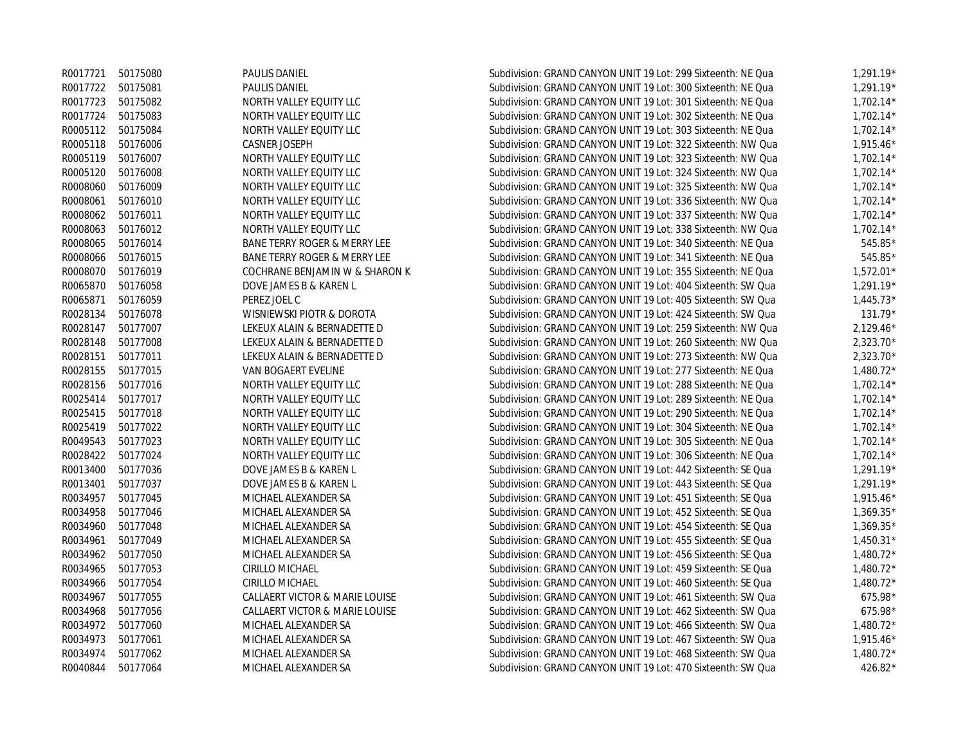|          | R0017721 50175080 | <b>PAULIS DANIEL</b>                    | Subdivision: GRAND CANYON UNIT 19 Lot: 299 Sixteenth: NE Qua | $1,291.19*$ |
|----------|-------------------|-----------------------------------------|--------------------------------------------------------------|-------------|
|          | R0017722 50175081 | PAULIS DANIEL                           | Subdivision: GRAND CANYON UNIT 19 Lot: 300 Sixteenth: NE Qua | $1,291.19*$ |
|          | R0017723 50175082 | NORTH VALLEY EQUITY LLC                 | Subdivision: GRAND CANYON UNIT 19 Lot: 301 Sixteenth: NE Qua | $1,702.14*$ |
|          | R0017724 50175083 | NORTH VALLEY EQUITY LLC                 | Subdivision: GRAND CANYON UNIT 19 Lot: 302 Sixteenth: NE Qua | $1,702.14*$ |
|          | R0005112 50175084 | NORTH VALLEY EQUITY LLC                 | Subdivision: GRAND CANYON UNIT 19 Lot: 303 Sixteenth: NE Qua | $1,702.14*$ |
| R0005118 | 50176006          | <b>CASNER JOSEPH</b>                    | Subdivision: GRAND CANYON UNIT 19 Lot: 322 Sixteenth: NW Qua | $1,915.46*$ |
|          | R0005119 50176007 | NORTH VALLEY EQUITY LLC                 | Subdivision: GRAND CANYON UNIT 19 Lot: 323 Sixteenth: NW Qua | $1,702.14*$ |
| R0005120 | 50176008          | NORTH VALLEY EQUITY LLC                 | Subdivision: GRAND CANYON UNIT 19 Lot: 324 Sixteenth: NW Qua | $1,702.14*$ |
| R0008060 | 50176009          | NORTH VALLEY EQUITY LLC                 | Subdivision: GRAND CANYON UNIT 19 Lot: 325 Sixteenth: NW Qua | $1,702.14*$ |
| R0008061 | 50176010          | NORTH VALLEY EQUITY LLC                 | Subdivision: GRAND CANYON UNIT 19 Lot: 336 Sixteenth: NW Qua | $1,702.14*$ |
| R0008062 | 50176011          | NORTH VALLEY EQUITY LLC                 | Subdivision: GRAND CANYON UNIT 19 Lot: 337 Sixteenth: NW Qua | $1,702.14*$ |
| R0008063 | 50176012          | NORTH VALLEY EQUITY LLC                 | Subdivision: GRAND CANYON UNIT 19 Lot: 338 Sixteenth: NW Qua | $1,702.14*$ |
| R0008065 | 50176014          | BANE TERRY ROGER & MERRY LEE            | Subdivision: GRAND CANYON UNIT 19 Lot: 340 Sixteenth: NE Qua | $545.85*$   |
| R0008066 | 50176015          | <b>BANE TERRY ROGER &amp; MERRY LEE</b> | Subdivision: GRAND CANYON UNIT 19 Lot: 341 Sixteenth: NE Qua | 545.85*     |
| R0008070 | 50176019          | COCHRANE BENJAMIN W & SHARON K          | Subdivision: GRAND CANYON UNIT 19 Lot: 355 Sixteenth: NE Qua | $1,572.01*$ |
|          | R0065870 50176058 | DOVE JAMES B & KAREN L                  | Subdivision: GRAND CANYON UNIT 19 Lot: 404 Sixteenth: SW Qua | $1,291.19*$ |
| R0065871 | 50176059          | PEREZ JOEL C                            | Subdivision: GRAND CANYON UNIT 19 Lot: 405 Sixteenth: SW Qua | $1,445.73*$ |
| R0028134 | 50176078          | WISNIEWSKI PIOTR & DOROTA               | Subdivision: GRAND CANYON UNIT 19 Lot: 424 Sixteenth: SW Qua | $131.79*$   |
|          | R0028147 50177007 | LEKEUX ALAIN & BERNADETTE D             | Subdivision: GRAND CANYON UNIT 19 Lot: 259 Sixteenth: NW Qua | $2,129.46*$ |
|          | R0028148 50177008 | LEKEUX ALAIN & BERNADETTE D             | Subdivision: GRAND CANYON UNIT 19 Lot: 260 Sixteenth: NW Qua | 2,323.70*   |
|          | R0028151 50177011 | LEKEUX ALAIN & BERNADETTE D             | Subdivision: GRAND CANYON UNIT 19 Lot: 273 Sixteenth: NW Qua | $2.323.70*$ |
| R0028155 | 50177015          | VAN BOGAERT EVELINE                     | Subdivision: GRAND CANYON UNIT 19 Lot: 277 Sixteenth: NE Qua | $1,480.72*$ |
| R0028156 | 50177016          | NORTH VALLEY EQUITY LLC                 | Subdivision: GRAND CANYON UNIT 19 Lot: 288 Sixteenth: NE Qua | $1,702.14*$ |
|          | R0025414 50177017 | NORTH VALLEY EQUITY LLC                 | Subdivision: GRAND CANYON UNIT 19 Lot: 289 Sixteenth: NE Qua | $1,702.14*$ |
|          | R0025415 50177018 | NORTH VALLEY EQUITY LLC                 | Subdivision: GRAND CANYON UNIT 19 Lot: 290 Sixteenth: NE Qua | $1.702.14*$ |
|          | R0025419 50177022 | NORTH VALLEY EQUITY LLC                 | Subdivision: GRAND CANYON UNIT 19 Lot: 304 Sixteenth: NE Qua | $1,702.14*$ |
| R0049543 | 50177023          | NORTH VALLEY EQUITY LLC                 | Subdivision: GRAND CANYON UNIT 19 Lot: 305 Sixteenth: NE Qua | $1,702.14*$ |
|          | R0028422 50177024 | NORTH VALLEY EQUITY LLC                 | Subdivision: GRAND CANYON UNIT 19 Lot: 306 Sixteenth: NE Qua | $1,702.14*$ |
| R0013400 | 50177036          | DOVE JAMES B & KAREN L                  | Subdivision: GRAND CANYON UNIT 19 Lot: 442 Sixteenth: SE Qua | $1,291.19*$ |
|          | R0013401 50177037 | DOVE JAMES B & KAREN L                  | Subdivision: GRAND CANYON UNIT 19 Lot: 443 Sixteenth: SE Qua | $1,291.19*$ |
| R0034957 | 50177045          | MICHAEL ALEXANDER SA                    | Subdivision: GRAND CANYON UNIT 19 Lot: 451 Sixteenth: SE Qua | $1,915.46*$ |
| R0034958 | 50177046          | MICHAEL ALEXANDER SA                    | Subdivision: GRAND CANYON UNIT 19 Lot: 452 Sixteenth: SE Qua | $1,369.35*$ |
| R0034960 | 50177048          | MICHAEL ALEXANDER SA                    | Subdivision: GRAND CANYON UNIT 19 Lot: 454 Sixteenth: SE Qua | 1,369.35*   |
| R0034961 | 50177049          | MICHAEL ALEXANDER SA                    | Subdivision: GRAND CANYON UNIT 19 Lot: 455 Sixteenth: SE Qua | $1,450.31*$ |
| R0034962 | 50177050          | MICHAEL ALEXANDER SA                    | Subdivision: GRAND CANYON UNIT 19 Lot: 456 Sixteenth: SE Qua | $1,480.72*$ |
| R0034965 | 50177053          | CIRILLO MICHAEL                         | Subdivision: GRAND CANYON UNIT 19 Lot: 459 Sixteenth: SE Qua | $1,480.72*$ |
| R0034966 | 50177054          | CIRILLO MICHAEL                         | Subdivision: GRAND CANYON UNIT 19 Lot: 460 Sixteenth: SE Qua | $1,480.72*$ |
| R0034967 | 50177055          | CALLAERT VICTOR & MARIE LOUISE          | Subdivision: GRAND CANYON UNIT 19 Lot: 461 Sixteenth: SW Qua | 675.98*     |
| R0034968 | 50177056          | CALLAERT VICTOR & MARIE LOUISE          | Subdivision: GRAND CANYON UNIT 19 Lot: 462 Sixteenth: SW Qua | 675.98*     |
|          | R0034972 50177060 | MICHAEL ALEXANDER SA                    | Subdivision: GRAND CANYON UNIT 19 Lot: 466 Sixteenth: SW Qua | $1,480.72*$ |
|          | R0034973 50177061 | MICHAEL ALEXANDER SA                    | Subdivision: GRAND CANYON UNIT 19 Lot: 467 Sixteenth: SW Qua | $1,915.46*$ |
| R0034974 | 50177062          | MICHAEL ALEXANDER SA                    | Subdivision: GRAND CANYON UNIT 19 Lot: 468 Sixteenth: SW Qua | $1,480.72*$ |
| R0040844 | 50177064          | MICHAEL ALEXANDER SA                    | Subdivision: GRAND CANYON UNIT 19 Lot: 470 Sixteenth: SW Qua | 426.82*     |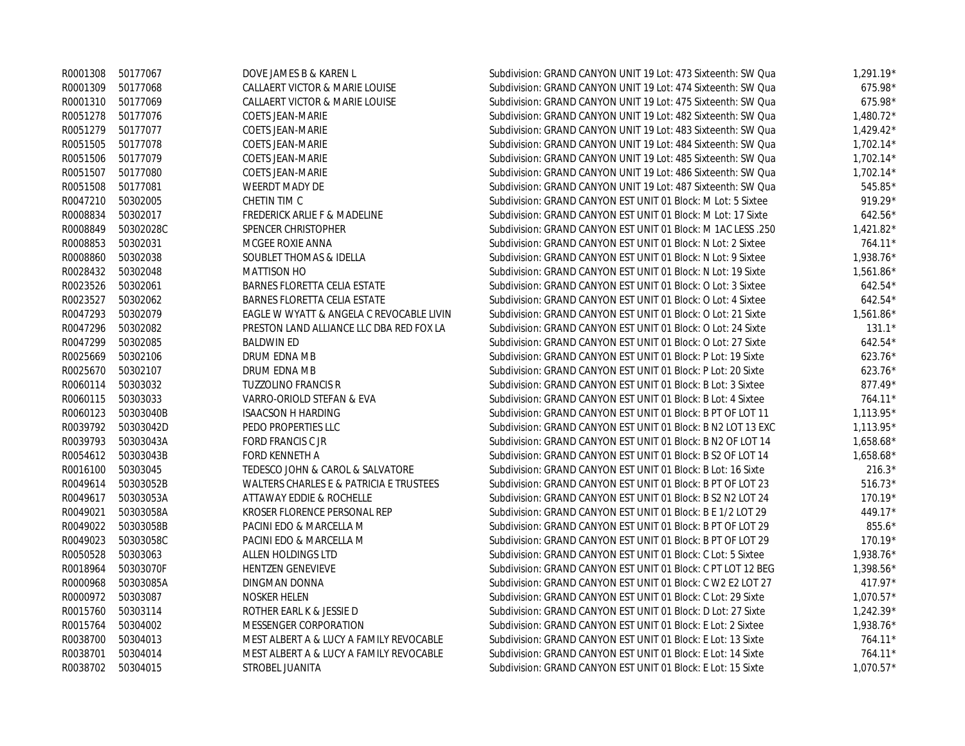|                   | R0001308 50177067  | DOVE JAMES B & KAREN L                   | Subdivision: GRAND CANYON UNIT 19 Lot: 473 Sixteenth: SW Qua | $1,291.19*$ |
|-------------------|--------------------|------------------------------------------|--------------------------------------------------------------|-------------|
| R0001309 50177068 |                    | CALLAERT VICTOR & MARIE LOUISE           | Subdivision: GRAND CANYON UNIT 19 Lot: 474 Sixteenth: SW Qua | 675.98*     |
|                   | R0001310 50177069  | CALLAERT VICTOR & MARIE LOUISE           | Subdivision: GRAND CANYON UNIT 19 Lot: 475 Sixteenth: SW Qua | 675.98*     |
| R0051278          | 50177076           | <b>COETS JEAN-MARIE</b>                  | Subdivision: GRAND CANYON UNIT 19 Lot: 482 Sixteenth: SW Qua | $1,480.72*$ |
| R0051279 50177077 |                    | <b>COETS JEAN-MARIE</b>                  | Subdivision: GRAND CANYON UNIT 19 Lot: 483 Sixteenth: SW Qua | $1,429.42*$ |
| R0051505 50177078 |                    | <b>COETS JEAN-MARIE</b>                  | Subdivision: GRAND CANYON UNIT 19 Lot: 484 Sixteenth: SW Qua | $1,702.14*$ |
|                   | R0051506 50177079  | <b>COETS JEAN-MARIE</b>                  | Subdivision: GRAND CANYON UNIT 19 Lot: 485 Sixteenth: SW Qua | $1,702.14*$ |
| R0051507          | 50177080           | <b>COETS JEAN-MARIE</b>                  | Subdivision: GRAND CANYON UNIT 19 Lot: 486 Sixteenth: SW Qua | $1,702.14*$ |
| R0051508 50177081 |                    | <b>WEERDT MADY DE</b>                    | Subdivision: GRAND CANYON UNIT 19 Lot: 487 Sixteenth: SW Qua | 545.85*     |
| R0047210          | 50302005           | CHETIN TIM C                             | Subdivision: GRAND CANYON EST UNIT 01 Block: M Lot: 5 Sixtee | 919.29*     |
| R0008834          | 50302017           | FREDERICK ARLIE F & MADELINE             | Subdivision: GRAND CANYON EST UNIT 01 Block: M Lot: 17 Sixte | $642.56*$   |
| R0008849          | 50302028C          | SPENCER CHRISTOPHER                      | Subdivision: GRAND CANYON EST UNIT 01 Block: M 1AC LESS .250 | $1,421.82*$ |
| R0008853          | 50302031           | MCGEE ROXIE ANNA                         | Subdivision: GRAND CANYON EST UNIT 01 Block: N Lot: 2 Sixtee | 764.11*     |
| R0008860          | 50302038           | SOUBLET THOMAS & IDELLA                  | Subdivision: GRAND CANYON EST UNIT 01 Block: N Lot: 9 Sixtee | 1,938.76*   |
| R0028432          | 50302048           | <b>MATTISON HO</b>                       | Subdivision: GRAND CANYON EST UNIT 01 Block: N Lot: 19 Sixte | 1,561.86*   |
| R0023526          | 50302061           | <b>BARNES FLORETTA CELIA ESTATE</b>      | Subdivision: GRAND CANYON EST UNIT 01 Block: O Lot: 3 Sixtee | $642.54*$   |
| R0023527          | 50302062           | <b>BARNES FLORETTA CELIA ESTATE</b>      | Subdivision: GRAND CANYON EST UNIT 01 Block: O Lot: 4 Sixtee | $642.54*$   |
| R0047293          | 50302079           | EAGLE W WYATT & ANGELA C REVOCABLE LIVIN | Subdivision: GRAND CANYON EST UNIT 01 Block: O Lot: 21 Sixte | 1,561.86*   |
| R0047296          | 50302082           | PRESTON LAND ALLIANCE LLC DBA RED FOX LA | Subdivision: GRAND CANYON EST UNIT 01 Block: O Lot: 24 Sixte | $131.1*$    |
| R0047299          | 50302085           | <b>BALDWIN ED</b>                        | Subdivision: GRAND CANYON EST UNIT 01 Block: O Lot: 27 Sixte | $642.54*$   |
| R0025669          | 50302106           | DRUM EDNA MB                             | Subdivision: GRAND CANYON EST UNIT 01 Block: P Lot: 19 Sixte | $623.76*$   |
| R0025670          | 50302107           | DRUM EDNA MB                             | Subdivision: GRAND CANYON EST UNIT 01 Block: P Lot: 20 Sixte | $623.76*$   |
| R0060114          | 50303032           | <b>TUZZOLINO FRANCIS R</b>               | Subdivision: GRAND CANYON EST UNIT 01 Block: B Lot: 3 Sixtee | 877.49*     |
| R0060115          | 50303033           | VARRO-ORIOLD STEFAN & EVA                | Subdivision: GRAND CANYON EST UNIT 01 Block: B Lot: 4 Sixtee | 764.11*     |
| R0060123          | 50303040B          | <b>ISAACSON H HARDING</b>                | Subdivision: GRAND CANYON EST UNIT 01 Block: B PT OF LOT 11  | $1,113.95*$ |
|                   | R0039792 50303042D | PEDO PROPERTIES LLC                      | Subdivision: GRAND CANYON EST UNIT 01 Block: B N2 LOT 13 EXC | $1,113.95*$ |
| R0039793          | 50303043A          | <b>FORD FRANCIS C JR</b>                 | Subdivision: GRAND CANYON EST UNIT 01 Block: B N2 OF LOT 14  | 1,658.68*   |
|                   | R0054612 50303043B | <b>FORD KENNETH A</b>                    | Subdivision: GRAND CANYON EST UNIT 01 Block: B S2 OF LOT 14  | $1,658.68*$ |
| R0016100          | 50303045           | TEDESCO JOHN & CAROL & SALVATORE         | Subdivision: GRAND CANYON EST UNIT 01 Block: B Lot: 16 Sixte | $216.3*$    |
| R0049614          | 50303052B          | WALTERS CHARLES E & PATRICIA E TRUSTEES  | Subdivision: GRAND CANYON EST UNIT 01 Block: B PT OF LOT 23  | $516.73*$   |
| R0049617          | 50303053A          | ATTAWAY EDDIE & ROCHELLE                 | Subdivision: GRAND CANYON EST UNIT 01 Block: B S2 N2 LOT 24  | 170.19*     |
| R0049021          | 50303058A          | KROSER FLORENCE PERSONAL REP             | Subdivision: GRAND CANYON EST UNIT 01 Block: B E 1/2 LOT 29  | 449.17*     |
| R0049022          | 50303058B          | PACINI EDO & MARCELLA M                  | Subdivision: GRAND CANYON EST UNIT 01 Block: B PT OF LOT 29  | 855.6*      |
| R0049023          | 50303058C          | PACINI EDO & MARCELLA M                  | Subdivision: GRAND CANYON EST UNIT 01 Block: B PT OF LOT 29  | $170.19*$   |
| R0050528          | 50303063           | ALLEN HOLDINGS LTD                       | Subdivision: GRAND CANYON EST UNIT 01 Block: C Lot: 5 Sixtee | 1,938.76*   |
| R0018964          | 50303070F          | HENTZEN GENEVIEVE                        | Subdivision: GRAND CANYON EST UNIT 01 Block: C PT LOT 12 BEG | 1,398.56*   |
| R0000968          | 50303085A          | DINGMAN DONNA                            | Subdivision: GRAND CANYON EST UNIT 01 Block: C W2 E2 LOT 27  | $417.97*$   |
| R0000972          | 50303087           | <b>NOSKER HELEN</b>                      | Subdivision: GRAND CANYON EST UNIT 01 Block: C Lot: 29 Sixte | $1,070.57*$ |
| R0015760          | 50303114           | ROTHER EARL K & JESSIE D                 | Subdivision: GRAND CANYON EST UNIT 01 Block: D Lot: 27 Sixte | $1,242.39*$ |
| R0015764          | 50304002           | MESSENGER CORPORATION                    | Subdivision: GRAND CANYON EST UNIT 01 Block: E Lot: 2 Sixtee | 1,938.76*   |
| R0038700          | 50304013           | MEST ALBERT A & LUCY A FAMILY REVOCABLE  | Subdivision: GRAND CANYON EST UNIT 01 Block: E Lot: 13 Sixte | 764.11*     |
| R0038701          | 50304014           | MEST ALBERT A & LUCY A FAMILY REVOCABLE  | Subdivision: GRAND CANYON EST UNIT 01 Block: E Lot: 14 Sixte | $764.11*$   |
| R0038702          | 50304015           | STROBEL JUANITA                          | Subdivision: GRAND CANYON EST UNIT 01 Block: E Lot: 15 Sixte | $1,070.57*$ |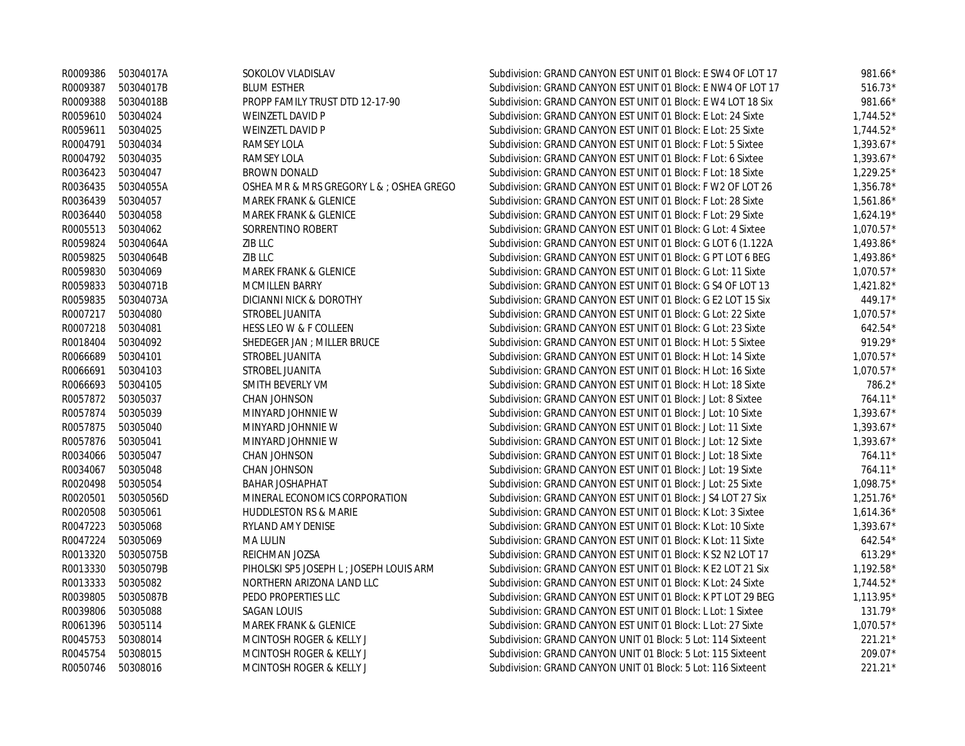|                   | R0009386 50304017A | SOKOLOV VLADISLAV                        | Subdivision: GRAND CANYON EST UNIT 01 Block: E SW4 OF LOT 17 | 981.66*     |
|-------------------|--------------------|------------------------------------------|--------------------------------------------------------------|-------------|
| R0009387          | 50304017B          | <b>BLUM ESTHER</b>                       | Subdivision: GRAND CANYON EST UNIT 01 Block: E NW4 OF LOT 17 | $516.73*$   |
| R0009388          | 50304018B          | PROPP FAMILY TRUST DTD 12-17-90          | Subdivision: GRAND CANYON EST UNIT 01 Block: E W4 LOT 18 Six | 981.66*     |
| R0059610          | 50304024           | WEINZETL DAVID P                         | Subdivision: GRAND CANYON EST UNIT 01 Block: E Lot: 24 Sixte | $1,744.52*$ |
| R0059611          | 50304025           | WEINZETL DAVID P                         | Subdivision: GRAND CANYON EST UNIT 01 Block: E Lot: 25 Sixte | $1,744.52*$ |
| R0004791          | 50304034           | RAMSEY LOLA                              | Subdivision: GRAND CANYON EST UNIT 01 Block: F Lot: 5 Sixtee | $1.393.67*$ |
| R0004792          | 50304035           | RAMSEY LOLA                              | Subdivision: GRAND CANYON EST UNIT 01 Block: F Lot: 6 Sixtee | $1,393.67*$ |
| R0036423          | 50304047           | <b>BROWN DONALD</b>                      | Subdivision: GRAND CANYON EST UNIT 01 Block: F Lot: 18 Sixte | $1.229.25*$ |
| R0036435          | 50304055A          | OSHEA MR & MRS GREGORY L & ; OSHEA GREGO | Subdivision: GRAND CANYON EST UNIT 01 Block: F W2 OF LOT 26  | $1,356.78*$ |
| R0036439          | 50304057           | <b>MAREK FRANK &amp; GLENICE</b>         | Subdivision: GRAND CANYON EST UNIT 01 Block: F Lot: 28 Sixte | $1,561.86*$ |
| R0036440          | 50304058           | MAREK FRANK & GLENICE                    | Subdivision: GRAND CANYON EST UNIT 01 Block: F Lot: 29 Sixte | $1,624.19*$ |
| R0005513          | 50304062           | SORRENTINO ROBERT                        | Subdivision: GRAND CANYON EST UNIT 01 Block: G Lot: 4 Sixtee | $1,070.57*$ |
| R0059824          | 50304064A          | ZIB LLC                                  | Subdivision: GRAND CANYON EST UNIT 01 Block: G LOT 6 (1.122A | $1,493.86*$ |
| R0059825          | 50304064B          | ZIB LLC                                  | Subdivision: GRAND CANYON EST UNIT 01 Block: G PT LOT 6 BEG  | $1,493.86*$ |
| R0059830          | 50304069           | MAREK FRANK & GLENICE                    | Subdivision: GRAND CANYON EST UNIT 01 Block: G Lot: 11 Sixte | $1,070.57*$ |
| R0059833          | 50304071B          | <b>MCMILLEN BARRY</b>                    | Subdivision: GRAND CANYON EST UNIT 01 Block: G S4 OF LOT 13  | $1,421.82*$ |
| R0059835          | 50304073A          | DICIANNI NICK & DOROTHY                  | Subdivision: GRAND CANYON EST UNIT 01 Block: G E2 LOT 15 Six | 449.17*     |
| R0007217          | 50304080           | STROBEL JUANITA                          | Subdivision: GRAND CANYON EST UNIT 01 Block: G Lot: 22 Sixte | $1,070.57*$ |
| R0007218          | 50304081           | HESS LEO W & F COLLEEN                   | Subdivision: GRAND CANYON EST UNIT 01 Block: G Lot: 23 Sixte | $642.54*$   |
| R0018404          | 50304092           | SHEDEGER JAN ; MILLER BRUCE              | Subdivision: GRAND CANYON EST UNIT 01 Block: H Lot: 5 Sixtee | 919.29*     |
| R0066689          | 50304101           | STROBEL JUANITA                          | Subdivision: GRAND CANYON EST UNIT 01 Block: H Lot: 14 Sixte | $1,070.57*$ |
| R0066691          | 50304103           | STROBEL JUANITA                          | Subdivision: GRAND CANYON EST UNIT 01 Block: H Lot: 16 Sixte | $1.070.57*$ |
| R0066693          | 50304105           | SMITH BEVERLY VM                         | Subdivision: GRAND CANYON EST UNIT 01 Block: H Lot: 18 Sixte | $786.2*$    |
| R0057872 50305037 |                    | CHAN JOHNSON                             | Subdivision: GRAND CANYON EST UNIT 01 Block: J Lot: 8 Sixtee | 764.11*     |
| R0057874          | 50305039           | MINYARD JOHNNIE W                        | Subdivision: GRAND CANYON EST UNIT 01 Block: J Lot: 10 Sixte | $1,393.67*$ |
| R0057875          | 50305040           | MINYARD JOHNNIE W                        | Subdivision: GRAND CANYON EST UNIT 01 Block: J Lot: 11 Sixte | $1,393.67*$ |
| R0057876          | 50305041           | MINYARD JOHNNIE W                        | Subdivision: GRAND CANYON EST UNIT 01 Block: J Lot: 12 Sixte | $1,393.67*$ |
| R0034066          | 50305047           | CHAN JOHNSON                             | Subdivision: GRAND CANYON EST UNIT 01 Block: J Lot: 18 Sixte | 764.11*     |
| R0034067          | 50305048           | CHAN JOHNSON                             | Subdivision: GRAND CANYON EST UNIT 01 Block: J Lot: 19 Sixte | 764.11*     |
| R0020498          | 50305054           | <b>BAHAR JOSHAPHAT</b>                   | Subdivision: GRAND CANYON EST UNIT 01 Block: J Lot: 25 Sixte | $1,098.75*$ |
| R0020501          | 50305056D          | MINERAL ECONOMICS CORPORATION            | Subdivision: GRAND CANYON EST UNIT 01 Block: J S4 LOT 27 Six | $1,251.76*$ |
| R0020508          | 50305061           | <b>HUDDLESTON RS &amp; MARIE</b>         | Subdivision: GRAND CANYON EST UNIT 01 Block: K Lot: 3 Sixtee | $1,614.36*$ |
| R0047223          | 50305068           | RYLAND AMY DENISE                        | Subdivision: GRAND CANYON EST UNIT 01 Block: K Lot: 10 Sixte | $1,393.67*$ |
| R0047224          | 50305069           | <b>MA LULIN</b>                          | Subdivision: GRAND CANYON EST UNIT 01 Block: K Lot: 11 Sixte | $642.54*$   |
| R0013320          | 50305075B          | REICHMAN JOZSA                           | Subdivision: GRAND CANYON EST UNIT 01 Block: K S2 N2 LOT 17  | $613.29*$   |
| R0013330          | 50305079B          | PIHOLSKI SP5 JOSEPH L ; JOSEPH LOUIS ARM | Subdivision: GRAND CANYON EST UNIT 01 Block: K E2 LOT 21 Six | $1,192.58*$ |
| R0013333          | 50305082           | NORTHERN ARIZONA LAND LLC                | Subdivision: GRAND CANYON EST UNIT 01 Block: K Lot: 24 Sixte | $1,744.52*$ |
| R0039805          | 50305087B          | PEDO PROPERTIES LLC                      | Subdivision: GRAND CANYON EST UNIT 01 Block: K PT LOT 29 BEG | 1,113.95*   |
| R0039806          | 50305088           | <b>SAGAN LOUIS</b>                       | Subdivision: GRAND CANYON EST UNIT 01 Block: L Lot: 1 Sixtee | $131.79*$   |
| R0061396          | 50305114           | MAREK FRANK & GLENICE                    | Subdivision: GRAND CANYON EST UNIT 01 Block: L Lot: 27 Sixte | $1,070.57*$ |
| R0045753          | 50308014           | MCINTOSH ROGER & KELLY J                 | Subdivision: GRAND CANYON UNIT 01 Block: 5 Lot: 114 Sixteent | $221.21*$   |
| R0045754          | 50308015           | <b>MCINTOSH ROGER &amp; KELLY J</b>      | Subdivision: GRAND CANYON UNIT 01 Block: 5 Lot: 115 Sixteent | 209.07*     |
| R0050746          | 50308016           | <b>MCINTOSH ROGER &amp; KELLY J</b>      | Subdivision: GRAND CANYON UNIT 01 Block: 5 Lot: 116 Sixteent | $221.21*$   |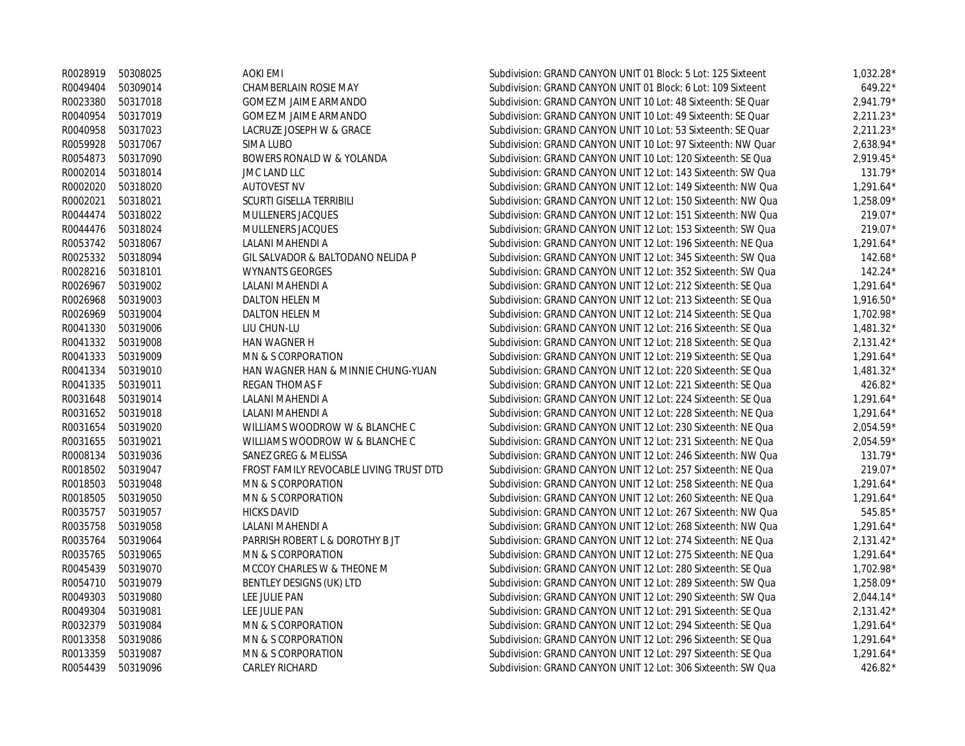|                   | R0028919 50308025 | AOKI EMI                                | Subdivision: GRAND CANYON UNIT 01 Block: 5 Lot: 125 Sixteent | $1,032.28*$ |
|-------------------|-------------------|-----------------------------------------|--------------------------------------------------------------|-------------|
| R0049404          | 50309014          | CHAMBERLAIN ROSIE MAY                   | Subdivision: GRAND CANYON UNIT 01 Block: 6 Lot: 109 Sixteent | $649.22*$   |
| R0023380          | 50317018          | <b>GOMEZ M JAIME ARMANDO</b>            | Subdivision: GRAND CANYON UNIT 10 Lot: 48 Sixteenth: SE Quar | $2,941.79*$ |
| R0040954          | 50317019          | <b>GOMEZ M JAIME ARMANDO</b>            | Subdivision: GRAND CANYON UNIT 10 Lot: 49 Sixteenth: SE Quar | $2.211.23*$ |
| R0040958          | 50317023          | LACRUZE JOSEPH W & GRACE                | Subdivision: GRAND CANYON UNIT 10 Lot: 53 Sixteenth: SE Quar | $2,211.23*$ |
| R0059928          | 50317067          | SIMA LUBO                               | Subdivision: GRAND CANYON UNIT 10 Lot: 97 Sixteenth: NW Quar | $2.638.94*$ |
| R0054873          | 50317090          | BOWERS RONALD W & YOLANDA               | Subdivision: GRAND CANYON UNIT 10 Lot: 120 Sixteenth: SE Qua | $2.919.45*$ |
| R0002014          | 50318014          | JMC LAND LLC                            | Subdivision: GRAND CANYON UNIT 12 Lot: 143 Sixteenth: SW Qua | $131.79*$   |
| R0002020          | 50318020          | <b>AUTOVEST NV</b>                      | Subdivision: GRAND CANYON UNIT 12 Lot: 149 Sixteenth: NW Qua | $1,291.64*$ |
| R0002021          | 50318021          | SCURTI GISELLA TERRIBILI                | Subdivision: GRAND CANYON UNIT 12 Lot: 150 Sixteenth: NW Qua | 1,258.09*   |
| R0044474          | 50318022          | MULLENERS JACQUES                       | Subdivision: GRAND CANYON UNIT 12 Lot: 151 Sixteenth: NW Qua | 219.07*     |
| R0044476          | 50318024          | MULLENERS JACQUES                       | Subdivision: GRAND CANYON UNIT 12 Lot: 153 Sixteenth: SW Qua | 219.07*     |
|                   | R0053742 50318067 | LALANI MAHENDI A                        | Subdivision: GRAND CANYON UNIT 12 Lot: 196 Sixteenth: NE Qua | $1,291.64*$ |
| R0025332          | 50318094          | GIL SALVADOR & BALTODANO NELIDA P       | Subdivision: GRAND CANYON UNIT 12 Lot: 345 Sixteenth: SW Qua | $142.68*$   |
| R0028216          | 50318101          | <b>WYNANTS GEORGES</b>                  | Subdivision: GRAND CANYON UNIT 12 Lot: 352 Sixteenth: SW Qua | $142.24*$   |
| R0026967          | 50319002          | LALANI MAHENDI A                        | Subdivision: GRAND CANYON UNIT 12 Lot: 212 Sixteenth: SE Qua | $1,291.64*$ |
| R0026968          | 50319003          | DALTON HELEN M                          | Subdivision: GRAND CANYON UNIT 12 Lot: 213 Sixteenth: SE Qua | $1,916.50*$ |
| R0026969          | 50319004          | DALTON HELEN M                          | Subdivision: GRAND CANYON UNIT 12 Lot: 214 Sixteenth: SE Qua | $1.702.98*$ |
| R0041330          | 50319006          | LIU CHUN-LU                             | Subdivision: GRAND CANYON UNIT 12 Lot: 216 Sixteenth: SE Qua | $1,481.32*$ |
|                   | R0041332 50319008 | HAN WAGNER H                            | Subdivision: GRAND CANYON UNIT 12 Lot: 218 Sixteenth: SE Qua | $2,131.42*$ |
|                   | R0041333 50319009 | MN & S CORPORATION                      | Subdivision: GRAND CANYON UNIT 12 Lot: 219 Sixteenth: SE Qua | $1,291.64*$ |
|                   | R0041334 50319010 | HAN WAGNER HAN & MINNIE CHUNG-YUAN      | Subdivision: GRAND CANYON UNIT 12 Lot: 220 Sixteenth: SE Qua | $1,481.32*$ |
| R0041335          | 50319011          | REGAN THOMAS F                          | Subdivision: GRAND CANYON UNIT 12 Lot: 221 Sixteenth: SE Qua | $426.82*$   |
| R0031648          | 50319014          | LALANI MAHENDI A                        | Subdivision: GRAND CANYON UNIT 12 Lot: 224 Sixteenth: SE Qua | $1,291.64*$ |
|                   | R0031652 50319018 | LALANI MAHENDI A                        | Subdivision: GRAND CANYON UNIT 12 Lot: 228 Sixteenth: NE Qua | $1,291.64*$ |
| R0031654          | 50319020          | WILLIAMS WOODROW W & BLANCHE C          | Subdivision: GRAND CANYON UNIT 12 Lot: 230 Sixteenth: NE Qua | $2,054.59*$ |
| R0031655          | 50319021          | WILLIAMS WOODROW W & BLANCHE C          | Subdivision: GRAND CANYON UNIT 12 Lot: 231 Sixteenth: NE Qua | $2,054.59*$ |
| R0008134          | 50319036          | SANEZ GREG & MELISSA                    | Subdivision: GRAND CANYON UNIT 12 Lot: 246 Sixteenth: NW Qua | 131.79*     |
| R0018502 50319047 |                   | FROST FAMILY REVOCABLE LIVING TRUST DTD | Subdivision: GRAND CANYON UNIT 12 Lot: 257 Sixteenth: NE Qua | 219.07*     |
| R0018503          | 50319048          | MN & S CORPORATION                      | Subdivision: GRAND CANYON UNIT 12 Lot: 258 Sixteenth: NE Qua | $1,291.64*$ |
| R0018505          | 50319050          | MN & S CORPORATION                      | Subdivision: GRAND CANYON UNIT 12 Lot: 260 Sixteenth: NE Qua | $1,291.64*$ |
| R0035757          | 50319057          | <b>HICKS DAVID</b>                      | Subdivision: GRAND CANYON UNIT 12 Lot: 267 Sixteenth: NW Qua | 545.85*     |
| R0035758          | 50319058          | LALANI MAHENDI A                        | Subdivision: GRAND CANYON UNIT 12 Lot: 268 Sixteenth: NW Qua | $1,291.64*$ |
| R0035764          | 50319064          | PARRISH ROBERT L & DOROTHY B JT         | Subdivision: GRAND CANYON UNIT 12 Lot: 274 Sixteenth: NE Qua | $2,131.42*$ |
| R0035765          | 50319065          | MN & S CORPORATION                      | Subdivision: GRAND CANYON UNIT 12 Lot: 275 Sixteenth: NE Qua | $1,291.64*$ |
| R0045439          | 50319070          | MCCOY CHARLES W & THEONE M              | Subdivision: GRAND CANYON UNIT 12 Lot: 280 Sixteenth: SE Qua | 1,702.98*   |
| R0054710          | 50319079          | BENTLEY DESIGNS (UK) LTD                | Subdivision: GRAND CANYON UNIT 12 Lot: 289 Sixteenth: SW Qua | $1,258.09*$ |
| R0049303          | 50319080          | LEE JULIE PAN                           | Subdivision: GRAND CANYON UNIT 12 Lot: 290 Sixteenth: SW Qua | $2,044.14*$ |
| R0049304          | 50319081          | LEE JULIE PAN                           | Subdivision: GRAND CANYON UNIT 12 Lot: 291 Sixteenth: SE Qua | $2,131.42*$ |
| R0032379          | 50319084          | MN & S CORPORATION                      | Subdivision: GRAND CANYON UNIT 12 Lot: 294 Sixteenth: SE Qua | $1,291.64*$ |
| R0013358          | 50319086          | MN & S CORPORATION                      | Subdivision: GRAND CANYON UNIT 12 Lot: 296 Sixteenth: SE Qua | $1,291.64*$ |
| R0013359          | 50319087          | MN & S CORPORATION                      | Subdivision: GRAND CANYON UNIT 12 Lot: 297 Sixteenth: SE Qua | $1,291.64*$ |
| R0054439          | 50319096          | <b>CARLEY RICHARD</b>                   | Subdivision: GRAND CANYON UNIT 12 Lot: 306 Sixteenth: SW Qua | 426.82*     |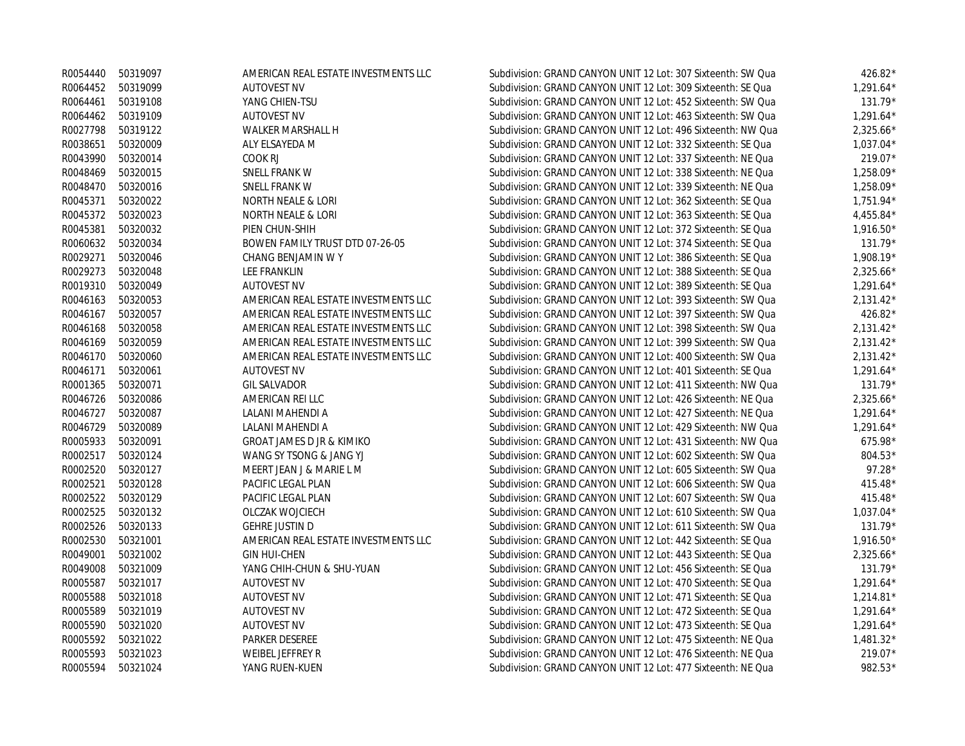|                   | R0054440 50319097 | AMERICAN REAL ESTATE INVESTMENTS LLC | Subdivision: GRAND CANYON UNIT 12 Lot: 307 Sixteenth: SW Qua | 426.82*     |
|-------------------|-------------------|--------------------------------------|--------------------------------------------------------------|-------------|
|                   | R0064452 50319099 | <b>AUTOVEST NV</b>                   | Subdivision: GRAND CANYON UNIT 12 Lot: 309 Sixteenth: SE Qua | $1,291.64*$ |
| R0064461          | 50319108          | YANG CHIEN-TSU                       | Subdivision: GRAND CANYON UNIT 12 Lot: 452 Sixteenth: SW Qua | 131.79*     |
| R0064462          | 50319109          | <b>AUTOVEST NV</b>                   | Subdivision: GRAND CANYON UNIT 12 Lot: 463 Sixteenth: SW Qua | $1,291.64*$ |
| R0027798          | 50319122          | WALKER MARSHALL H                    | Subdivision: GRAND CANYON UNIT 12 Lot: 496 Sixteenth: NW Qua | $2,325.66*$ |
| R0038651          | 50320009          | ALY ELSAYEDA M                       | Subdivision: GRAND CANYON UNIT 12 Lot: 332 Sixteenth: SE Qua | $1,037.04*$ |
| R0043990          | 50320014          | COOK RJ                              | Subdivision: GRAND CANYON UNIT 12 Lot: 337 Sixteenth: NE Qua | 219.07*     |
| R0048469          | 50320015          | SNELL FRANK W                        | Subdivision: GRAND CANYON UNIT 12 Lot: 338 Sixteenth: NE Qua | 1,258.09*   |
| R0048470          | 50320016          | <b>SNELL FRANK W</b>                 | Subdivision: GRAND CANYON UNIT 12 Lot: 339 Sixteenth: NE Qua | 1,258.09*   |
| R0045371          | 50320022          | NORTH NEALE & LORI                   | Subdivision: GRAND CANYON UNIT 12 Lot: 362 Sixteenth: SE Qua | $1.751.94*$ |
| R0045372          | 50320023          | NORTH NEALE & LORI                   | Subdivision: GRAND CANYON UNIT 12 Lot: 363 Sixteenth: SE Qua | $4,455.84*$ |
| R0045381          | 50320032          | PIEN CHUN-SHIH                       | Subdivision: GRAND CANYON UNIT 12 Lot: 372 Sixteenth: SE Qua | $1.916.50*$ |
| R0060632 50320034 |                   | BOWEN FAMILY TRUST DTD 07-26-05      | Subdivision: GRAND CANYON UNIT 12 Lot: 374 Sixteenth: SE Qua | $131.79*$   |
| R0029271          | 50320046          | CHANG BENJAMIN W Y                   | Subdivision: GRAND CANYON UNIT 12 Lot: 386 Sixteenth: SE Qua | 1,908.19*   |
| R0029273          | 50320048          | LEE FRANKLIN                         | Subdivision: GRAND CANYON UNIT 12 Lot: 388 Sixteenth: SE Qua | $2,325.66*$ |
| R0019310          | 50320049          | <b>AUTOVEST NV</b>                   | Subdivision: GRAND CANYON UNIT 12 Lot: 389 Sixteenth: SE Qua | $1,291.64*$ |
| R0046163          | 50320053          | AMERICAN REAL ESTATE INVESTMENTS LLC | Subdivision: GRAND CANYON UNIT 12 Lot: 393 Sixteenth: SW Qua | $2,131.42*$ |
| R0046167          | 50320057          | AMERICAN REAL ESTATE INVESTMENTS LLC | Subdivision: GRAND CANYON UNIT 12 Lot: 397 Sixteenth: SW Qua | 426.82 $*$  |
| R0046168          | 50320058          | AMERICAN REAL ESTATE INVESTMENTS LLC | Subdivision: GRAND CANYON UNIT 12 Lot: 398 Sixteenth: SW Qua | $2,131.42*$ |
| R0046169          | 50320059          | AMERICAN REAL ESTATE INVESTMENTS LLC | Subdivision: GRAND CANYON UNIT 12 Lot: 399 Sixteenth: SW Qua | $2,131.42*$ |
| R0046170          | 50320060          | AMERICAN REAL ESTATE INVESTMENTS LLC | Subdivision: GRAND CANYON UNIT 12 Lot: 400 Sixteenth: SW Qua | $2,131.42*$ |
| R0046171          | 50320061          | <b>AUTOVEST NV</b>                   | Subdivision: GRAND CANYON UNIT 12 Lot: 401 Sixteenth: SE Qua | $1,291.64*$ |
| R0001365          | 50320071          | <b>GIL SALVADOR</b>                  | Subdivision: GRAND CANYON UNIT 12 Lot: 411 Sixteenth: NW Qua | $131.79*$   |
| R0046726          | 50320086          | AMERICAN REI LLC                     | Subdivision: GRAND CANYON UNIT 12 Lot: 426 Sixteenth: NE Qua | $2,325.66*$ |
| R0046727          | 50320087          | LALANI MAHENDI A                     | Subdivision: GRAND CANYON UNIT 12 Lot: 427 Sixteenth: NE Qua | $1,291.64*$ |
| R0046729          | 50320089          | LALANI MAHENDI A                     | Subdivision: GRAND CANYON UNIT 12 Lot: 429 Sixteenth: NW Qua | $1,291.64*$ |
| R0005933          | 50320091          | <b>GROAT JAMES D JR &amp; KIMIKO</b> | Subdivision: GRAND CANYON UNIT 12 Lot: 431 Sixteenth: NW Qua | $675.98*$   |
| R0002517          | 50320124          | WANG SY TSONG & JANG YJ              | Subdivision: GRAND CANYON UNIT 12 Lot: 602 Sixteenth: SW Qua | 804.53*     |
| R0002520          | 50320127          | MEERT JEAN J & MARIE L M             | Subdivision: GRAND CANYON UNIT 12 Lot: 605 Sixteenth: SW Qua | $97.28*$    |
| R0002521          | 50320128          | PACIFIC LEGAL PLAN                   | Subdivision: GRAND CANYON UNIT 12 Lot: 606 Sixteenth: SW Qua | 415.48 $*$  |
| R0002522          | 50320129          | PACIFIC LEGAL PLAN                   | Subdivision: GRAND CANYON UNIT 12 Lot: 607 Sixteenth: SW Qua | 415.48 $*$  |
| R0002525          | 50320132          | OLCZAK WOJCIECH                      | Subdivision: GRAND CANYON UNIT 12 Lot: 610 Sixteenth: SW Qua | $1,037.04*$ |
| R0002526          | 50320133          | <b>GEHRE JUSTIN D</b>                | Subdivision: GRAND CANYON UNIT 12 Lot: 611 Sixteenth: SW Qua | $131.79*$   |
| R0002530          | 50321001          | AMERICAN REAL ESTATE INVESTMENTS LLC | Subdivision: GRAND CANYON UNIT 12 Lot: 442 Sixteenth: SE Qua | $1,916.50*$ |
| R0049001          | 50321002          | <b>GIN HUI-CHEN</b>                  | Subdivision: GRAND CANYON UNIT 12 Lot: 443 Sixteenth: SE Qua | $2,325.66*$ |
| R0049008          | 50321009          | YANG CHIH-CHUN & SHU-YUAN            | Subdivision: GRAND CANYON UNIT 12 Lot: 456 Sixteenth: SE Qua | $131.79*$   |
| R0005587          | 50321017          | <b>AUTOVEST NV</b>                   | Subdivision: GRAND CANYON UNIT 12 Lot: 470 Sixteenth: SE Qua | $1,291.64*$ |
| R0005588          | 50321018          | <b>AUTOVEST NV</b>                   | Subdivision: GRAND CANYON UNIT 12 Lot: 471 Sixteenth: SE Qua | $1,214.81*$ |
| R0005589          | 50321019          | <b>AUTOVEST NV</b>                   | Subdivision: GRAND CANYON UNIT 12 Lot: 472 Sixteenth: SE Qua | $1,291.64*$ |
| R0005590          | 50321020          | <b>AUTOVEST NV</b>                   | Subdivision: GRAND CANYON UNIT 12 Lot: 473 Sixteenth: SE Qua | $1,291.64*$ |
| R0005592          | 50321022          | <b>PARKER DESEREE</b>                | Subdivision: GRAND CANYON UNIT 12 Lot: 475 Sixteenth: NE Qua | 1,481.32*   |
| R0005593          | 50321023          | <b>WEIBEL JEFFREY R</b>              | Subdivision: GRAND CANYON UNIT 12 Lot: 476 Sixteenth: NE Qua | 219.07*     |
| R0005594          | 50321024          | YANG RUEN-KUEN                       | Subdivision: GRAND CANYON UNIT 12 Lot: 477 Sixteenth: NE Qua | 982.53*     |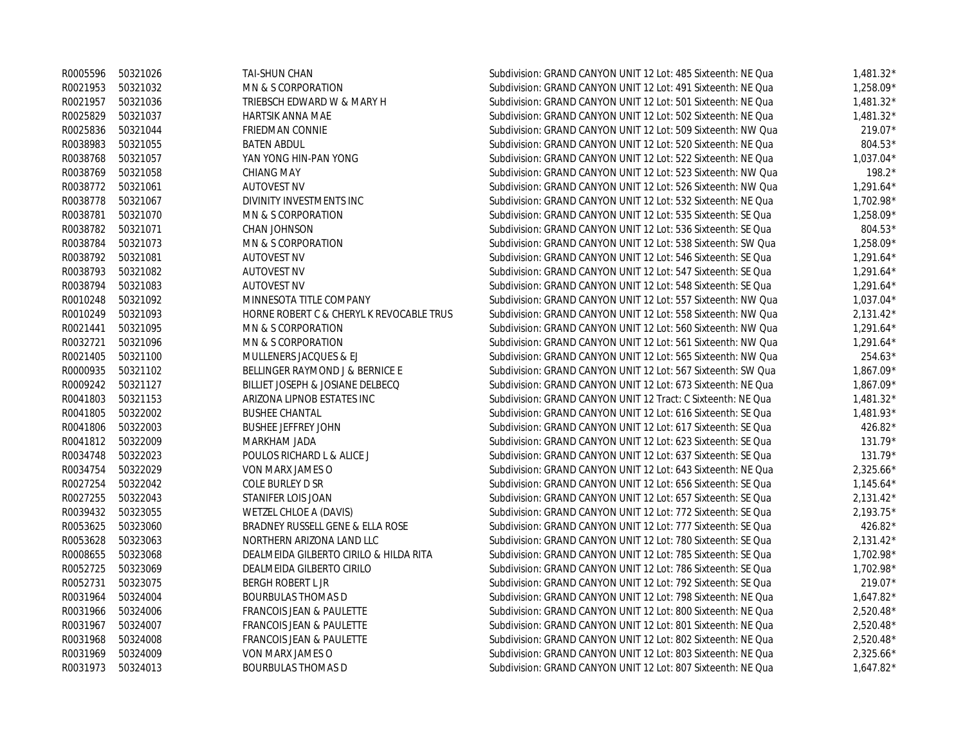|                   | R0005596 50321026 | TAI-SHUN CHAN                              | Subdivision: GRAND CANYON UNIT 12 Lot: 485 Sixteenth: NE Qua | $1,481.32*$ |
|-------------------|-------------------|--------------------------------------------|--------------------------------------------------------------|-------------|
|                   | R0021953 50321032 | MN & S CORPORATION                         | Subdivision: GRAND CANYON UNIT 12 Lot: 491 Sixteenth: NE Qua | $1,258.09*$ |
| R0021957          | 50321036          | TRIEBSCH EDWARD W & MARY H                 | Subdivision: GRAND CANYON UNIT 12 Lot: 501 Sixteenth: NE Qua | $1,481.32*$ |
| R0025829          | 50321037          | <b>HARTSIK ANNA MAE</b>                    | Subdivision: GRAND CANYON UNIT 12 Lot: 502 Sixteenth: NE Qua | $1,481.32*$ |
|                   | R0025836 50321044 | FRIEDMAN CONNIE                            | Subdivision: GRAND CANYON UNIT 12 Lot: 509 Sixteenth: NW Qua | 219.07*     |
| R0038983          | 50321055          | <b>BATEN ABDUL</b>                         | Subdivision: GRAND CANYON UNIT 12 Lot: 520 Sixteenth: NE Qua | 804.53*     |
| R0038768          | 50321057          | YAN YONG HIN-PAN YONG                      | Subdivision: GRAND CANYON UNIT 12 Lot: 522 Sixteenth: NE Qua | $1,037.04*$ |
| R0038769          | 50321058          | <b>CHIANG MAY</b>                          | Subdivision: GRAND CANYON UNIT 12 Lot: 523 Sixteenth: NW Qua | $198.2*$    |
| R0038772 50321061 |                   | <b>AUTOVEST NV</b>                         | Subdivision: GRAND CANYON UNIT 12 Lot: 526 Sixteenth: NW Qua | $1,291.64*$ |
|                   | R0038778 50321067 | DIVINITY INVESTMENTS INC                   | Subdivision: GRAND CANYON UNIT 12 Lot: 532 Sixteenth: NE Qua | 1,702.98*   |
| R0038781          | 50321070          | MN & S CORPORATION                         | Subdivision: GRAND CANYON UNIT 12 Lot: 535 Sixteenth: SE Qua | $1,258.09*$ |
| R0038782 50321071 |                   | <b>CHAN JOHNSON</b>                        | Subdivision: GRAND CANYON UNIT 12 Lot: 536 Sixteenth: SE Qua | 804.53*     |
| R0038784          | 50321073          | MN & S CORPORATION                         | Subdivision: GRAND CANYON UNIT 12 Lot: 538 Sixteenth: SW Qua | 1,258.09*   |
| R0038792 50321081 |                   | <b>AUTOVEST NV</b>                         | Subdivision: GRAND CANYON UNIT 12 Lot: 546 Sixteenth: SE Qua | $1,291.64*$ |
|                   | R0038793 50321082 | <b>AUTOVEST NV</b>                         | Subdivision: GRAND CANYON UNIT 12 Lot: 547 Sixteenth: SE Qua | $1,291.64*$ |
| R0038794          | 50321083          | <b>AUTOVEST NV</b>                         | Subdivision: GRAND CANYON UNIT 12 Lot: 548 Sixteenth: SE Qua | $1,291.64*$ |
|                   | R0010248 50321092 | MINNESOTA TITLE COMPANY                    | Subdivision: GRAND CANYON UNIT 12 Lot: 557 Sixteenth: NW Qua | $1,037.04*$ |
| R0010249          | 50321093          | HORNE ROBERT C & CHERYL K REVOCABLE TRUS   | Subdivision: GRAND CANYON UNIT 12 Lot: 558 Sixteenth: NW Qua | $2,131.42*$ |
| R0021441          | 50321095          | MN & S CORPORATION                         | Subdivision: GRAND CANYON UNIT 12 Lot: 560 Sixteenth: NW Qua | $1,291.64*$ |
| R0032721          | 50321096          | MN & S CORPORATION                         | Subdivision: GRAND CANYON UNIT 12 Lot: 561 Sixteenth: NW Qua | $1,291.64*$ |
| R0021405          | 50321100          | MULLENERS JACQUES & EJ                     | Subdivision: GRAND CANYON UNIT 12 Lot: 565 Sixteenth: NW Qua | $254.63*$   |
| R0000935          | 50321102          | <b>BELLINGER RAYMOND J &amp; BERNICE E</b> | Subdivision: GRAND CANYON UNIT 12 Lot: 567 Sixteenth: SW Qua | $1.867.09*$ |
|                   | R0009242 50321127 | BILLIET JOSEPH & JOSIANE DELBECQ           | Subdivision: GRAND CANYON UNIT 12 Lot: 673 Sixteenth: NE Qua | $1.867.09*$ |
|                   | R0041803 50321153 | ARIZONA LIPNOB ESTATES INC                 | Subdivision: GRAND CANYON UNIT 12 Tract: C Sixteenth: NE Qua | $1,481.32*$ |
| R0041805          | 50322002          | <b>BUSHEE CHANTAL</b>                      | Subdivision: GRAND CANYON UNIT 12 Lot: 616 Sixteenth: SE Qua | 1,481.93*   |
| R0041806          | 50322003          | <b>BUSHEE JEFFREY JOHN</b>                 | Subdivision: GRAND CANYON UNIT 12 Lot: 617 Sixteenth: SE Qua | 426.82*     |
|                   | R0041812 50322009 | MARKHAM JADA                               | Subdivision: GRAND CANYON UNIT 12 Lot: 623 Sixteenth: SE Qua | 131.79*     |
| R0034748          | 50322023          | POULOS RICHARD L & ALICE J                 | Subdivision: GRAND CANYON UNIT 12 Lot: 637 Sixteenth: SE Qua | $131.79*$   |
| R0034754          | 50322029          | VON MARX JAMES O                           | Subdivision: GRAND CANYON UNIT 12 Lot: 643 Sixteenth: NE Qua | $2,325.66*$ |
| R0027254          | 50322042          | COLE BURLEY D SR                           | Subdivision: GRAND CANYON UNIT 12 Lot: 656 Sixteenth: SE Qua | $1,145.64*$ |
| R0027255          | 50322043          | STANIFER LOIS JOAN                         | Subdivision: GRAND CANYON UNIT 12 Lot: 657 Sixteenth: SE Qua | $2,131.42*$ |
|                   | R0039432 50323055 | WETZEL CHLOE A (DAVIS)                     | Subdivision: GRAND CANYON UNIT 12 Lot: 772 Sixteenth: SE Qua | $2,193.75*$ |
| R0053625          | 50323060          | BRADNEY RUSSELL GENE & ELLA ROSE           | Subdivision: GRAND CANYON UNIT 12 Lot: 777 Sixteenth: SE Qua | 426.82*     |
| R0053628          | 50323063          | NORTHERN ARIZONA LAND LLC                  | Subdivision: GRAND CANYON UNIT 12 Lot: 780 Sixteenth: SE Qua | $2,131.42*$ |
| R0008655          | 50323068          | DEALMEIDA GILBERTO CIRILO & HILDA RITA     | Subdivision: GRAND CANYON UNIT 12 Lot: 785 Sixteenth: SE Qua | $1.702.98*$ |
| R0052725          | 50323069          | DEALMEIDA GILBERTO CIRILO                  | Subdivision: GRAND CANYON UNIT 12 Lot: 786 Sixteenth: SE Qua | $1.702.98*$ |
| R0052731          | 50323075          | <b>BERGH ROBERT L JR</b>                   | Subdivision: GRAND CANYON UNIT 12 Lot: 792 Sixteenth: SE Qua | 219.07*     |
| R0031964          | 50324004          | <b>BOURBULAS THOMAS D</b>                  | Subdivision: GRAND CANYON UNIT 12 Lot: 798 Sixteenth: NE Qua | $1,647.82*$ |
| R0031966          | 50324006          | <b>FRANCOIS JEAN &amp; PAULETTE</b>        | Subdivision: GRAND CANYON UNIT 12 Lot: 800 Sixteenth: NE Qua | $2,520.48*$ |
| R0031967          | 50324007          | <b>FRANCOIS JEAN &amp; PAULETTE</b>        | Subdivision: GRAND CANYON UNIT 12 Lot: 801 Sixteenth: NE Qua | $2,520.48*$ |
| R0031968          | 50324008          | <b>FRANCOIS JEAN &amp; PAULETTE</b>        | Subdivision: GRAND CANYON UNIT 12 Lot: 802 Sixteenth: NE Qua | $2,520.48*$ |
| R0031969          | 50324009          | VON MARX JAMES O                           | Subdivision: GRAND CANYON UNIT 12 Lot: 803 Sixteenth: NE Qua | $2,325.66*$ |
| R0031973          | 50324013          | <b>BOURBULAS THOMAS D</b>                  | Subdivision: GRAND CANYON UNIT 12 Lot: 807 Sixteenth: NE Qua | $1.647.82*$ |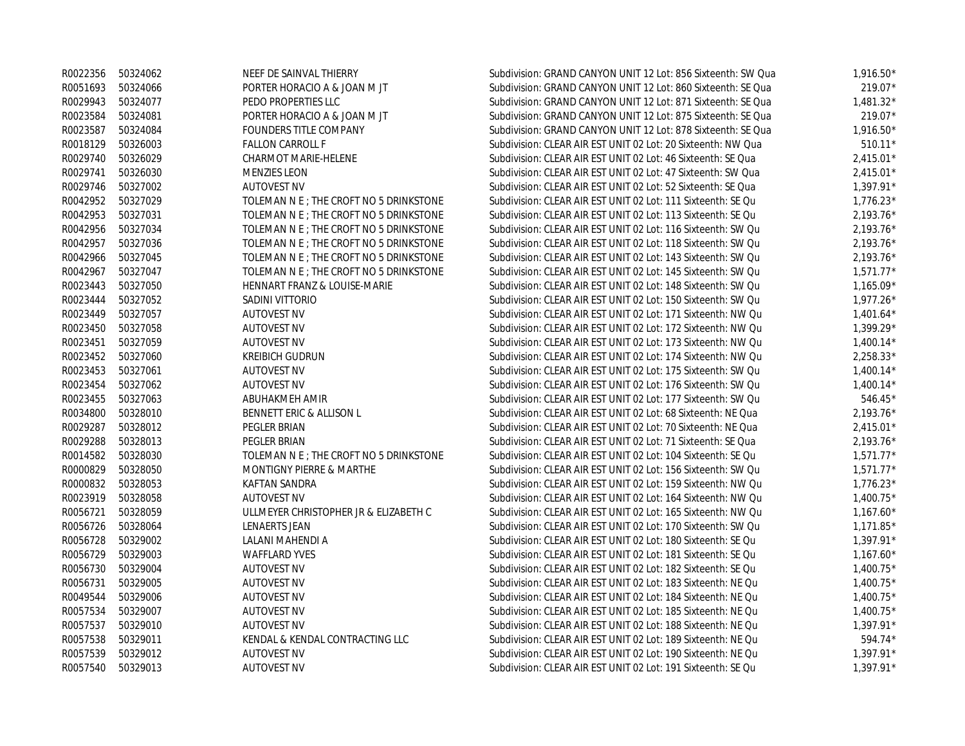| R0022356 | 50324062          | NEEF DE SAINVAL THIERRY                 | Subdivision: GRAND CANYON UNIT 12 Lot: 856 Sixteenth: SW Qua | $1,916.50*$ |
|----------|-------------------|-----------------------------------------|--------------------------------------------------------------|-------------|
| R0051693 | 50324066          | PORTER HORACIO A & JOAN M JT            | Subdivision: GRAND CANYON UNIT 12 Lot: 860 Sixteenth: SE Qua | 219.07*     |
| R0029943 | 50324077          | PEDO PROPERTIES LLC                     | Subdivision: GRAND CANYON UNIT 12 Lot: 871 Sixteenth: SE Qua | $1,481.32*$ |
| R0023584 | 50324081          | PORTER HORACIO A & JOAN M JT            | Subdivision: GRAND CANYON UNIT 12 Lot: 875 Sixteenth: SE Qua | 219.07*     |
| R0023587 | 50324084          | FOUNDERS TITLE COMPANY                  | Subdivision: GRAND CANYON UNIT 12 Lot: 878 Sixteenth: SE Qua | $1,916.50*$ |
| R0018129 | 50326003          | <b>FALLON CARROLL F</b>                 | Subdivision: CLEAR AIR EST UNIT 02 Lot: 20 Sixteenth: NW Qua | $510.11*$   |
| R0029740 | 50326029          | CHARMOT MARIE-HELENE                    | Subdivision: CLEAR AIR EST UNIT 02 Lot: 46 Sixteenth: SE Qua | $2,415.01*$ |
| R0029741 | 50326030          | <b>MENZIES LEON</b>                     | Subdivision: CLEAR AIR EST UNIT 02 Lot: 47 Sixteenth: SW Qua | $2,415.01*$ |
| R0029746 | 50327002          | <b>AUTOVEST NV</b>                      | Subdivision: CLEAR AIR EST UNIT 02 Lot: 52 Sixteenth: SE Qua | $1,397.91*$ |
|          | R0042952 50327029 | TOLEMAN N E ; THE CROFT NO 5 DRINKSTONE | Subdivision: CLEAR AIR EST UNIT 02 Lot: 111 Sixteenth: SE Qu | $1.776.23*$ |
| R0042953 | 50327031          | TOLEMAN N E ; THE CROFT NO 5 DRINKSTONE | Subdivision: CLEAR AIR EST UNIT 02 Lot: 113 Sixteenth: SE Qu | $2,193.76*$ |
| R0042956 | 50327034          | TOLEMAN N E ; THE CROFT NO 5 DRINKSTONE | Subdivision: CLEAR AIR EST UNIT 02 Lot: 116 Sixteenth: SW Qu | $2,193.76*$ |
| R0042957 | 50327036          | TOLEMAN N E ; THE CROFT NO 5 DRINKSTONE | Subdivision: CLEAR AIR EST UNIT 02 Lot: 118 Sixteenth: SW Qu | $2,193.76*$ |
| R0042966 | 50327045          | TOLEMAN N E ; THE CROFT NO 5 DRINKSTONE | Subdivision: CLEAR AIR EST UNIT 02 Lot: 143 Sixteenth: SW Qu | 2,193.76*   |
| R0042967 | 50327047          | TOLEMAN N E ; THE CROFT NO 5 DRINKSTONE | Subdivision: CLEAR AIR EST UNIT 02 Lot: 145 Sixteenth: SW Qu | $1,571.77*$ |
| R0023443 | 50327050          | HENNART FRANZ & LOUISE-MARIE            | Subdivision: CLEAR AIR EST UNIT 02 Lot: 148 Sixteenth: SW Qu | $1,165.09*$ |
| R0023444 | 50327052          | SADINI VITTORIO                         | Subdivision: CLEAR AIR EST UNIT 02 Lot: 150 Sixteenth: SW Qu | $1,977.26*$ |
| R0023449 | 50327057          | <b>AUTOVEST NV</b>                      | Subdivision: CLEAR AIR EST UNIT 02 Lot: 171 Sixteenth: NW Qu | $1,401.64*$ |
| R0023450 | 50327058          | <b>AUTOVEST NV</b>                      | Subdivision: CLEAR AIR EST UNIT 02 Lot: 172 Sixteenth: NW Qu | $1,399.29*$ |
| R0023451 | 50327059          | <b>AUTOVEST NV</b>                      | Subdivision: CLEAR AIR EST UNIT 02 Lot: 173 Sixteenth: NW Qu | $1,400.14*$ |
| R0023452 | 50327060          | <b>KREIBICH GUDRUN</b>                  | Subdivision: CLEAR AIR EST UNIT 02 Lot: 174 Sixteenth: NW Qu | 2,258.33*   |
| R0023453 | 50327061          | <b>AUTOVEST NV</b>                      | Subdivision: CLEAR AIR EST UNIT 02 Lot: 175 Sixteenth: SW Qu | $1,400.14*$ |
| R0023454 | 50327062          | <b>AUTOVEST NV</b>                      | Subdivision: CLEAR AIR EST UNIT 02 Lot: 176 Sixteenth: SW Qu | $1,400.14*$ |
| R0023455 | 50327063          | ABUHAKMEH AMIR                          | Subdivision: CLEAR AIR EST UNIT 02 Lot: 177 Sixteenth: SW Qu | 546.45*     |
| R0034800 | 50328010          | BENNETT ERIC & ALLISON L                | Subdivision: CLEAR AIR EST UNIT 02 Lot: 68 Sixteenth: NE Qua | $2,193.76*$ |
| R0029287 | 50328012          | PEGLER BRIAN                            | Subdivision: CLEAR AIR EST UNIT 02 Lot: 70 Sixteenth: NE Qua | $2,415.01*$ |
| R0029288 | 50328013          | PEGLER BRIAN                            | Subdivision: CLEAR AIR EST UNIT 02 Lot: 71 Sixteenth: SE Qua | $2,193.76*$ |
| R0014582 | 50328030          | TOLEMAN N E ; THE CROFT NO 5 DRINKSTONE | Subdivision: CLEAR AIR EST UNIT 02 Lot: 104 Sixteenth: SE Qu | $1,571.77*$ |
| R0000829 | 50328050          | <b>MONTIGNY PIERRE &amp; MARTHE</b>     | Subdivision: CLEAR AIR EST UNIT 02 Lot: 156 Sixteenth: SW Qu | $1,571.77*$ |
| R0000832 | 50328053          | KAFTAN SANDRA                           | Subdivision: CLEAR AIR EST UNIT 02 Lot: 159 Sixteenth: NW Qu | $1,776.23*$ |
| R0023919 | 50328058          | <b>AUTOVEST NV</b>                      | Subdivision: CLEAR AIR EST UNIT 02 Lot: 164 Sixteenth: NW Qu | $1,400.75*$ |
| R0056721 | 50328059          | ULLMEYER CHRISTOPHER JR & ELIZABETH C   | Subdivision: CLEAR AIR EST UNIT 02 Lot: 165 Sixteenth: NW Qu | $1,167.60*$ |
| R0056726 | 50328064          | <b>LENAERTS JEAN</b>                    | Subdivision: CLEAR AIR EST UNIT 02 Lot: 170 Sixteenth: SW Qu | $1,171.85*$ |
| R0056728 | 50329002          | LALANI MAHENDI A                        | Subdivision: CLEAR AIR EST UNIT 02 Lot: 180 Sixteenth: SE Qu | $1,397.91*$ |
| R0056729 | 50329003          | <b>WAFFLARD YVES</b>                    | Subdivision: CLEAR AIR EST UNIT 02 Lot: 181 Sixteenth: SE Qu | $1,167.60*$ |
| R0056730 | 50329004          | <b>AUTOVEST NV</b>                      | Subdivision: CLEAR AIR EST UNIT 02 Lot: 182 Sixteenth: SE Qu | 1,400.75*   |
| R0056731 | 50329005          | <b>AUTOVEST NV</b>                      | Subdivision: CLEAR AIR EST UNIT 02 Lot: 183 Sixteenth: NE Qu | $1,400.75*$ |
| R0049544 | 50329006          | <b>AUTOVEST NV</b>                      | Subdivision: CLEAR AIR EST UNIT 02 Lot: 184 Sixteenth: NE Qu | 1,400.75*   |
| R0057534 | 50329007          | <b>AUTOVEST NV</b>                      | Subdivision: CLEAR AIR EST UNIT 02 Lot: 185 Sixteenth: NE Qu | $1,400.75*$ |
| R0057537 | 50329010          | <b>AUTOVEST NV</b>                      | Subdivision: CLEAR AIR EST UNIT 02 Lot: 188 Sixteenth: NE Qu | 1,397.91*   |
| R0057538 | 50329011          | KENDAL & KENDAL CONTRACTING LLC         | Subdivision: CLEAR AIR EST UNIT 02 Lot: 189 Sixteenth: NE Qu | 594.74*     |
| R0057539 | 50329012          | <b>AUTOVEST NV</b>                      | Subdivision: CLEAR AIR EST UNIT 02 Lot: 190 Sixteenth: NE Qu | $1,397.91*$ |
| R0057540 | 50329013          | <b>AUTOVEST NV</b>                      | Subdivision: CLEAR AIR EST UNIT 02 Lot: 191 Sixteenth: SE Qu | $1.397.91*$ |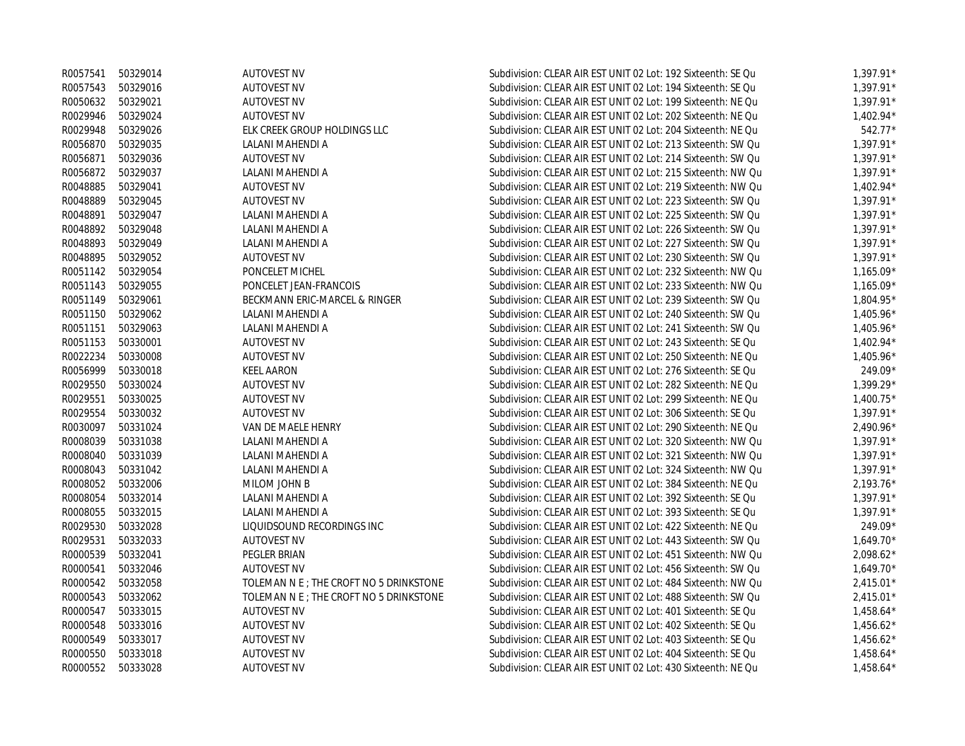|          | R0057541 50329014 | <b>AUTOVEST NV</b>                      | Subdivision: CLEAR AIR EST UNIT 02 Lot: 192 Sixteenth: SE Qu | $1,397.91*$ |
|----------|-------------------|-----------------------------------------|--------------------------------------------------------------|-------------|
| R0057543 | 50329016          | <b>AUTOVEST NV</b>                      | Subdivision: CLEAR AIR EST UNIT 02 Lot: 194 Sixteenth: SE Qu | $1,397.91*$ |
| R0050632 | 50329021          | <b>AUTOVEST NV</b>                      | Subdivision: CLEAR AIR EST UNIT 02 Lot: 199 Sixteenth: NE Qu | $1,397.91*$ |
| R0029946 | 50329024          | <b>AUTOVEST NV</b>                      | Subdivision: CLEAR AIR EST UNIT 02 Lot: 202 Sixteenth: NE Qu | $1,402.94*$ |
| R0029948 | 50329026          | ELK CREEK GROUP HOLDINGS LLC            | Subdivision: CLEAR AIR EST UNIT 02 Lot: 204 Sixteenth: NE Qu | 542.77*     |
| R0056870 | 50329035          | LALANI MAHENDI A                        | Subdivision: CLEAR AIR EST UNIT 02 Lot: 213 Sixteenth: SW Qu | $1,397.91*$ |
| R0056871 | 50329036          | <b>AUTOVEST NV</b>                      | Subdivision: CLEAR AIR EST UNIT 02 Lot: 214 Sixteenth: SW Qu | $1,397.91*$ |
|          | R0056872 50329037 | LALANI MAHENDI A                        | Subdivision: CLEAR AIR EST UNIT 02 Lot: 215 Sixteenth: NW Qu | $1,397.91*$ |
| R0048885 | 50329041          | <b>AUTOVEST NV</b>                      | Subdivision: CLEAR AIR EST UNIT 02 Lot: 219 Sixteenth: NW Qu | $1,402.94*$ |
| R0048889 | 50329045          | <b>AUTOVEST NV</b>                      | Subdivision: CLEAR AIR EST UNIT 02 Lot: 223 Sixteenth: SW Qu | $1.397.91*$ |
| R0048891 | 50329047          | LALANI MAHENDI A                        | Subdivision: CLEAR AIR EST UNIT 02 Lot: 225 Sixteenth: SW Qu | $1,397.91*$ |
| R0048892 | 50329048          | LALANI MAHENDI A                        | Subdivision: CLEAR AIR EST UNIT 02 Lot: 226 Sixteenth: SW Qu | $1,397.91*$ |
| R0048893 | 50329049          | LALANI MAHENDI A                        | Subdivision: CLEAR AIR EST UNIT 02 Lot: 227 Sixteenth: SW Qu | 1,397.91*   |
| R0048895 | 50329052          | <b>AUTOVEST NV</b>                      | Subdivision: CLEAR AIR EST UNIT 02 Lot: 230 Sixteenth: SW Qu | $1,397.91*$ |
| R0051142 | 50329054          | PONCELET MICHEL                         | Subdivision: CLEAR AIR EST UNIT 02 Lot: 232 Sixteenth: NW Qu | $1,165.09*$ |
| R0051143 | 50329055          | PONCELET JEAN-FRANCOIS                  | Subdivision: CLEAR AIR EST UNIT 02 Lot: 233 Sixteenth: NW Qu | $1,165.09*$ |
| R0051149 | 50329061          | BECKMANN ERIC-MARCEL & RINGER           | Subdivision: CLEAR AIR EST UNIT 02 Lot: 239 Sixteenth: SW Qu | 1,804.95*   |
| R0051150 | 50329062          | LALANI MAHENDI A                        | Subdivision: CLEAR AIR EST UNIT 02 Lot: 240 Sixteenth: SW Qu | $1,405.96*$ |
| R0051151 | 50329063          | LALANI MAHENDI A                        | Subdivision: CLEAR AIR EST UNIT 02 Lot: 241 Sixteenth: SW Qu | 1,405.96*   |
| R0051153 | 50330001          | <b>AUTOVEST NV</b>                      | Subdivision: CLEAR AIR EST UNIT 02 Lot: 243 Sixteenth: SE Qu | $1,402.94*$ |
| R0022234 | 50330008          | <b>AUTOVEST NV</b>                      | Subdivision: CLEAR AIR EST UNIT 02 Lot: 250 Sixteenth: NE Qu | $1,405.96*$ |
| R0056999 | 50330018          | <b>KEEL AARON</b>                       | Subdivision: CLEAR AIR EST UNIT 02 Lot: 276 Sixteenth: SE Qu | 249.09*     |
| R0029550 | 50330024          | <b>AUTOVEST NV</b>                      | Subdivision: CLEAR AIR EST UNIT 02 Lot: 282 Sixteenth: NE Qu | 1,399.29*   |
| R0029551 | 50330025          | <b>AUTOVEST NV</b>                      | Subdivision: CLEAR AIR EST UNIT 02 Lot: 299 Sixteenth: NE Qu | $1,400.75*$ |
| R0029554 | 50330032          | <b>AUTOVEST NV</b>                      | Subdivision: CLEAR AIR EST UNIT 02 Lot: 306 Sixteenth: SE Qu | $1,397.91*$ |
| R0030097 | 50331024          | VAN DE MAELE HENRY                      | Subdivision: CLEAR AIR EST UNIT 02 Lot: 290 Sixteenth: NE Qu | $2,490.96*$ |
| R0008039 | 50331038          | LALANI MAHENDI A                        | Subdivision: CLEAR AIR EST UNIT 02 Lot: 320 Sixteenth: NW Qu | $1,397.91*$ |
| R0008040 | 50331039          | LALANI MAHENDI A                        | Subdivision: CLEAR AIR EST UNIT 02 Lot: 321 Sixteenth: NW Qu | $1,397.91*$ |
| R0008043 | 50331042          | LALANI MAHENDI A                        | Subdivision: CLEAR AIR EST UNIT 02 Lot: 324 Sixteenth: NW Qu | $1,397.91*$ |
| R0008052 | 50332006          | MILOM JOHN B                            | Subdivision: CLEAR AIR EST UNIT 02 Lot: 384 Sixteenth: NE Qu | $2,193.76*$ |
| R0008054 | 50332014          | LALANI MAHENDI A                        | Subdivision: CLEAR AIR EST UNIT 02 Lot: 392 Sixteenth: SE Qu | $1,397.91*$ |
| R0008055 | 50332015          | LALANI MAHENDI A                        | Subdivision: CLEAR AIR EST UNIT 02 Lot: 393 Sixteenth: SE Qu | 1,397.91*   |
| R0029530 | 50332028          | LIQUIDSOUND RECORDINGS INC              | Subdivision: CLEAR AIR EST UNIT 02 Lot: 422 Sixteenth: NE Qu | 249.09*     |
| R0029531 | 50332033          | <b>AUTOVEST NV</b>                      | Subdivision: CLEAR AIR EST UNIT 02 Lot: 443 Sixteenth: SW Qu | $1,649.70*$ |
| R0000539 | 50332041          | PEGLER BRIAN                            | Subdivision: CLEAR AIR EST UNIT 02 Lot: 451 Sixteenth: NW Qu | $2,098.62*$ |
| R0000541 | 50332046          | <b>AUTOVEST NV</b>                      | Subdivision: CLEAR AIR EST UNIT 02 Lot: 456 Sixteenth: SW Qu | $1,649.70*$ |
| R0000542 | 50332058          | TOLEMAN N E ; THE CROFT NO 5 DRINKSTONE | Subdivision: CLEAR AIR EST UNIT 02 Lot: 484 Sixteenth: NW Qu | $2,415.01*$ |
| R0000543 | 50332062          | TOLEMAN N E ; THE CROFT NO 5 DRINKSTONE | Subdivision: CLEAR AIR EST UNIT 02 Lot: 488 Sixteenth: SW Qu | $2,415.01*$ |
| R0000547 | 50333015          | <b>AUTOVEST NV</b>                      | Subdivision: CLEAR AIR EST UNIT 02 Lot: 401 Sixteenth: SE Qu | $1,458.64*$ |
| R0000548 | 50333016          | <b>AUTOVEST NV</b>                      | Subdivision: CLEAR AIR EST UNIT 02 Lot: 402 Sixteenth: SE Qu | $1,456.62*$ |
| R0000549 | 50333017          | <b>AUTOVEST NV</b>                      | Subdivision: CLEAR AIR EST UNIT 02 Lot: 403 Sixteenth: SE Qu | $1,456.62*$ |
| R0000550 | 50333018          | <b>AUTOVEST NV</b>                      | Subdivision: CLEAR AIR EST UNIT 02 Lot: 404 Sixteenth: SE Qu | $1,458.64*$ |
| R0000552 | 50333028          | <b>AUTOVEST NV</b>                      | Subdivision: CLEAR AIR EST UNIT 02 Lot: 430 Sixteenth: NE Qu | $1.458.64*$ |